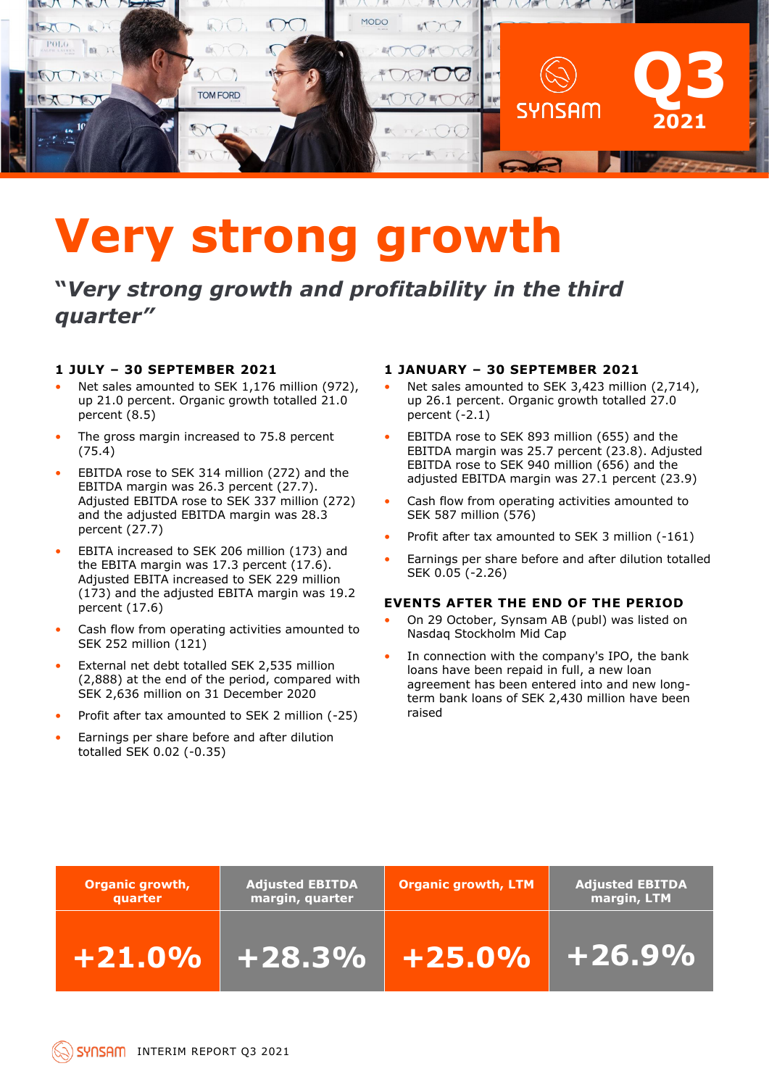

# **Very strong growth**

**"***Very strong growth and profitability in the third quarter"*

#### **1 JULY – 30 SEPTEMBER 2021**

- Net sales amounted to SEK 1,176 million (972), up 21.0 percent. Organic growth totalled 21.0 percent (8.5)
- The gross margin increased to 75.8 percent (75.4)
- EBITDA rose to SEK 314 million (272) and the EBITDA margin was 26.3 percent (27.7). Adjusted EBITDA rose to SEK 337 million (272) and the adjusted EBITDA margin was 28.3 percent (27.7)
- EBITA increased to SEK 206 million (173) and the EBITA margin was 17.3 percent (17.6). Adjusted EBITA increased to SEK 229 million (173) and the adjusted EBITA margin was 19.2 percent (17.6)
- Cash flow from operating activities amounted to SEK 252 million (121)
- External net debt totalled SEK 2,535 million (2,888) at the end of the period, compared with SEK 2,636 million on 31 December 2020
- Profit after tax amounted to SEK 2 million (-25)
- Earnings per share before and after dilution totalled SEK 0.02 (-0.35)

#### **1 JANUARY – 30 SEPTEMBER 2021**

- Net sales amounted to SEK 3,423 million (2,714), up 26.1 percent. Organic growth totalled 27.0 percent (-2.1)
- EBITDA rose to SEK 893 million (655) and the EBITDA margin was 25.7 percent (23.8). Adjusted EBITDA rose to SEK 940 million (656) and the adjusted EBITDA margin was 27.1 percent (23.9)
- Cash flow from operating activities amounted to SEK 587 million (576)
- Profit after tax amounted to SEK 3 million (-161)
- Earnings per share before and after dilution totalled SEK 0.05 (-2.26)

#### **EVENTS AFTER THE END OF THE PERIOD**

- On 29 October, Synsam AB (publ) was listed on Nasdaq Stockholm Mid Cap
- In connection with the company's IPO, the bank loans have been repaid in full, a new loan agreement has been entered into and new longterm bank loans of SEK 2,430 million have been raised

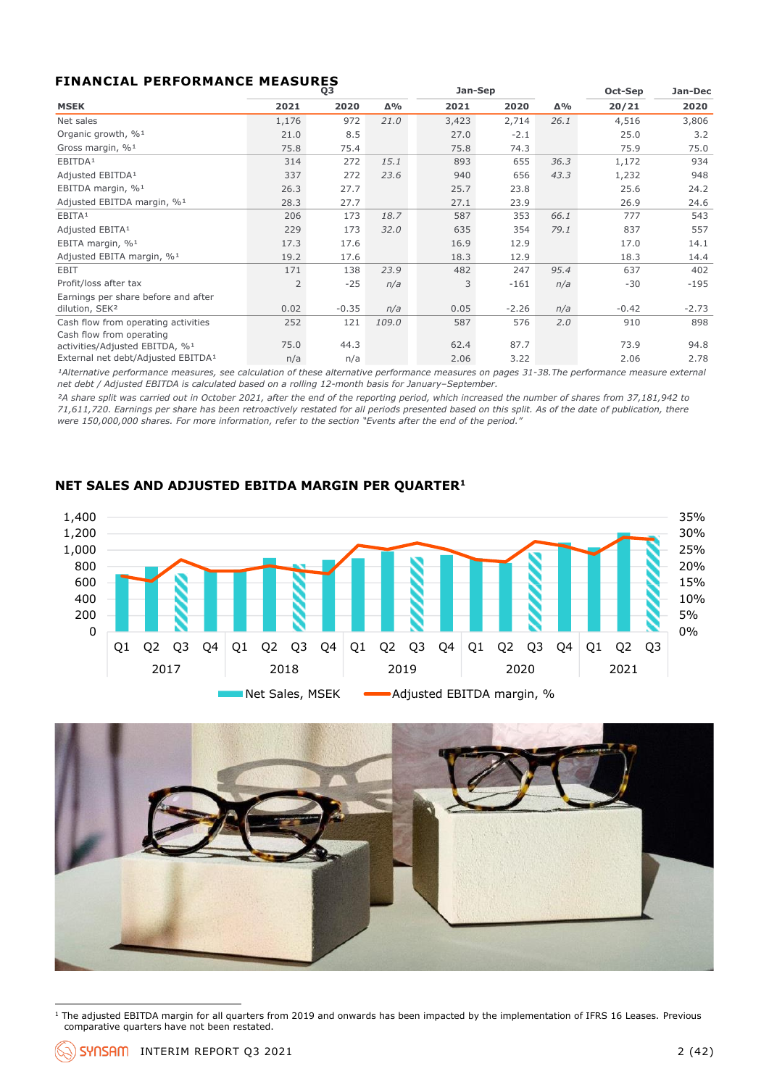#### **FINANCIAL PERFORMANCE MEASURES**

|                                                |                | Q3      |       | Jan-Sep |         |      | Oct-Sep | Jan-Dec |
|------------------------------------------------|----------------|---------|-------|---------|---------|------|---------|---------|
| <b>MSEK</b>                                    | 2021           | 2020    | Δ%    | 2021    | 2020    | Δ%   | 20/21   | 2020    |
| Net sales                                      | 1,176          | 972     | 21.0  | 3,423   | 2,714   | 26.1 | 4,516   | 3,806   |
| Organic growth, % <sup>1</sup>                 | 21.0           | 8.5     |       | 27.0    | $-2.1$  |      | 25.0    | 3.2     |
| Gross margin, % <sup>1</sup>                   | 75.8           | 75.4    |       | 75.8    | 74.3    |      | 75.9    | 75.0    |
| EBITDA <sup>1</sup>                            | 314            | 272     | 15.1  | 893     | 655     | 36.3 | 1,172   | 934     |
| Adjusted EBITDA <sup>1</sup>                   | 337            | 272     | 23.6  | 940     | 656     | 43.3 | 1,232   | 948     |
| EBITDA margin, % <sup>1</sup>                  | 26.3           | 27.7    |       | 25.7    | 23.8    |      | 25.6    | 24.2    |
| Adjusted EBITDA margin, % <sup>1</sup>         | 28.3           | 27.7    |       | 27.1    | 23.9    |      | 26.9    | 24.6    |
| EBITA <sup>1</sup>                             | 206            | 173     | 18.7  | 587     | 353     | 66.1 | 777     | 543     |
| Adjusted EBITA <sup>1</sup>                    | 229            | 173     | 32.0  | 635     | 354     | 79.1 | 837     | 557     |
| EBITA margin, % <sup>1</sup>                   | 17.3           | 17.6    |       | 16.9    | 12.9    |      | 17.0    | 14.1    |
| Adjusted EBITA margin, % <sup>1</sup>          | 19.2           | 17.6    |       | 18.3    | 12.9    |      | 18.3    | 14.4    |
| EBIT                                           | 171            | 138     | 23.9  | 482     | 247     | 95.4 | 637     | 402     |
| Profit/loss after tax                          | $\overline{2}$ | $-25$   | n/a   | 3       | $-161$  | n/a  | $-30$   | $-195$  |
| Earnings per share before and after            |                |         |       |         |         |      |         |         |
| dilution, SEK <sup>2</sup>                     | 0.02           | $-0.35$ | n/a   | 0.05    | $-2.26$ | n/a  | $-0.42$ | $-2.73$ |
| Cash flow from operating activities            | 252            | 121     | 109.0 | 587     | 576     | 2.0  | 910     | 898     |
| Cash flow from operating                       |                |         |       |         |         |      |         |         |
| activities/Adjusted EBITDA, %1                 | 75.0           | 44.3    |       | 62.4    | 87.7    |      | 73.9    | 94.8    |
| External net debt/Adjusted EBITDA <sup>1</sup> | n/a            | n/a     |       | 2.06    | 3.22    |      | 2.06    | 2.78    |

<sup>1</sup>Alternative performance measures, see calculation of these alternative performance measures on pages 31-38. The performance measure external *net debt / Adjusted EBITDA is calculated based on a rolling 12-month basis for January–September.*

*²A share split was carried out in October 2021, after the end of the reporting period, which increased the number of shares from 37,181,942 to 71,611,720. Earnings per share has been retroactively restated for all periods presented based on this split. As of the date of publication, there were 150,000,000 shares. For more information, refer to the section "Events after the end of the period."* 

#### **NET SALES AND ADJUSTED EBITDA MARGIN PER QUARTER<sup>1</sup>**





 $1$  The adjusted EBITDA margin for all quarters from 2019 and onwards has been impacted by the implementation of IFRS 16 Leases. Previous comparative quarters have not been restated.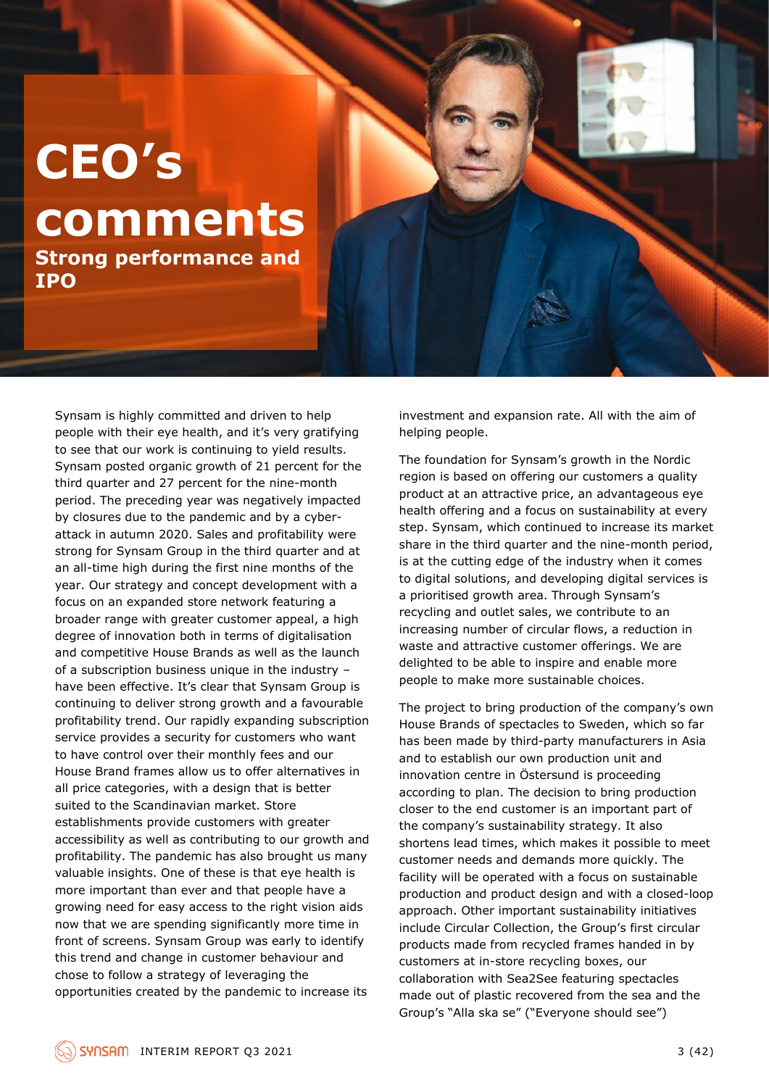## **CEO's comments Strong performance and**

**IPO**

Synsam is highly committed and driven to help people with their eye health, and it's very gratifying to see that our work is continuing to yield results. Synsam posted organic growth of 21 percent for the third quarter and 27 percent for the nine-month period. The preceding year was negatively impacted by closures due to the pandemic and by a cyberattack in autumn 2020. Sales and profitability were strong for Synsam Group in the third quarter and at an all-time high during the first nine months of the year. Our strategy and concept development with a focus on an expanded store network featuring a broader range with greater customer appeal, a high degree of innovation both in terms of digitalisation and competitive House Brands as well as the launch of a subscription business unique in the industry – have been effective. It's clear that Synsam Group is continuing to deliver strong growth and a favourable profitability trend. Our rapidly expanding subscription service provides a security for customers who want to have control over their monthly fees and our House Brand frames allow us to offer alternatives in all price categories, with a design that is better suited to the Scandinavian market. Store establishments provide customers with greater accessibility as well as contributing to our growth and profitability. The pandemic has also brought us many valuable insights. One of these is that eye health is more important than ever and that people have a growing need for easy access to the right vision aids now that we are spending significantly more time in front of screens. Synsam Group was early to identify this trend and change in customer behaviour and chose to follow a strategy of leveraging the opportunities created by the pandemic to increase its

investment and expansion rate. All with the aim of helping people.

The foundation for Synsam's growth in the Nordic region is based on offering our customers a quality product at an attractive price, an advantageous eye health offering and a focus on sustainability at every step. Synsam, which continued to increase its market share in the third quarter and the nine-month period, is at the cutting edge of the industry when it comes to digital solutions, and developing digital services is a prioritised growth area. Through Synsam's recycling and outlet sales, we contribute to an increasing number of circular flows, a reduction in waste and attractive customer offerings. We are delighted to be able to inspire and enable more people to make more sustainable choices.

The project to bring production of the company's own House Brands of spectacles to Sweden, which so far has been made by third-party manufacturers in Asia and to establish our own production unit and innovation centre in Östersund is proceeding according to plan. The decision to bring production closer to the end customer is an important part of the company's sustainability strategy. It also shortens lead times, which makes it possible to meet customer needs and demands more quickly. The facility will be operated with a focus on sustainable production and product design and with a closed-loop approach. Other important sustainability initiatives include Circular Collection, the Group's first circular products made from recycled frames handed in by customers at in-store recycling boxes, our collaboration with Sea2See featuring spectacles made out of plastic recovered from the sea and the Group's "Alla ska se" ("Everyone should see")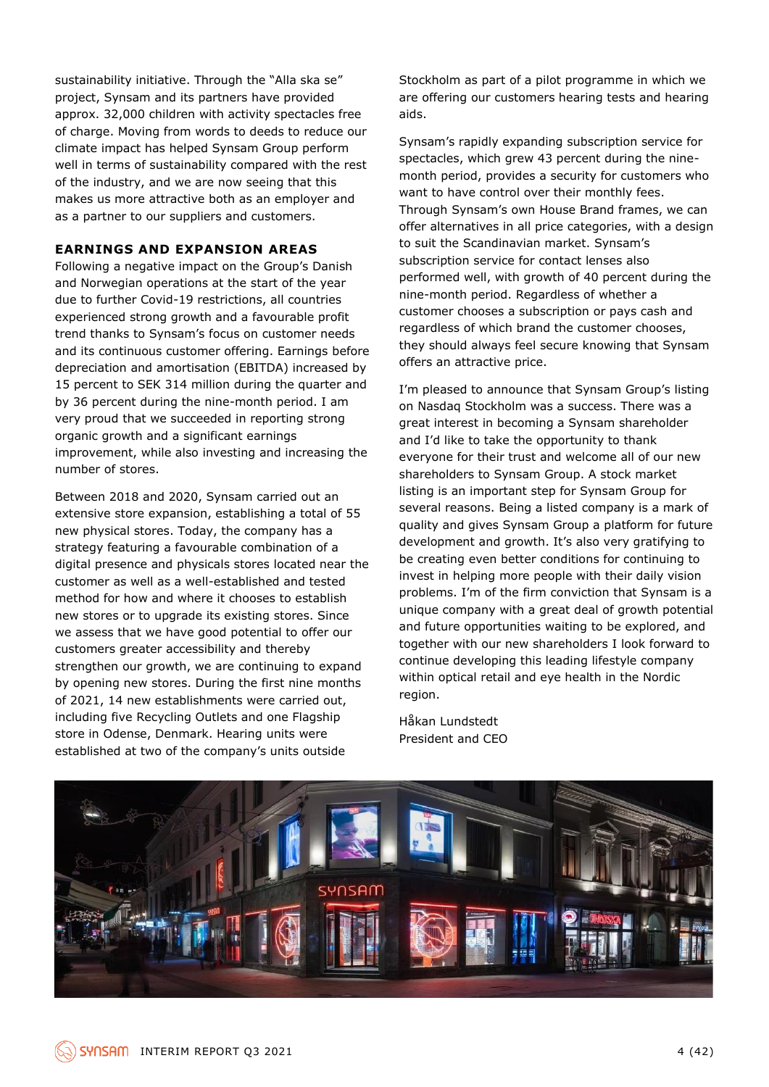sustainability initiative. Through the "Alla ska se" project, Synsam and its partners have provided approx. 32,000 children with activity spectacles free of charge. Moving from words to deeds to reduce our climate impact has helped Synsam Group perform well in terms of sustainability compared with the rest of the industry, and we are now seeing that this makes us more attractive both as an employer and as a partner to our suppliers and customers.

#### **EARNINGS AND EXPANSION AREAS**

Following a negative impact on the Group's Danish and Norwegian operations at the start of the year due to further Covid-19 restrictions, all countries experienced strong growth and a favourable profit trend thanks to Synsam's focus on customer needs and its continuous customer offering. Earnings before depreciation and amortisation (EBITDA) increased by 15 percent to SEK 314 million during the quarter and by 36 percent during the nine-month period. I am very proud that we succeeded in reporting strong organic growth and a significant earnings improvement, while also investing and increasing the number of stores.

Between 2018 and 2020, Synsam carried out an extensive store expansion, establishing a total of 55 new physical stores. Today, the company has a strategy featuring a favourable combination of a digital presence and physicals stores located near the customer as well as a well-established and tested method for how and where it chooses to establish new stores or to upgrade its existing stores. Since we assess that we have good potential to offer our customers greater accessibility and thereby strengthen our growth, we are continuing to expand by opening new stores. During the first nine months of 2021, 14 new establishments were carried out, including five Recycling Outlets and one Flagship store in Odense, Denmark. Hearing units were established at two of the company's units outside

Stockholm as part of a pilot programme in which we are offering our customers hearing tests and hearing aids.

Synsam's rapidly expanding subscription service for spectacles, which grew 43 percent during the ninemonth period, provides a security for customers who want to have control over their monthly fees. Through Synsam's own House Brand frames, we can offer alternatives in all price categories, with a design to suit the Scandinavian market. Synsam's subscription service for contact lenses also performed well, with growth of 40 percent during the nine-month period. Regardless of whether a customer chooses a subscription or pays cash and regardless of which brand the customer chooses, they should always feel secure knowing that Synsam offers an attractive price.

I'm pleased to announce that Synsam Group's listing on Nasdaq Stockholm was a success. There was a great interest in becoming a Synsam shareholder and I'd like to take the opportunity to thank everyone for their trust and welcome all of our new shareholders to Synsam Group. A stock market listing is an important step for Synsam Group for several reasons. Being a listed company is a mark of quality and gives Synsam Group a platform for future development and growth. It's also very gratifying to be creating even better conditions for continuing to invest in helping more people with their daily vision problems. I'm of the firm conviction that Synsam is a unique company with a great deal of growth potential and future opportunities waiting to be explored, and together with our new shareholders I look forward to continue developing this leading lifestyle company within optical retail and eye health in the Nordic region.

Håkan Lundstedt President and CEO

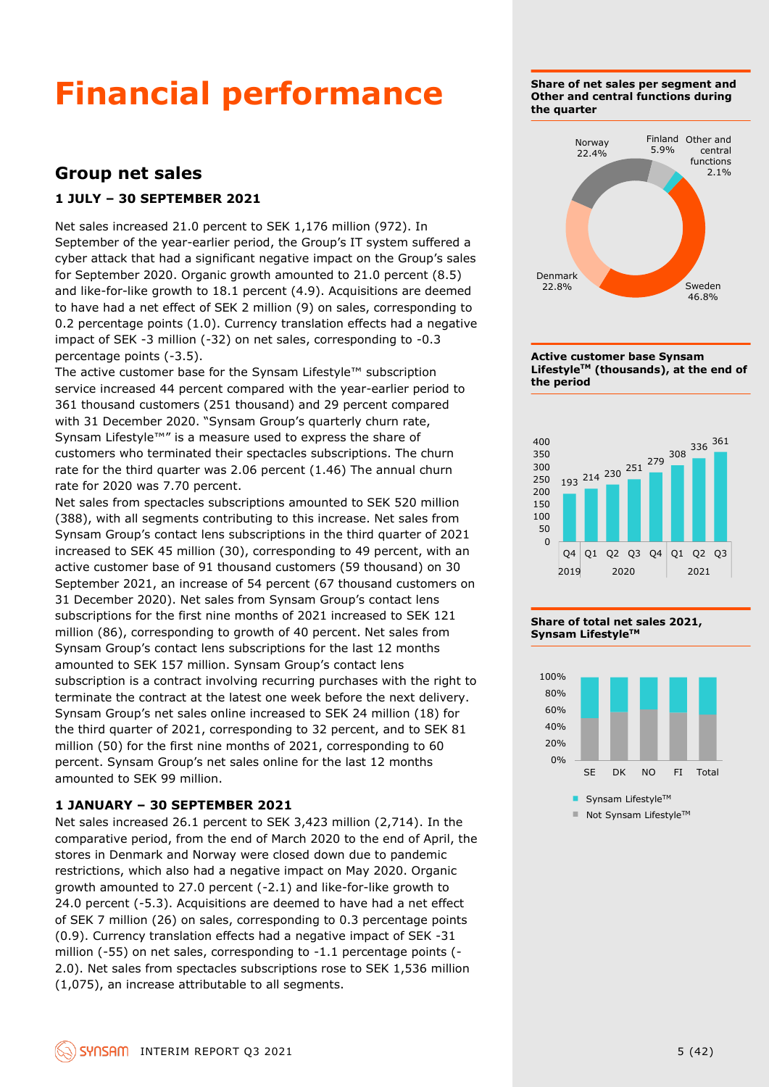## **Financial performance**

### **Group net sales**

#### **1 JULY – 30 SEPTEMBER 2021**

Net sales increased 21.0 percent to SEK 1,176 million (972). In September of the year-earlier period, the Group's IT system suffered a cyber attack that had a significant negative impact on the Group's sales for September 2020. Organic growth amounted to 21.0 percent (8.5) and like-for-like growth to 18.1 percent (4.9). Acquisitions are deemed to have had a net effect of SEK 2 million (9) on sales, corresponding to 0.2 percentage points (1.0). Currency translation effects had a negative impact of SEK -3 million (-32) on net sales, corresponding to -0.3 percentage points (-3.5).

The active customer base for the Synsam Lifestyle™ subscription service increased 44 percent compared with the year-earlier period to 361 thousand customers (251 thousand) and 29 percent compared with 31 December 2020. "Synsam Group's quarterly churn rate, Synsam Lifestyle™" is a measure used to express the share of customers who terminated their spectacles subscriptions. The churn rate for the third quarter was 2.06 percent (1.46) The annual churn rate for 2020 was 7.70 percent.

Net sales from spectacles subscriptions amounted to SEK 520 million (388), with all segments contributing to this increase. Net sales from Synsam Group's contact lens subscriptions in the third quarter of 2021 increased to SEK 45 million (30), corresponding to 49 percent, with an active customer base of 91 thousand customers (59 thousand) on 30 September 2021, an increase of 54 percent (67 thousand customers on 31 December 2020). Net sales from Synsam Group's contact lens subscriptions for the first nine months of 2021 increased to SEK 121 million (86), corresponding to growth of 40 percent. Net sales from Synsam Group's contact lens subscriptions for the last 12 months amounted to SEK 157 million. Synsam Group's contact lens subscription is a contract involving recurring purchases with the right to terminate the contract at the latest one week before the next delivery. Synsam Group's net sales online increased to SEK 24 million (18) for the third quarter of 2021, corresponding to 32 percent, and to SEK 81 million (50) for the first nine months of 2021, corresponding to 60 percent. Synsam Group's net sales online for the last 12 months amounted to SEK 99 million.

#### **1 JANUARY – 30 SEPTEMBER 2021**

Net sales increased 26.1 percent to SEK 3,423 million (2,714). In the comparative period, from the end of March 2020 to the end of April, the stores in Denmark and Norway were closed down due to pandemic restrictions, which also had a negative impact on May 2020. Organic growth amounted to 27.0 percent (-2.1) and like-for-like growth to 24.0 percent (-5.3). Acquisitions are deemed to have had a net effect of SEK 7 million (26) on sales, corresponding to 0.3 percentage points (0.9). Currency translation effects had a negative impact of SEK -31 million (-55) on net sales, corresponding to -1.1 percentage points (- 2.0). Net sales from spectacles subscriptions rose to SEK 1,536 million (1,075), an increase attributable to all segments.

**Share of net sales per segment and Other and central functions during the quarter**









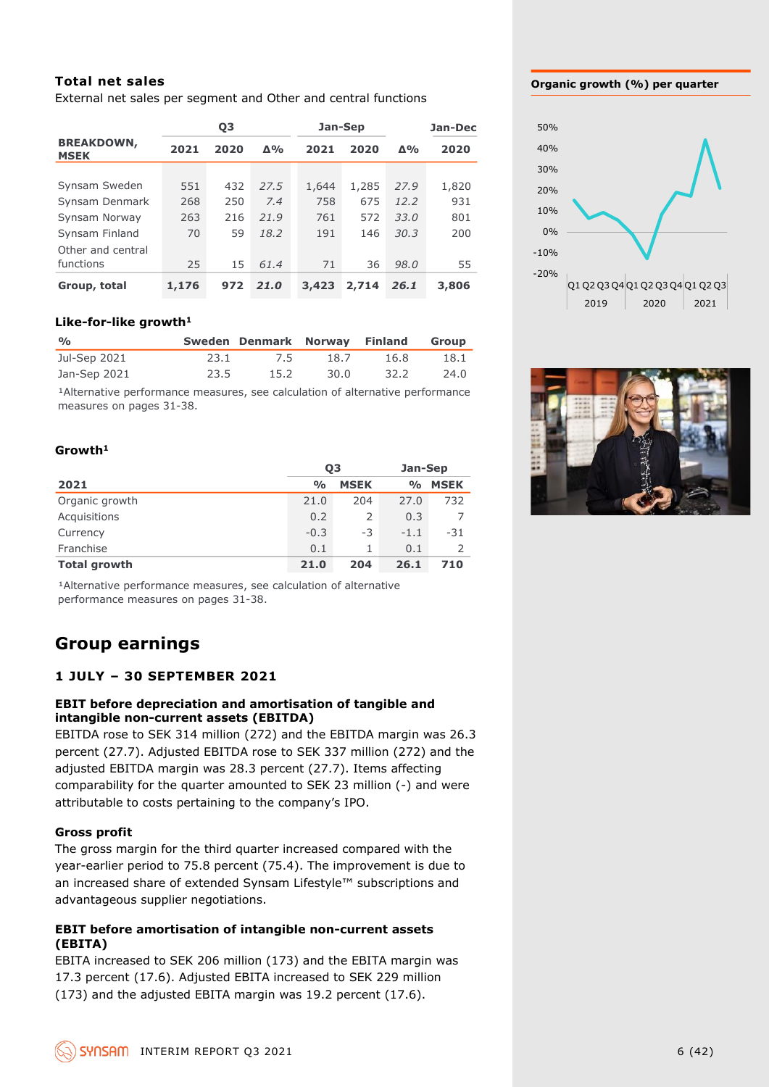#### **Total net sales**

External net sales per segment and Other and central functions

|                                                                                                                                                                                                                                                                                                                                                                                                                                            |       | Q3   |                |               | Jan-Sep     |                | Jan-Dec     |
|--------------------------------------------------------------------------------------------------------------------------------------------------------------------------------------------------------------------------------------------------------------------------------------------------------------------------------------------------------------------------------------------------------------------------------------------|-------|------|----------------|---------------|-------------|----------------|-------------|
| <b>BREAKDOWN,</b><br><b>MSEK</b>                                                                                                                                                                                                                                                                                                                                                                                                           | 2021  | 2020 | Δ%             | 2021          | 2020        | Δ%             | 2020        |
|                                                                                                                                                                                                                                                                                                                                                                                                                                            |       |      |                |               |             |                |             |
| Synsam Sweden                                                                                                                                                                                                                                                                                                                                                                                                                              | 551   | 432  | 27.5           | 1,644         | 1,285       | 27.9           | 1,820       |
| Synsam Denmark                                                                                                                                                                                                                                                                                                                                                                                                                             | 268   | 250  | 7.4            | 758           | 675         | 12.2           | 931         |
| Synsam Norway                                                                                                                                                                                                                                                                                                                                                                                                                              | 263   | 216  | 21.9           | 761           | 572         | 33.0           | 801         |
| Synsam Finland                                                                                                                                                                                                                                                                                                                                                                                                                             | 70    | 59   | 18.2           | 191           | 146         | 30.3           | 200         |
| Other and central<br>functions                                                                                                                                                                                                                                                                                                                                                                                                             | 25    | 15   | 61.4           | 71            | 36          | 98.0           | 55          |
| Group, total                                                                                                                                                                                                                                                                                                                                                                                                                               | 1,176 | 972  | 21.0           | 3,423         | 2,714       | 26.1           | 3,806       |
| Like-for-like growth <sup>1</sup>                                                                                                                                                                                                                                                                                                                                                                                                          |       |      |                |               |             |                |             |
| $\frac{0}{0}$                                                                                                                                                                                                                                                                                                                                                                                                                              |       |      | Sweden Denmark | <b>Norway</b> |             | <b>Finland</b> | Group       |
| Jul-Sep 2021                                                                                                                                                                                                                                                                                                                                                                                                                               |       | 23.1 | 7.5            |               | 18.7        | 16.8           | 18.1        |
| Jan-Sep 2021                                                                                                                                                                                                                                                                                                                                                                                                                               |       | 23.5 | 15.2           |               | 30.0        | 32.2           | 24.0        |
| measures on pages 31-38.<br>Growth <sup>1</sup>                                                                                                                                                                                                                                                                                                                                                                                            |       |      |                |               |             |                |             |
| Q <sub>3</sub>                                                                                                                                                                                                                                                                                                                                                                                                                             |       |      |                |               |             |                | Jan-Sep     |
| 2021                                                                                                                                                                                                                                                                                                                                                                                                                                       |       |      |                | $\frac{0}{0}$ | <b>MSEK</b> | %              | <b>MSEK</b> |
| Organic growth                                                                                                                                                                                                                                                                                                                                                                                                                             |       |      |                | 21.0          | 204         | 27.0           | 732         |
| Acquisitions                                                                                                                                                                                                                                                                                                                                                                                                                               |       |      |                | 0.2           | 2           | 0.3            | 7           |
| Currency                                                                                                                                                                                                                                                                                                                                                                                                                                   |       |      |                | $-0.3$        | -3          | $-1.1$         | -31         |
| Franchise                                                                                                                                                                                                                                                                                                                                                                                                                                  |       |      |                | 0.1           | 1           | 0.1            | 2           |
| <b>Total growth</b>                                                                                                                                                                                                                                                                                                                                                                                                                        |       |      |                | 21.0          | 204         | 26.1           | 710         |
| <sup>1</sup> Alternative performance measures, see calculation of alternative<br>performance measures on pages 31-38.<br><b>Group earnings</b><br><b>1 JULY - 30 SEPTEMBER 2021</b><br>EBIT before depreciation and amortisation of tangible and<br>intangible non-current assets (EBITDA)<br>EBITDA rose to SEK 314 million (272) and the EBITDA margin was 26.3<br>percent (27.7). Adjusted EBITDA rose to SEK 337 million (272) and the |       |      |                |               |             |                |             |
| adjusted EBITDA margin was 28.3 percent (27.7). Items affecting<br>comparability for the quarter amounted to SEK 23 million (-) and were<br>attributable to costs pertaining to the company's IPO.                                                                                                                                                                                                                                         |       |      |                |               |             |                |             |
| <b>Gross profit</b><br>The gross margin for the third quarter increased compared with the<br>year-earlier period to 75.8 percent (75.4). The improvement is due to<br>an increased share of extended Synsam Lifestyle™ subscriptions and<br>advantageous supplier negotiations.                                                                                                                                                            |       |      |                |               |             |                |             |
| <b>EBIT before amortisation of intangible non-current assets</b><br>(EBITA)                                                                                                                                                                                                                                                                                                                                                                |       |      |                |               |             |                |             |
| EBITA increased to SEK 206 million (173) and the EBITA margin was                                                                                                                                                                                                                                                                                                                                                                          |       |      |                |               |             |                |             |
| 17.3 percent (17.6). Adjusted EBITA increased to SEK 229 million                                                                                                                                                                                                                                                                                                                                                                           |       |      |                |               |             |                |             |
| (173) and the adjusted EBITA margin was 19.2 percent (17.6).                                                                                                                                                                                                                                                                                                                                                                               |       |      |                |               |             |                |             |

#### **Like-for-like growth<sup>1</sup>**

| $\frac{O}{O}$ |      | Sweden Denmark Norway Finland Group |      |      |      |
|---------------|------|-------------------------------------|------|------|------|
| Jul-Sep 2021  | 23.1 | 7.5                                 | 18.7 | 16.8 | 18.1 |
| Jan-Sep 2021  | 23.5 | 15.2                                | 30.0 | 32.2 | 24.0 |

#### **Growth<sup>1</sup>**

|                     | 03            |             | Jan-Sep            |             |  |
|---------------------|---------------|-------------|--------------------|-------------|--|
| 2021                | $\frac{O}{O}$ | <b>MSEK</b> | $\frac{0}{\alpha}$ | <b>MSEK</b> |  |
| Organic growth      | 21.0          | 204         | 27.0               | 732         |  |
| Acquisitions        | 0.2           | 2           | 0.3                |             |  |
| Currency            | $-0.3$        | -3          | $-1.1$             | -31         |  |
| Franchise           | 0.1           |             | 0.1                |             |  |
| <b>Total growth</b> | 21.0          | 204         | 26.1               | 710         |  |

### **Group earnings**

#### **1 JULY – 30 SEPTEMBER 2021**

#### **EBIT before depreciation and amortisation of tangible and intangible non-current assets (EBITDA)**

#### **Gross profit**

#### **EBIT before amortisation of intangible non-current assets (EBITA)**

#### **Organic growth (%) per quarter**



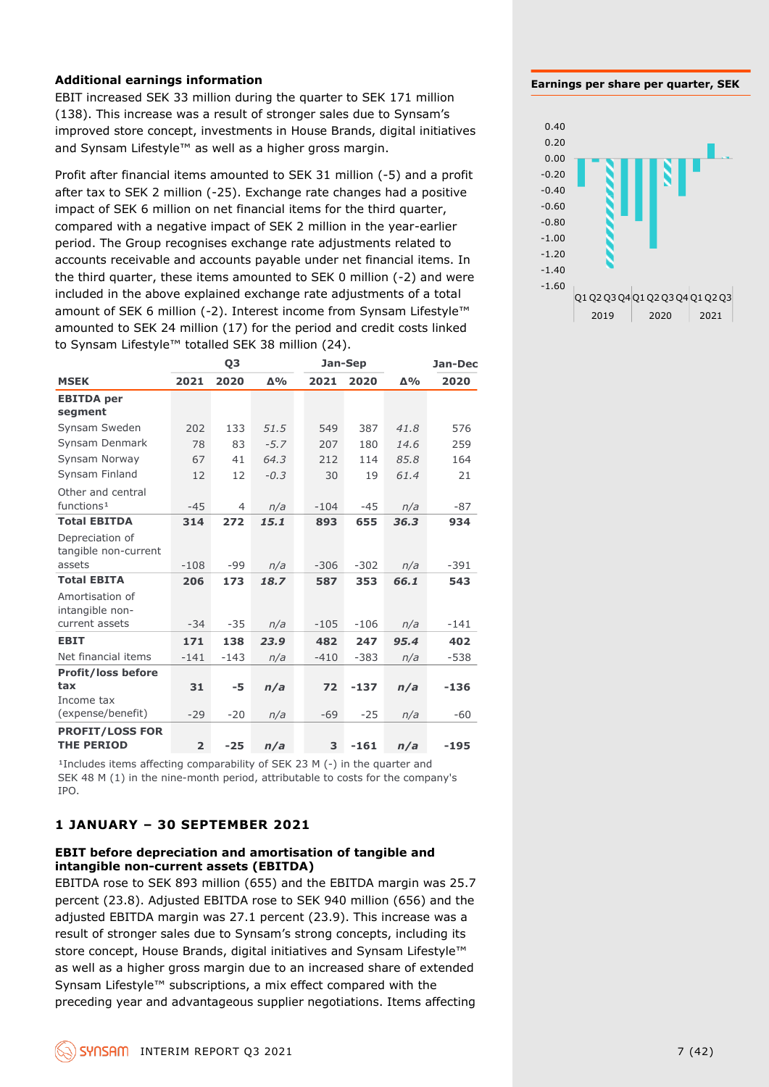#### **Additional earnings information**

EBIT increased SEK 33 million during the quarter to SEK 171 million (138). This increase was a result of stronger sales due to Synsam's improved store concept, investments in House Brands, digital initiatives and Synsam Lifestyle™ as well as a higher gross margin.

Profit after financial items amounted to SEK 31 million (-5) and a profit after tax to SEK 2 million (-25). Exchange rate changes had a positive impact of SEK 6 million on net financial items for the third quarter, compared with a negative impact of SEK 2 million in the year-earlier period. The Group recognises exchange rate adjustments related to accounts receivable and accounts payable under net financial items. In the third quarter, these items amounted to SEK 0 million (-2) and were included in the above explained exchange rate adjustments of a total amount of SEK 6 million (-2). Interest income from Synsam Lifestyle™ amounted to SEK 24 million (17) for the period and credit costs linked to Synsam Lifestyle™ totalled SEK 38 million (24).

|                           |                | Q3     |            |        | <b>Jan-Sep</b> |            | Jan-Dec |
|---------------------------|----------------|--------|------------|--------|----------------|------------|---------|
| <b>MSEK</b>               | 2021           | 2020   | $\Delta\%$ | 2021   | 2020           | $\Delta\%$ | 2020    |
| <b>EBITDA</b> per         |                |        |            |        |                |            |         |
| segment                   |                |        |            |        |                |            |         |
| Synsam Sweden             | 202            | 133    | 51.5       | 549    | 387            | 41.8       | 576     |
| Synsam Denmark            | 78             | 83     | $-5.7$     | 207    | 180            | 14.6       | 259     |
| Synsam Norway             | 67             | 41     | 64.3       | 212    | 114            | 85.8       | 164     |
| Synsam Finland            | 12             | 12     | $-0.3$     | 30     | 19             | 61.4       | 21      |
| Other and central         |                |        |            |        |                |            |         |
| functions <sup>1</sup>    | $-45$          | 4      | n/a        | $-104$ | $-45$          | n/a        | $-87$   |
| <b>Total EBITDA</b>       | 314            | 272    | 15.1       | 893    | 655            | 36.3       | 934     |
| Depreciation of           |                |        |            |        |                |            |         |
| tangible non-current      |                |        |            |        |                |            |         |
| assets                    | $-108$         | -99    | n/a        | $-306$ | $-302$         | n/a        | $-391$  |
| <b>Total EBITA</b>        | 206            | 173    | 18.7       | 587    | 353            | 66.1       | 543     |
| Amortisation of           |                |        |            |        |                |            |         |
| intangible non-           |                |        |            |        |                |            |         |
| current assets            | $-34$          | $-35$  | n/a        | $-105$ | $-106$         | n/a        | $-141$  |
| <b>EBIT</b>               | 171            | 138    | 23.9       | 482    | 247            | 95.4       | 402     |
| Net financial items       | $-141$         | $-143$ | n/a        | $-410$ | $-383$         | n/a        | $-538$  |
| <b>Profit/loss before</b> |                |        |            |        |                |            |         |
| tax                       | 31             | -5     | n/a        | 72     | $-137$         | n/a        | $-136$  |
| Income tax                |                |        |            |        |                |            |         |
| (expense/benefit)         | $-29$          | $-20$  | n/a        | $-69$  | $-25$          | n/a        | $-60$   |
| <b>PROFIT/LOSS FOR</b>    |                |        |            |        |                |            |         |
| <b>THE PERIOD</b>         | $\overline{2}$ | $-25$  | n/a        | 3      | $-161$         | n/a        | $-195$  |

<sup>1</sup>Includes items affecting comparability of SEK 23 M (-) in the quarter and SEK 48 M (1) in the nine-month period, attributable to costs for the company's IPO.

#### **1 JANUARY – 30 SEPTEMBER 2021**

#### **EBIT before depreciation and amortisation of tangible and intangible non-current assets (EBITDA)**

EBITDA rose to SEK 893 million (655) and the EBITDA margin was 25.7 percent (23.8). Adjusted EBITDA rose to SEK 940 million (656) and the adjusted EBITDA margin was 27.1 percent (23.9). This increase was a result of stronger sales due to Synsam's strong concepts, including its store concept, House Brands, digital initiatives and Synsam Lifestyle™ as well as a higher gross margin due to an increased share of extended Synsam Lifestyle™ subscriptions, a mix effect compared with the preceding year and advantageous supplier negotiations. Items affecting

**Earnings per share per quarter, SEK**

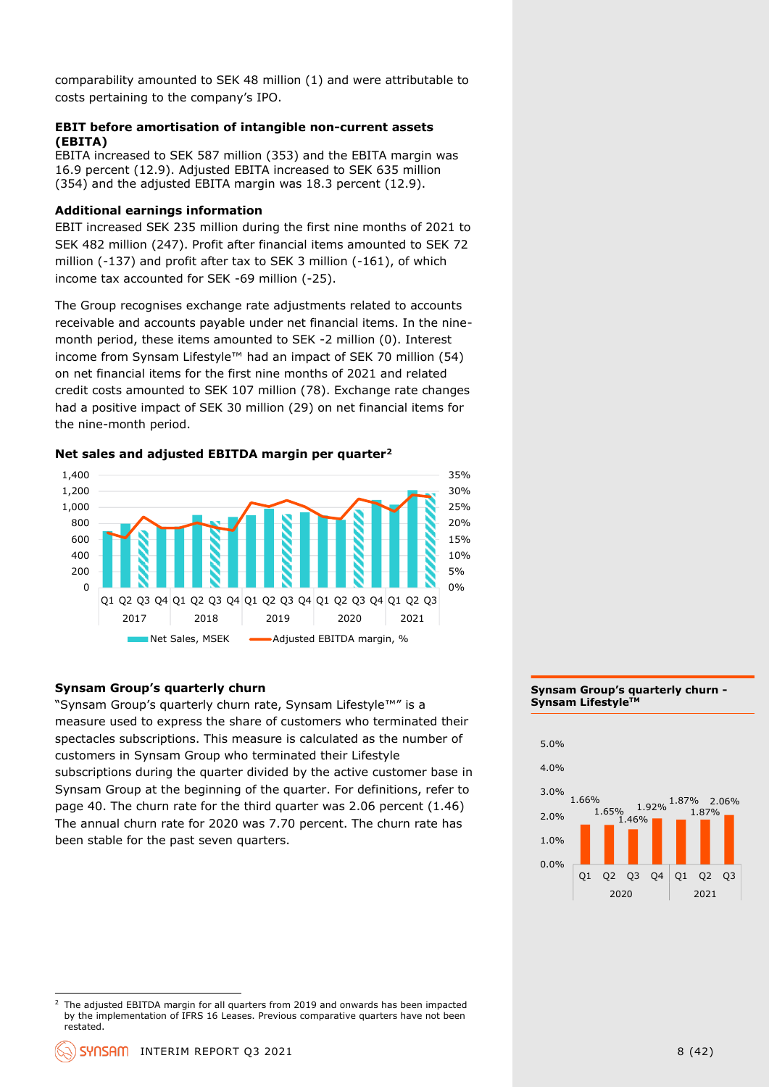comparability amounted to SEK 48 million (1) and were attributable to costs pertaining to the company's IPO.

#### **EBIT before amortisation of intangible non-current assets (EBITA)**

EBITA increased to SEK 587 million (353) and the EBITA margin was 16.9 percent (12.9). Adjusted EBITA increased to SEK 635 million (354) and the adjusted EBITA margin was 18.3 percent (12.9).

#### **Additional earnings information**

EBIT increased SEK 235 million during the first nine months of 2021 to SEK 482 million (247). Profit after financial items amounted to SEK 72 million (-137) and profit after tax to SEK 3 million (-161), of which income tax accounted for SEK -69 million (-25).

The Group recognises exchange rate adjustments related to accounts receivable and accounts payable under net financial items. In the ninemonth period, these items amounted to SEK -2 million (0). Interest income from Synsam Lifestyle™ had an impact of SEK 70 million (54) on net financial items for the first nine months of 2021 and related credit costs amounted to SEK 107 million (78). Exchange rate changes had a positive impact of SEK 30 million (29) on net financial items for the nine-month period.

#### **Net sales and adjusted EBITDA margin per quarter<sup>2</sup>**



#### **Synsam Group's quarterly churn**

"Synsam Group's quarterly churn rate, Synsam Lifestyle™" is a measure used to express the share of customers who terminated their spectacles subscriptions. This measure is calculated as the number of customers in Synsam Group who terminated their Lifestyle subscriptions during the quarter divided by the active customer base in Synsam Group at the beginning of the quarter. For definitions, refer to page 40. The churn rate for the third quarter was 2.06 percent (1.46) The annual churn rate for 2020 was 7.70 percent. The churn rate has been stable for the past seven quarters.

#### **Synsam Group's quarterly churn - Synsam LifestyleTM**



<sup>2</sup> The adjusted EBITDA margin for all quarters from 2019 and onwards has been impacted by the implementation of IFRS 16 Leases. Previous comparative quarters have not been restated.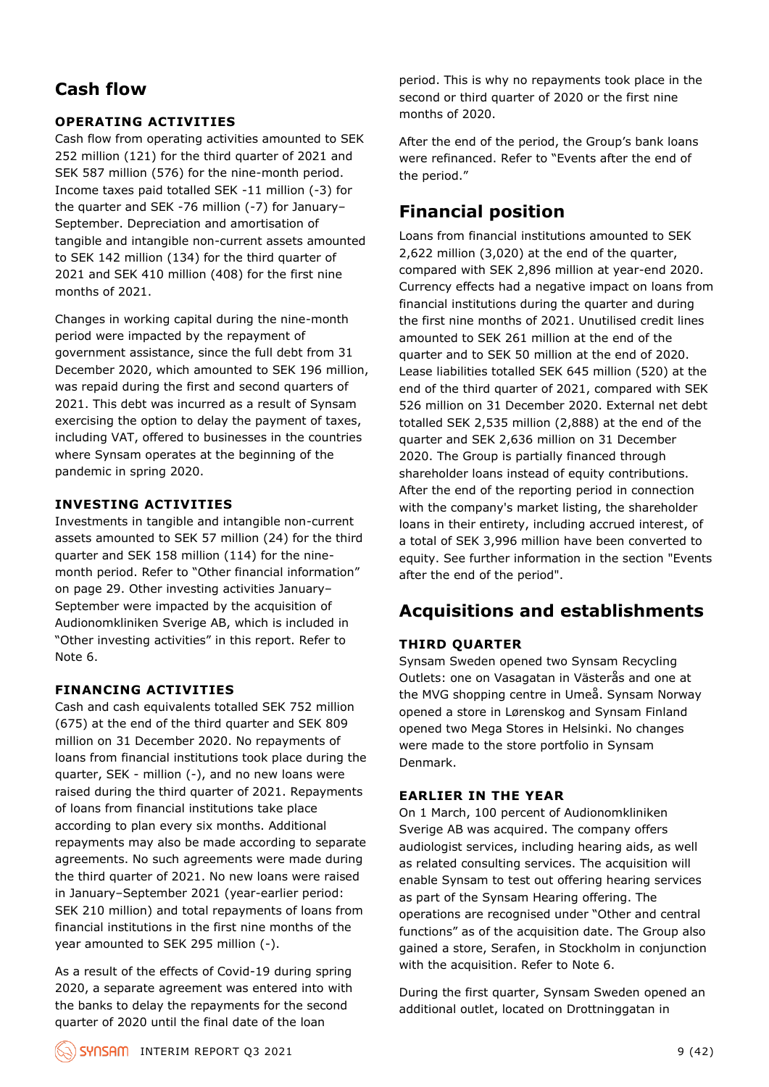## **Cash flow**

#### **OPERATING ACTIVITIES**

Cash flow from operating activities amounted to SEK 252 million (121) for the third quarter of 2021 and SEK 587 million (576) for the nine-month period. Income taxes paid totalled SEK -11 million (-3) for the quarter and SEK -76 million (-7) for January– September. Depreciation and amortisation of tangible and intangible non-current assets amounted to SEK 142 million (134) for the third quarter of 2021 and SEK 410 million (408) for the first nine months of 2021.

Changes in working capital during the nine-month period were impacted by the repayment of government assistance, since the full debt from 31 December 2020, which amounted to SEK 196 million, was repaid during the first and second quarters of 2021. This debt was incurred as a result of Synsam exercising the option to delay the payment of taxes, including VAT, offered to businesses in the countries where Synsam operates at the beginning of the pandemic in spring 2020.

#### **INVESTING ACTIVITIES**

Investments in tangible and intangible non-current assets amounted to SEK 57 million (24) for the third quarter and SEK 158 million (114) for the ninemonth period. Refer to "Other financial information" on page 29. Other investing activities January– September were impacted by the acquisition of Audionomkliniken Sverige AB, which is included in "Other investing activities" in this report. Refer to Note 6.

#### **FINANCING ACTIVITIES**

Cash and cash equivalents totalled SEK 752 million (675) at the end of the third quarter and SEK 809 million on 31 December 2020. No repayments of loans from financial institutions took place during the quarter, SEK - million (-), and no new loans were raised during the third quarter of 2021. Repayments of loans from financial institutions take place according to plan every six months. Additional repayments may also be made according to separate agreements. No such agreements were made during the third quarter of 2021. No new loans were raised in January–September 2021 (year-earlier period: SEK 210 million) and total repayments of loans from financial institutions in the first nine months of the year amounted to SEK 295 million (-).

As a result of the effects of Covid-19 during spring 2020, a separate agreement was entered into with the banks to delay the repayments for the second quarter of 2020 until the final date of the loan

period. This is why no repayments took place in the second or third quarter of 2020 or the first nine months of 2020.

After the end of the period, the Group's bank loans were refinanced. Refer to "Events after the end of the period."

## **Financial position**

Loans from financial institutions amounted to SEK 2,622 million (3,020) at the end of the quarter, compared with SEK 2,896 million at year-end 2020. Currency effects had a negative impact on loans from financial institutions during the quarter and during the first nine months of 2021. Unutilised credit lines amounted to SEK 261 million at the end of the quarter and to SEK 50 million at the end of 2020. Lease liabilities totalled SEK 645 million (520) at the end of the third quarter of 2021, compared with SEK 526 million on 31 December 2020. External net debt totalled SEK 2,535 million (2,888) at the end of the quarter and SEK 2,636 million on 31 December 2020. The Group is partially financed through shareholder loans instead of equity contributions. After the end of the reporting period in connection with the company's market listing, the shareholder loans in their entirety, including accrued interest, of a total of SEK 3,996 million have been converted to equity. See further information in the section "Events after the end of the period".

## **Acquisitions and establishments**

#### **THIRD QUARTER**

Synsam Sweden opened two Synsam Recycling Outlets: one on Vasagatan in Västerås and one at the MVG shopping centre in Umeå. Synsam Norway opened a store in Lørenskog and Synsam Finland opened two Mega Stores in Helsinki. No changes were made to the store portfolio in Synsam Denmark.

#### **EARLIER IN THE YEAR**

On 1 March, 100 percent of Audionomkliniken Sverige AB was acquired. The company offers audiologist services, including hearing aids, as well as related consulting services. The acquisition will enable Synsam to test out offering hearing services as part of the Synsam Hearing offering. The operations are recognised under "Other and central functions" as of the acquisition date. The Group also gained a store, Serafen, in Stockholm in conjunction with the acquisition. Refer to Note 6.

During the first quarter, Synsam Sweden opened an additional outlet, located on Drottninggatan in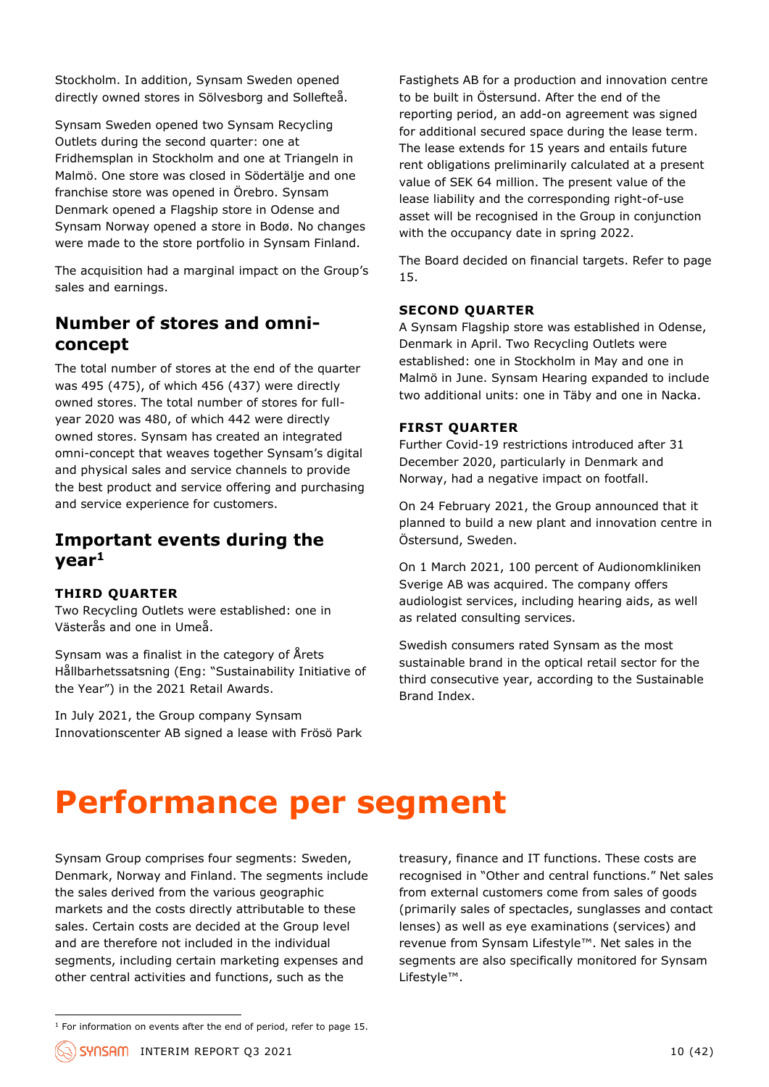Stockholm. In addition, Synsam Sweden opened directly owned stores in Sölvesborg and Sollefteå.

Synsam Sweden opened two Synsam Recycling Outlets during the second quarter: one at Fridhemsplan in Stockholm and one at Triangeln in Malmö. One store was closed in Södertälje and one franchise store was opened in Örebro. Synsam Denmark opened a Flagship store in Odense and Synsam Norway opened a store in Bodø. No changes were made to the store portfolio in Synsam Finland.

The acquisition had a marginal impact on the Group's sales and earnings.

## **Number of stores and omniconcept**

The total number of stores at the end of the quarter was 495 (475), of which 456 (437) were directly owned stores. The total number of stores for fullyear 2020 was 480, of which 442 were directly owned stores. Synsam has created an integrated omni-concept that weaves together Synsam's digital and physical sales and service channels to provide the best product and service offering and purchasing and service experience for customers.

### **Important events during the year<sup>1</sup>**

#### **THIRD QUARTER**

Two Recycling Outlets were established: one in Västerås and one in Umeå.

Synsam was a finalist in the category of Årets Hållbarhetssatsning (Eng: "Sustainability Initiative of the Year") in the 2021 Retail Awards.

In July 2021, the Group company Synsam Innovationscenter AB signed a lease with Frösö Park Fastighets AB for a production and innovation centre to be built in Östersund. After the end of the reporting period, an add-on agreement was signed for additional secured space during the lease term. The lease extends for 15 years and entails future rent obligations preliminarily calculated at a present value of SEK 64 million. The present value of the lease liability and the corresponding right-of-use asset will be recognised in the Group in conjunction with the occupancy date in spring 2022.

The Board decided on financial targets. Refer to page 15.

#### **SECOND QUARTER**

A Synsam Flagship store was established in Odense, Denmark in April. Two Recycling Outlets were established: one in Stockholm in May and one in Malmö in June. Synsam Hearing expanded to include two additional units: one in Täby and one in Nacka.

#### **FIRST QUARTER**

Further Covid-19 restrictions introduced after 31 December 2020, particularly in Denmark and Norway, had a negative impact on footfall.

On 24 February 2021, the Group announced that it planned to build a new plant and innovation centre in Östersund, Sweden.

On 1 March 2021, 100 percent of Audionomkliniken Sverige AB was acquired. The company offers audiologist services, including hearing aids, as well as related consulting services.

Swedish consumers rated Synsam as the most sustainable brand in the optical retail sector for the third consecutive year, according to the Sustainable Brand Index.

## **Performance per segment**

Synsam Group comprises four segments: Sweden, Denmark, Norway and Finland. The segments include the sales derived from the various geographic markets and the costs directly attributable to these sales. Certain costs are decided at the Group level and are therefore not included in the individual segments, including certain marketing expenses and other central activities and functions, such as the

treasury, finance and IT functions. These costs are recognised in "Other and central functions." Net sales from external customers come from sales of goods (primarily sales of spectacles, sunglasses and contact lenses) as well as eye examinations (services) and revenue from Synsam Lifestyle™. Net sales in the segments are also specifically monitored for Synsam Lifestyle™.

 $1$  For information on events after the end of period, refer to page 15.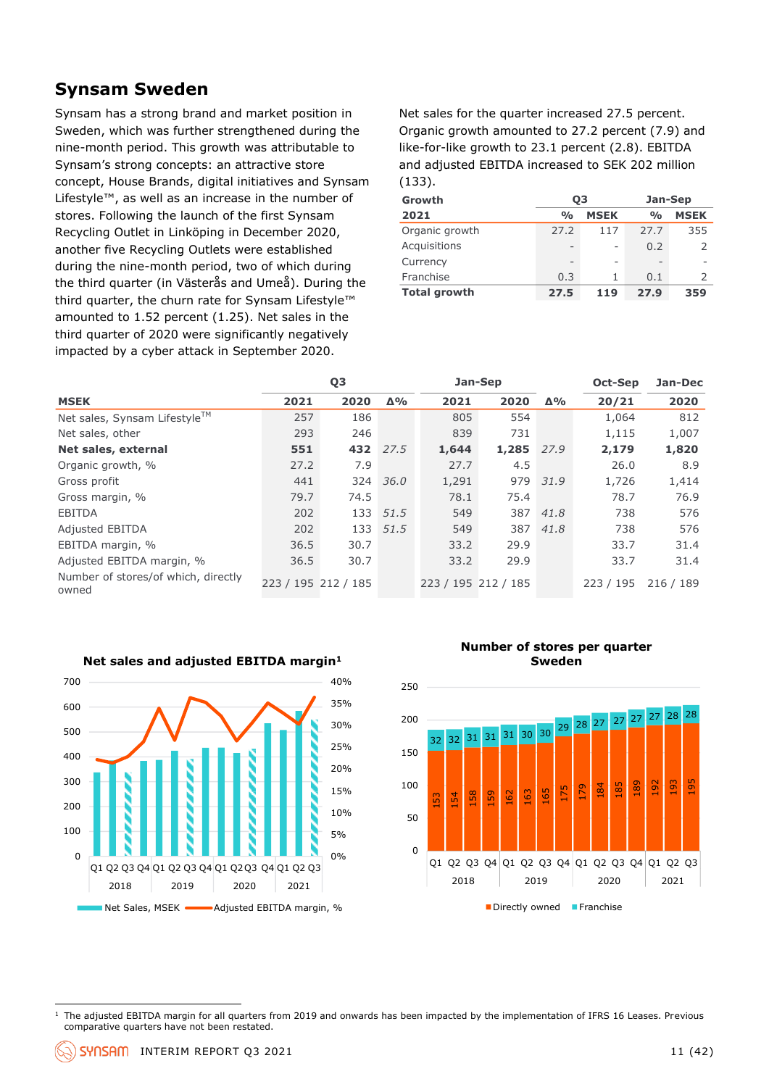## **Synsam Sweden**

Synsam has a strong brand and market position in Sweden, which was further strengthened during the nine-month period. This growth was attributable to Synsam's strong concepts: an attractive store concept, House Brands, digital initiatives and Synsam Lifestyle™, as well as an increase in the number of stores. Following the launch of the first Synsam Recycling Outlet in Linköping in December 2020, another five Recycling Outlets were established during the nine-month period, two of which during the third quarter (in Västerås and Umeå). During the third quarter, the churn rate for Synsam Lifestyle™ amounted to 1.52 percent (1.25). Net sales in the third quarter of 2020 were significantly negatively impacted by a cyber attack in September 2020.

Net sales for the quarter increased 27.5 percent. Organic growth amounted to 27.2 percent (7.9) and like-for-like growth to 23.1 percent (2.8). EBITDA and adjusted EBITDA increased to SEK 202 million (133).

| Growth              | 03            |                 | Jan-Sep            |               |  |  |
|---------------------|---------------|-----------------|--------------------|---------------|--|--|
| 2021                | $\frac{0}{0}$ | <b>MSEK</b>     | $\frac{0}{\alpha}$ | <b>MSEK</b>   |  |  |
| Organic growth      | 27.2          | 117             | 27.7               | 355           |  |  |
| Acquisitions        |               | -               | 0.2                | フ             |  |  |
| Currency            |               | $\qquad \qquad$ | $\qquad \qquad$    |               |  |  |
| Franchise           | 0.3           | 1               | 0.1                | $\mathcal{P}$ |  |  |
| <b>Total growth</b> | 27.5          | 119             | 27.9               | 359           |  |  |

|                                              |      | Q <sub>3</sub><br>Jan-Sep |            |                     | Oct-Sep | Jan-Dec    |           |           |
|----------------------------------------------|------|---------------------------|------------|---------------------|---------|------------|-----------|-----------|
| <b>MSEK</b>                                  | 2021 | 2020                      | $\Delta\%$ | 2021                | 2020    | $\Delta\%$ | 20/21     | 2020      |
| Net sales, Synsam Lifestyle™                 | 257  | 186                       |            | 805                 | 554     |            | 1,064     | 812       |
| Net sales, other                             | 293  | 246                       |            | 839                 | 731     |            | 1,115     | 1,007     |
| Net sales, external                          | 551  |                           | 432 27.5   | 1,644               | 1,285   | 27.9       | 2,179     | 1,820     |
| Organic growth, %                            | 27.2 | 7.9                       |            | 27.7                | 4.5     |            | 26.0      | 8.9       |
| Gross profit                                 | 441  | 324                       | 36.0       | 1,291               |         | 979 31.9   | 1,726     | 1,414     |
| Gross margin, %                              | 79.7 | 74.5                      |            | 78.1                | 75.4    |            | 78.7      | 76.9      |
| <b>EBITDA</b>                                | 202  | 133                       | 51.5       | 549                 | 387     | 41.8       | 738       | 576       |
| <b>Adjusted EBITDA</b>                       | 202  |                           | 133 51.5   | 549                 |         | 387 41.8   | 738       | 576       |
| EBITDA margin, %                             | 36.5 | 30.7                      |            | 33.2                | 29.9    |            | 33.7      | 31.4      |
| Adjusted EBITDA margin, %                    | 36.5 | 30.7                      |            | 33.2                | 29.9    |            | 33.7      | 31.4      |
| Number of stores/of which, directly<br>owned |      | 223 / 195 212 / 185       |            | 223 / 195 212 / 185 |         |            | 223 / 195 | 216 / 189 |



**Net sales and adjusted EBITDA margin<sup>1</sup>**

**Number of stores per quarter Sweden**



<sup>&</sup>lt;sup>1</sup> The adjusted EBITDA margin for all quarters from 2019 and onwards has been impacted by the implementation of IFRS 16 Leases. Previous comparative quarters have not been restated.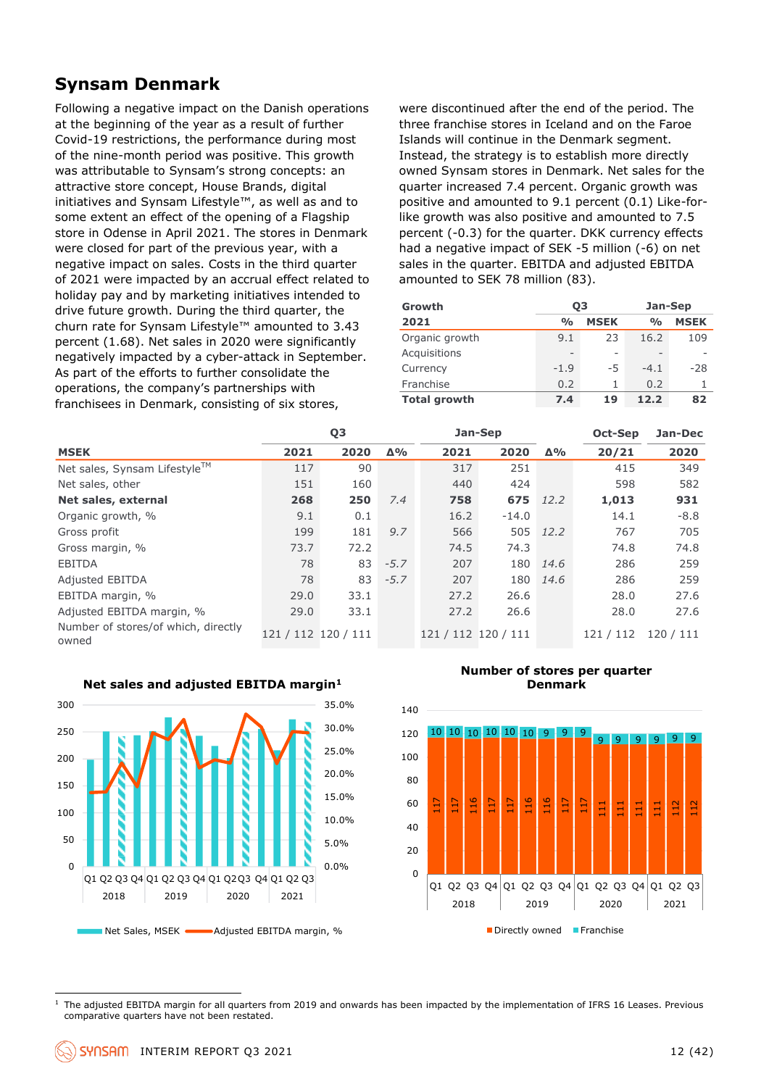## **Synsam Denmark**

Following a negative impact on the Danish operations at the beginning of the year as a result of further Covid-19 restrictions, the performance during most of the nine-month period was positive. This growth was attributable to Synsam's strong concepts: an attractive store concept, House Brands, digital initiatives and Synsam Lifestyle™, as well as and to some extent an effect of the opening of a Flagship store in Odense in April 2021. The stores in Denmark were closed for part of the previous year, with a negative impact on sales. Costs in the third quarter of 2021 were impacted by an accrual effect related to holiday pay and by marketing initiatives intended to drive future growth. During the third quarter, the churn rate for Synsam Lifestyle™ amounted to 3.43 percent (1.68). Net sales in 2020 were significantly negatively impacted by a cyber-attack in September. As part of the efforts to further consolidate the operations, the company's partnerships with franchisees in Denmark, consisting of six stores,

were discontinued after the end of the period. The three franchise stores in Iceland and on the Faroe Islands will continue in the Denmark segment. Instead, the strategy is to establish more directly owned Synsam stores in Denmark. Net sales for the quarter increased 7.4 percent. Organic growth was positive and amounted to 9.1 percent (0.1) Like-forlike growth was also positive and amounted to 7.5 percent (-0.3) for the quarter. DKK currency effects had a negative impact of SEK -5 million (-6) on net sales in the quarter. EBITDA and adjusted EBITDA amounted to SEK 78 million (83).

| Growth              | 03                       |             | Jan-Sep         |             |  |  |
|---------------------|--------------------------|-------------|-----------------|-------------|--|--|
| 2021                | $\frac{O}{O}$            | <b>MSEK</b> | $\frac{0}{0}$   | <b>MSEK</b> |  |  |
| Organic growth      | 9.1                      | 23          | 16.2            | 109         |  |  |
| Acquisitions        | $\overline{\phantom{0}}$ |             | $\qquad \qquad$ |             |  |  |
| Currency            | $-1.9$                   | -5          | $-4.1$          | $-28$       |  |  |
| Franchise           | 0.2                      | 1           | 0.2             |             |  |  |
| <b>Total growth</b> | 7.4                      | 19          | 12.2            | 82          |  |  |

|                                              |                     | Q <sub>3</sub> |            | Jan-Sep             |         |            | Oct-Sep   | Jan-Dec |
|----------------------------------------------|---------------------|----------------|------------|---------------------|---------|------------|-----------|---------|
| <b>MSEK</b>                                  | 2021                | 2020           | $\Delta\%$ | 2021                | 2020    | $\Delta\%$ | 20/21     | 2020    |
| Net sales, Synsam Lifestyle™                 | 117                 | 90             |            | 317                 | 251     |            | 415       | 349     |
| Net sales, other                             | 151                 | 160            |            | 440                 | 424     |            | 598       | 582     |
| Net sales, external                          | 268                 | 250            | 7.4        | 758                 | 675     | 12.2       | 1,013     | 931     |
| Organic growth, %                            | 9.1                 | 0.1            |            | 16.2                | $-14.0$ |            | 14.1      | $-8.8$  |
| Gross profit                                 | 199                 | 181            | 9.7        | 566                 |         | 505 12.2   | 767       | 705     |
| Gross margin, %                              | 73.7                | 72.2           |            | 74.5                | 74.3    |            | 74.8      | 74.8    |
| <b>EBITDA</b>                                | 78                  | 83             | $-5.7$     | 207                 | 180     | 14.6       | 286       | 259     |
| <b>Adjusted EBITDA</b>                       | 78                  | 83             | $-5.7$     | 207                 | 180     | 14.6       | 286       | 259     |
| EBITDA margin, %                             | 29.0                | 33.1           |            | 27.2                | 26.6    |            | 28.0      | 27.6    |
| Adjusted EBITDA margin, %                    | 29.0                | 33.1           |            | 27.2                | 26.6    |            | 28.0      | 27.6    |
| Number of stores/of which, directly<br>owned | 121 / 112 120 / 111 |                |            | 121 / 112 120 / 111 |         |            | 121 / 112 | 120/111 |



#### **Net sales and adjusted EBITDA margin<sup>1</sup>**

**Number of stores per quarter Denmark**



<sup>1</sup> The adjusted EBITDA margin for all quarters from 2019 and onwards has been impacted by the implementation of IFRS 16 Leases. Previous comparative quarters have not been restated.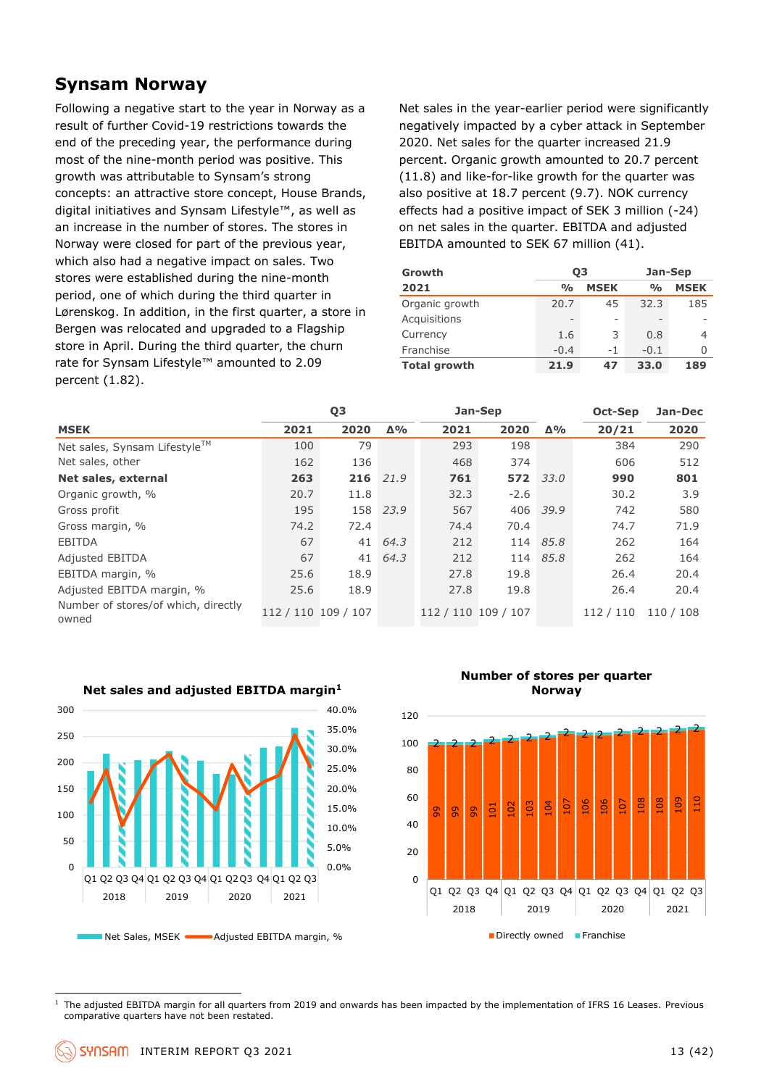### **Synsam Norway**

Following a negative start to the year in Norway as a result of further Covid-19 restrictions towards the end of the preceding year, the performance during most of the nine-month period was positive. This growth was attributable to Synsam's strong concepts: an attractive store concept, House Brands, digital initiatives and Synsam Lifestyle™, as well as an increase in the number of stores. The stores in Norway were closed for part of the previous year, which also had a negative impact on sales. Two stores were established during the nine-month period, one of which during the third quarter in Lørenskog. In addition, in the first quarter, a store in Bergen was relocated and upgraded to a Flagship store in April. During the third quarter, the churn rate for Synsam Lifestyle™ amounted to 2.09 percent (1.82).

Net sales in the year-earlier period were significantly negatively impacted by a cyber attack in September 2020. Net sales for the quarter increased 21.9 percent. Organic growth amounted to 20.7 percent (11.8) and like-for-like growth for the quarter was also positive at 18.7 percent (9.7). NOK currency effects had a positive impact of SEK 3 million (-24) on net sales in the quarter. EBITDA and adjusted EBITDA amounted to SEK 67 million (41).

| Growth              | 03                       |                          | Jan-Sep       |             |  |  |
|---------------------|--------------------------|--------------------------|---------------|-------------|--|--|
| 2021                | $\frac{O}{O}$            | <b>MSEK</b>              | $\frac{0}{0}$ | <b>MSEK</b> |  |  |
| Organic growth      | 20.7                     | 45                       | 32.3          | 185         |  |  |
| Acquisitions        | $\overline{\phantom{0}}$ | $\overline{\phantom{0}}$ | -             |             |  |  |
| Currency            | 1.6                      | 3                        | 0.8           | 4           |  |  |
| Franchise           | $-0.4$                   | $-1$                     | $-0.1$        | Ω           |  |  |
| <b>Total growth</b> | 21.9                     | 47                       | 33.0          | 189         |  |  |

|                                              |                     | Q <sub>3</sub> |            | Jan-Sep             |        |            | Oct-Sep   | Jan-Dec   |
|----------------------------------------------|---------------------|----------------|------------|---------------------|--------|------------|-----------|-----------|
| <b>MSEK</b>                                  | 2021                | 2020           | $\Delta\%$ | 2021                | 2020   | $\Delta\%$ | 20/21     | 2020      |
| Net sales, Synsam Lifestyle™                 | 100                 | 79             |            | 293                 | 198    |            | 384       | 290       |
| Net sales, other                             | 162                 | 136            |            | 468                 | 374    |            | 606       | 512       |
| Net sales, external                          | 263                 | 216            | 21.9       | 761                 | 572    | 33.0       | 990       | 801       |
| Organic growth, %                            | 20.7                | 11.8           |            | 32.3                | $-2.6$ |            | 30.2      | 3.9       |
| Gross profit                                 | 195                 |                | 158 23.9   | 567                 |        | 406 39.9   | 742       | 580       |
| Gross margin, %                              | 74.2                | 72.4           |            | 74.4                | 70.4   |            | 74.7      | 71.9      |
| <b>EBITDA</b>                                | 67                  | 41             | 64.3       | 212                 |        | 114 85.8   | 262       | 164       |
| <b>Adjusted EBITDA</b>                       | 67                  | 41             | 64.3       | 212                 | 114    | 85.8       | 262       | 164       |
| EBITDA margin, %                             | 25.6                | 18.9           |            | 27.8                | 19.8   |            | 26.4      | 20.4      |
| Adjusted EBITDA margin, %                    | 25.6                | 18.9           |            | 27.8                | 19.8   |            | 26.4      | 20.4      |
| Number of stores/of which, directly<br>owned | 112 / 110 109 / 107 |                |            | 112 / 110 109 / 107 |        |            | 112 / 110 | 110 / 108 |



**Net sales and adjusted EBITDA margin<sup>1</sup>**

**Number of stores per quarter Norway**



<sup>&</sup>lt;sup>1</sup> The adjusted EBITDA margin for all quarters from 2019 and onwards has been impacted by the implementation of IFRS 16 Leases. Previous comparative quarters have not been restated.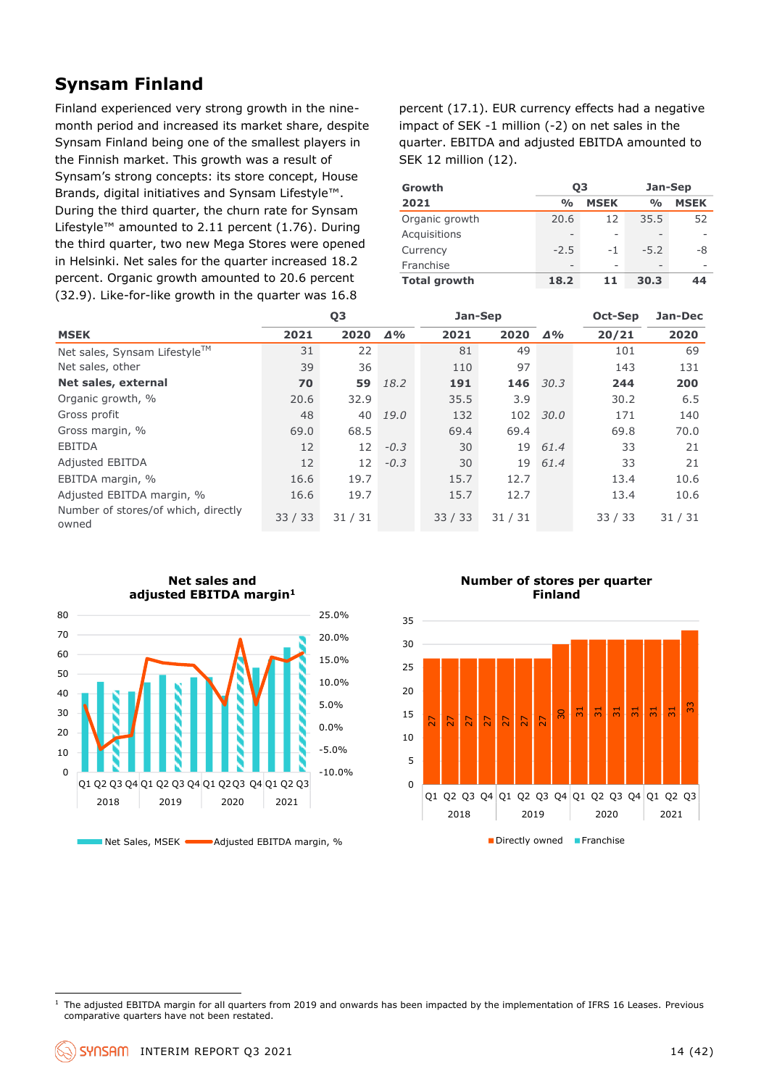## **Synsam Finland**

Finland experienced very strong growth in the ninemonth period and increased its market share, despite Synsam Finland being one of the smallest players in the Finnish market. This growth was a result of Synsam's strong concepts: its store concept, House Brands, digital initiatives and Synsam Lifestyle™. During the third quarter, the churn rate for Synsam Lifestyle™ amounted to 2.11 percent (1.76). During the third quarter, two new Mega Stores were opened in Helsinki. Net sales for the quarter increased 18.2 percent. Organic growth amounted to 20.6 percent (32.9). Like-for-like growth in the quarter was 16.8

percent (17.1). EUR currency effects had a negative impact of SEK -1 million (-2) on net sales in the quarter. EBITDA and adjusted EBITDA amounted to SEK 12 million (12).

| Growth              | 03            |             | Jan-Sep       |             |  |  |
|---------------------|---------------|-------------|---------------|-------------|--|--|
| 2021                | $\frac{0}{0}$ | <b>MSEK</b> | $\frac{0}{0}$ | <b>MSEK</b> |  |  |
| Organic growth      | 20.6          | 12          | 35.5          | 52          |  |  |
| Acquisitions        |               |             |               |             |  |  |
| Currency            | $-2.5$        | $-1$        | $-5.2$        | -8          |  |  |
| Franchise           |               |             |               |             |  |  |
| <b>Total growth</b> | 18.2          | 11          | 30.3          | 44          |  |  |

|                                              |                   | Q <sub>3</sub> |            | Jan-Sep |                       |      | Oct-Sep | Jan-Dec |  |
|----------------------------------------------|-------------------|----------------|------------|---------|-----------------------|------|---------|---------|--|
| <b>MSEK</b>                                  | 2021              | 2020           | $\Delta\%$ | 2021    | $2020 \quad \Delta\%$ |      | 20/21   | 2020    |  |
| Net sales, Synsam Lifestyle™                 | 31                | 22             |            | 81      | 49                    |      | 101     | 69      |  |
| Net sales, other                             | 39                | 36             |            | 110     | 97                    |      | 143     | 131     |  |
| Net sales, external                          | 70                | 59             | 18.2       | 191     | 146                   | 30.3 | 244     | 200     |  |
| Organic growth, %                            | 20.6              | 32.9           |            | 35.5    | 3.9                   |      | 30.2    | 6.5     |  |
| Gross profit                                 | 48                | 40             | 19.0       | 132     | 102                   | 30.0 | 171     | 140     |  |
| Gross margin, %                              | 69.0              | 68.5           |            | 69.4    | 69.4                  |      | 69.8    | 70.0    |  |
| <b>EBITDA</b>                                | $12 \overline{ }$ | 12             | $-0.3$     | 30      | 19                    | 61.4 | 33      | 21      |  |
| <b>Adjusted EBITDA</b>                       | $12 \overline{ }$ | 12             | $-0.3$     | 30      | 19                    | 61.4 | 33      | 21      |  |
| EBITDA margin, %                             | 16.6              | 19.7           |            | 15.7    | 12.7                  |      | 13.4    | 10.6    |  |
| Adjusted EBITDA margin, %                    | 16.6              | 19.7           |            | 15.7    | 12.7                  |      | 13.4    | 10.6    |  |
| Number of stores/of which, directly<br>owned | 33/33             | 31/31          |            | 33/33   | 31/31                 |      | 33/33   | 31/31   |  |



Net Sales, MSEK **Adjusted EBITDA** margin, %

**Number of stores per quarter Finland**



<sup>&</sup>lt;sup>1</sup> The adjusted EBITDA margin for all quarters from 2019 and onwards has been impacted by the implementation of IFRS 16 Leases. Previous comparative quarters have not been restated.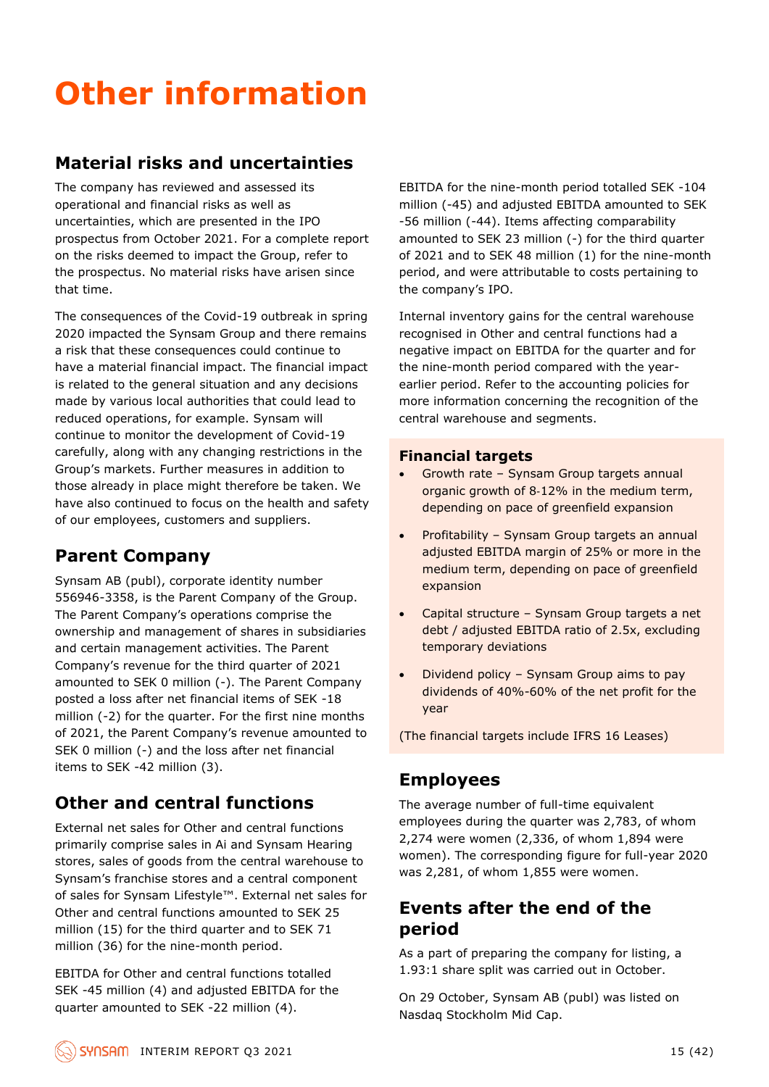## **Other information**

## **Material risks and uncertainties**

The company has reviewed and assessed its operational and financial risks as well as uncertainties, which are presented in the IPO prospectus from October 2021. For a complete report on the risks deemed to impact the Group, refer to the prospectus. No material risks have arisen since that time.

The consequences of the Covid-19 outbreak in spring 2020 impacted the Synsam Group and there remains a risk that these consequences could continue to have a material financial impact. The financial impact is related to the general situation and any decisions made by various local authorities that could lead to reduced operations, for example. Synsam will continue to monitor the development of Covid-19 carefully, along with any changing restrictions in the Group's markets. Further measures in addition to those already in place might therefore be taken. We have also continued to focus on the health and safety of our employees, customers and suppliers.

## **Parent Company**

Synsam AB (publ), corporate identity number 556946-3358, is the Parent Company of the Group. The Parent Company's operations comprise the ownership and management of shares in subsidiaries and certain management activities. The Parent Company's revenue for the third quarter of 2021 amounted to SEK 0 million (-). The Parent Company posted a loss after net financial items of SEK -18 million (-2) for the quarter. For the first nine months of 2021, the Parent Company's revenue amounted to SEK 0 million (-) and the loss after net financial items to SEK -42 million (3).

## **Other and central functions**

External net sales for Other and central functions primarily comprise sales in Ai and Synsam Hearing stores, sales of goods from the central warehouse to Synsam's franchise stores and a central component of sales for Synsam Lifestyle™. External net sales for Other and central functions amounted to SEK 25 million (15) for the third quarter and to SEK 71 million (36) for the nine-month period.

EBITDA for Other and central functions totalled SEK -45 million (4) and adjusted EBITDA for the quarter amounted to SEK -22 million (4).

EBITDA for the nine-month period totalled SEK -104 million (-45) and adjusted EBITDA amounted to SEK -56 million (-44). Items affecting comparability amounted to SEK 23 million (-) for the third quarter of 2021 and to SEK 48 million (1) for the nine-month period, and were attributable to costs pertaining to the company's IPO.

Internal inventory gains for the central warehouse recognised in Other and central functions had a negative impact on EBITDA for the quarter and for the nine-month period compared with the yearearlier period. Refer to the accounting policies for more information concerning the recognition of the central warehouse and segments.

#### **Financial targets**

- Growth rate Synsam Group targets annual organic growth of 8-12% in the medium term, depending on pace of greenfield expansion
- Profitability Synsam Group targets an annual adjusted EBITDA margin of 25% or more in the medium term, depending on pace of greenfield expansion
- Capital structure Synsam Group targets a net debt / adjusted EBITDA ratio of 2.5x, excluding temporary deviations
- Dividend policy Synsam Group aims to pay dividends of 40%-60% of the net profit for the year

(The financial targets include IFRS 16 Leases)

## **Employees**

The average number of full-time equivalent employees during the quarter was 2,783, of whom 2,274 were women (2,336, of whom 1,894 were women). The corresponding figure for full-year 2020 was 2,281, of whom 1,855 were women.

## **Events after the end of the period**

As a part of preparing the company for listing, a 1.93:1 share split was carried out in October.

On 29 October, Synsam AB (publ) was listed on Nasdaq Stockholm Mid Cap.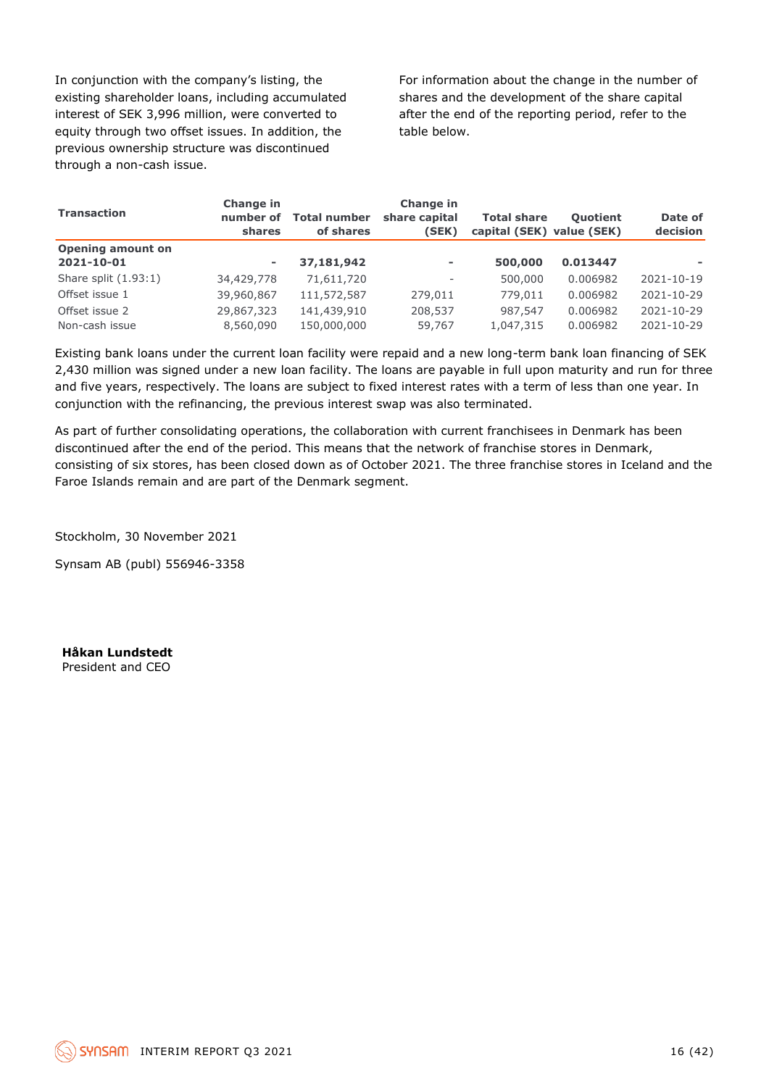In conjunction with the company's listing, the existing shareholder loans, including accumulated interest of SEK 3,996 million, were converted to equity through two offset issues. In addition, the previous ownership structure was discontinued through a non-cash issue.

For information about the change in the number of shares and the development of the share capital after the end of the reporting period, refer to the table below.

| <b>Transaction</b>               | <b>Change in</b><br>number of<br>shares | <b>Change in</b><br>share capital<br><b>Total number</b><br>of shares<br>(SEK) |                          | <b>Total share</b><br>capital (SEK) value (SEK) | <b>Ouotient</b>      | Date of<br>decision            |  |
|----------------------------------|-----------------------------------------|--------------------------------------------------------------------------------|--------------------------|-------------------------------------------------|----------------------|--------------------------------|--|
| <b>Opening amount on</b>         |                                         |                                                                                |                          |                                                 |                      |                                |  |
| 2021-10-01                       | ۰                                       | 37,181,942                                                                     | $\overline{\phantom{a}}$ | 500,000                                         | 0.013447             |                                |  |
| Share split $(1.93:1)$           | 34,429,778                              | 71,611,720                                                                     | $\overline{\phantom{a}}$ | 500,000                                         | 0.006982             | 2021-10-19                     |  |
| Offset issue 1                   | 39,960,867                              | 111,572,587                                                                    | 279,011                  | 779,011                                         | 0.006982             | 2021-10-29                     |  |
| Offset issue 2<br>Non-cash issue | 29,867,323<br>8,560,090                 | 141,439,910<br>150,000,000                                                     | 208,537<br>59,767        | 987,547<br>1,047,315                            | 0.006982<br>0.006982 | $2021 - 10 - 29$<br>2021-10-29 |  |

Existing bank loans under the current loan facility were repaid and a new long-term bank loan financing of SEK 2,430 million was signed under a new loan facility. The loans are payable in full upon maturity and run for three and five years, respectively. The loans are subject to fixed interest rates with a term of less than one year. In conjunction with the refinancing, the previous interest swap was also terminated.

As part of further consolidating operations, the collaboration with current franchisees in Denmark has been discontinued after the end of the period. This means that the network of franchise stores in Denmark, consisting of six stores, has been closed down as of October 2021. The three franchise stores in Iceland and the Faroe Islands remain and are part of the Denmark segment.

Stockholm, 30 November 2021

Synsam AB (publ) 556946-3358

**Håkan Lundstedt** President and CEO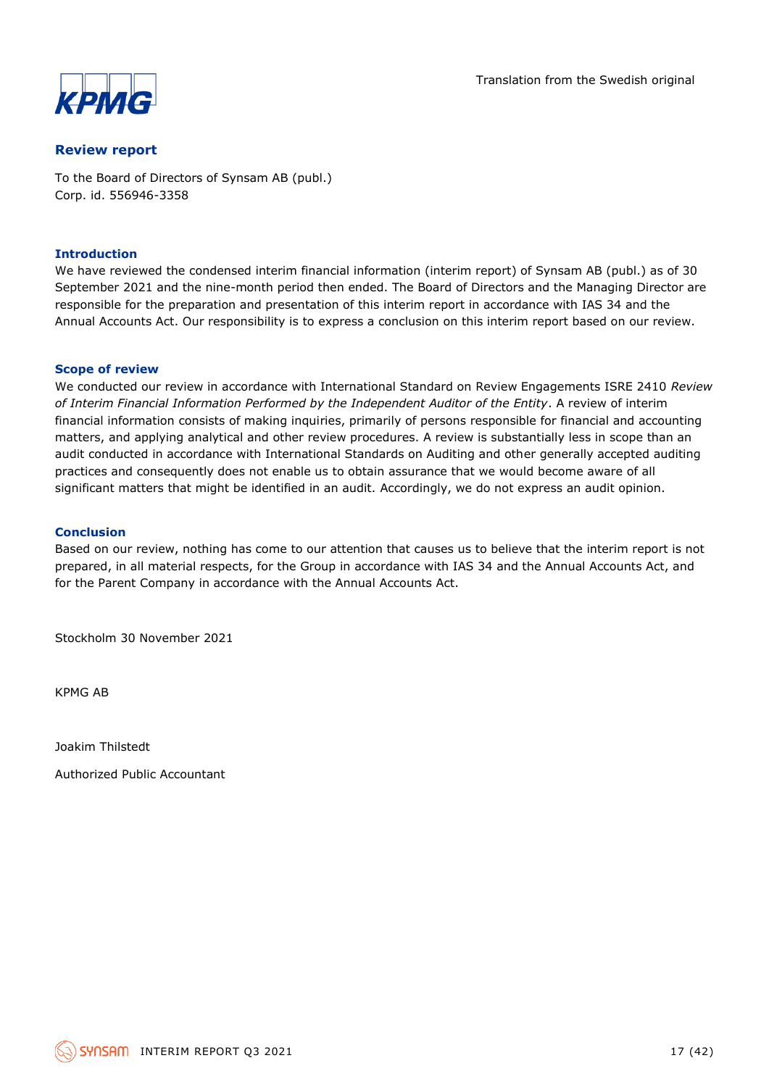

#### **Review report**

To the Board of Directors of Synsam AB (publ.) Corp. id. 556946-3358

#### **Introduction**

We have reviewed the condensed interim financial information (interim report) of Synsam AB (publ.) as of 30 September 2021 and the nine-month period then ended. The Board of Directors and the Managing Director are responsible for the preparation and presentation of this interim report in accordance with IAS 34 and the Annual Accounts Act. Our responsibility is to express a conclusion on this interim report based on our review.

#### **Scope of review**

We conducted our review in accordance with International Standard on Review Engagements ISRE 2410 *Review of Interim Financial Information Performed by the Independent Auditor of the Entity*. A review of interim financial information consists of making inquiries, primarily of persons responsible for financial and accounting matters, and applying analytical and other review procedures. A review is substantially less in scope than an audit conducted in accordance with International Standards on Auditing and other generally accepted auditing practices and consequently does not enable us to obtain assurance that we would become aware of all significant matters that might be identified in an audit. Accordingly, we do not express an audit opinion.

#### **Conclusion**

Based on our review, nothing has come to our attention that causes us to believe that the interim report is not prepared, in all material respects, for the Group in accordance with IAS 34 and the Annual Accounts Act, and for the Parent Company in accordance with the Annual Accounts Act.

Stockholm 30 November 2021

KPMG AB

Joakim Thilstedt

Authorized Public Accountant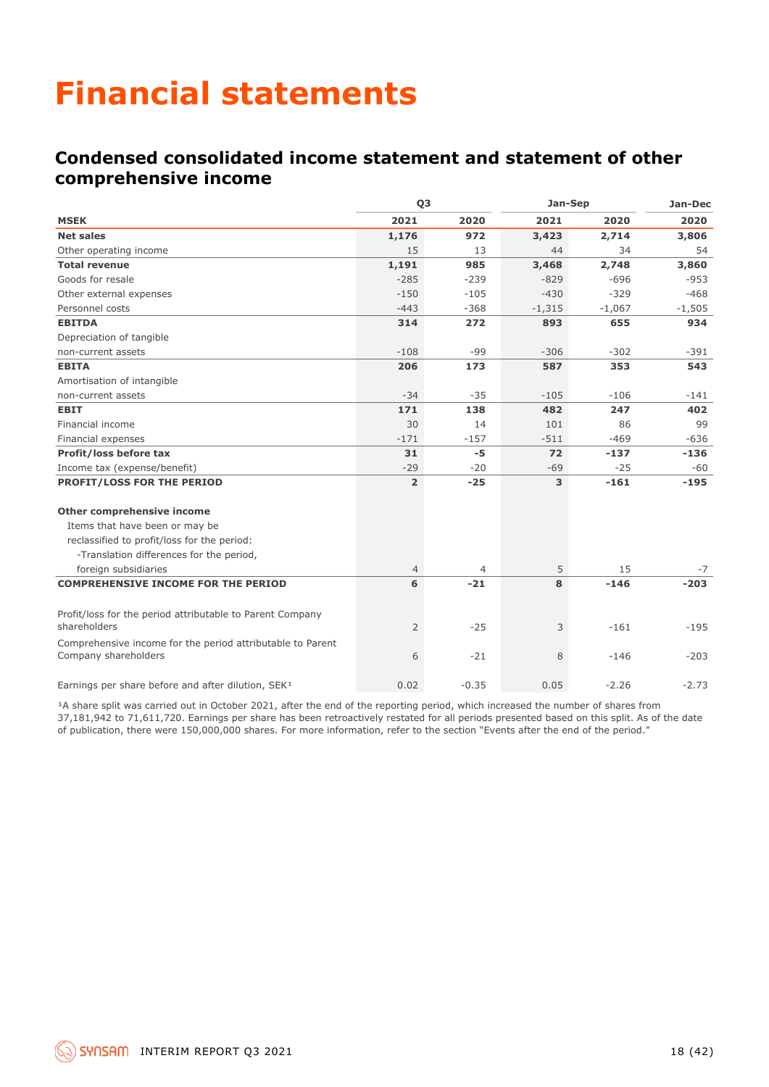## **Financial statements**

## **Condensed consolidated income statement and statement of other comprehensive income**

|                                                                                    |                | Q <sub>3</sub> | Jan-Sep  | Jan-Dec  |          |
|------------------------------------------------------------------------------------|----------------|----------------|----------|----------|----------|
| <b>MSEK</b>                                                                        | 2021           | 2020           | 2021     | 2020     | 2020     |
| <b>Net sales</b>                                                                   | 1,176          | 972            | 3,423    | 2,714    | 3,806    |
| Other operating income                                                             | 15             | 13             | 44       | 34       | 54       |
| <b>Total revenue</b>                                                               | 1,191          | 985            | 3,468    | 2,748    | 3,860    |
| Goods for resale                                                                   | $-285$         | $-239$         | $-829$   | $-696$   | $-953$   |
| Other external expenses                                                            | $-150$         | $-105$         | $-430$   | $-329$   | $-468$   |
| Personnel costs                                                                    | $-443$         | $-368$         | $-1,315$ | $-1,067$ | $-1,505$ |
| <b>EBITDA</b>                                                                      | 314            | 272            | 893      | 655      | 934      |
| Depreciation of tangible                                                           |                |                |          |          |          |
| non-current assets                                                                 | $-108$         | $-99$          | $-306$   | $-302$   | $-391$   |
| <b>EBITA</b>                                                                       | 206            | 173            | 587      | 353      | 543      |
| Amortisation of intangible                                                         |                |                |          |          |          |
| non-current assets                                                                 | $-34$          | $-35$          | $-105$   | $-106$   | $-141$   |
| <b>EBIT</b>                                                                        | 171            | 138            | 482      | 247      | 402      |
| Financial income                                                                   | 30             | 14             | 101      | 86       | 99       |
| Financial expenses                                                                 | $-171$         | $-157$         | $-511$   | $-469$   | $-636$   |
| Profit/loss before tax                                                             | 31             | $-5$           | 72       | $-137$   | $-136$   |
| Income tax (expense/benefit)                                                       | $-29$          | $-20$          | $-69$    | $-25$    | $-60$    |
| PROFIT/LOSS FOR THE PERIOD                                                         | $\overline{2}$ | $-25$          | 3        | $-161$   | $-195$   |
| Other comprehensive income                                                         |                |                |          |          |          |
| Items that have been or may be                                                     |                |                |          |          |          |
| reclassified to profit/loss for the period:                                        |                |                |          |          |          |
| -Translation differences for the period,                                           |                |                |          |          |          |
| foreign subsidiaries                                                               | $\overline{4}$ | 4              | 5        | 15       | $-7$     |
| <b>COMPREHENSIVE INCOME FOR THE PERIOD</b>                                         | 6              | $-21$          | 8        | $-146$   | $-203$   |
| Profit/loss for the period attributable to Parent Company<br>shareholders          | $\overline{2}$ | $-25$          | 3        | $-161$   | $-195$   |
| Comprehensive income for the period attributable to Parent<br>Company shareholders | 6              | $-21$          | 8        | $-146$   | $-203$   |
| Earnings per share before and after dilution, SEK <sup>1</sup>                     | 0.02           | $-0.35$        | 0.05     | $-2.26$  | $-2.73$  |

<sup>1</sup>A share split was carried out in October 2021, after the end of the reporting period, which increased the number of shares from 37,181,942 to 71,611,720. Earnings per share has been retroactively restated for all periods presented based on this split. As of the date of publication, there were 150,000,000 shares. For more information, refer to the section "Events after the end of the period."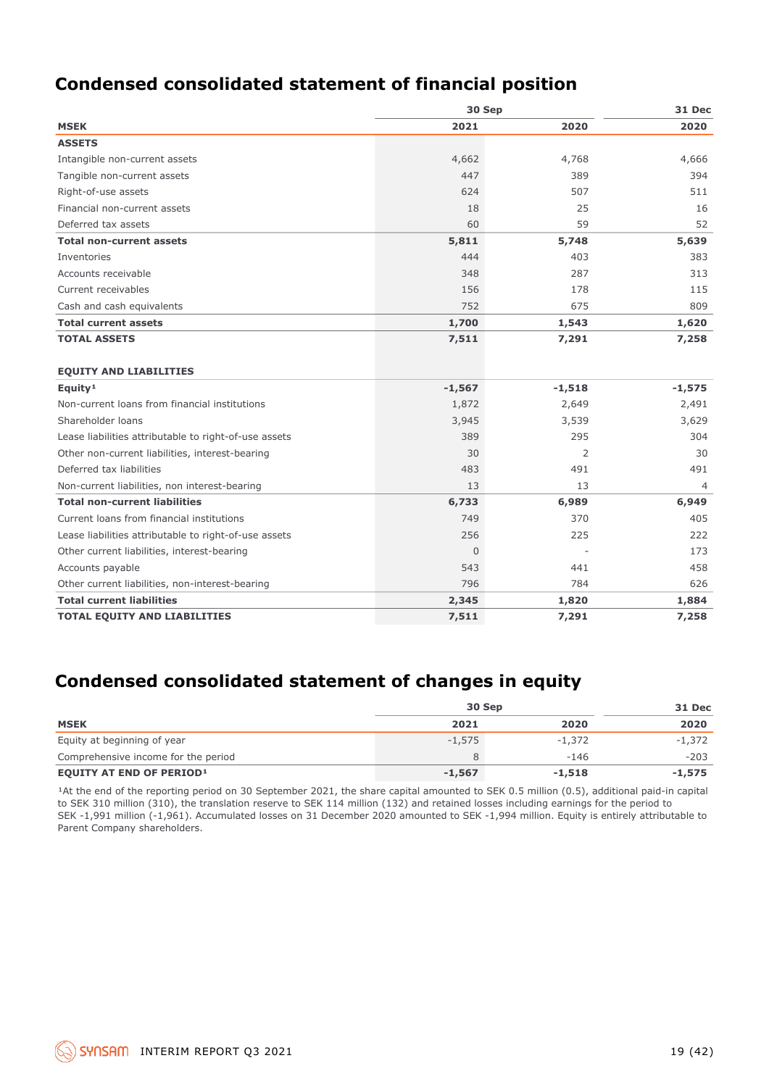## **Condensed consolidated statement of financial position**

|                                                       | 30 Sep   | 31 Dec         |          |  |
|-------------------------------------------------------|----------|----------------|----------|--|
| <b>MSEK</b>                                           | 2021     | 2020           | 2020     |  |
| <b>ASSETS</b>                                         |          |                |          |  |
| Intangible non-current assets                         | 4,662    | 4,768          | 4,666    |  |
| Tangible non-current assets                           | 447      | 389            | 394      |  |
| Right-of-use assets                                   | 624      | 507            | 511      |  |
| Financial non-current assets                          | 18       | 25             | 16       |  |
| Deferred tax assets                                   | 60       | 59             | 52       |  |
| <b>Total non-current assets</b>                       | 5,811    | 5,748          | 5,639    |  |
| Inventories                                           | 444      | 403            | 383      |  |
| Accounts receivable                                   | 348      | 287            | 313      |  |
| Current receivables                                   | 156      | 178            | 115      |  |
| Cash and cash equivalents                             | 752      | 675            | 809      |  |
| <b>Total current assets</b>                           | 1,700    | 1,543          | 1,620    |  |
| <b>TOTAL ASSETS</b>                                   | 7,511    | 7,291          | 7,258    |  |
|                                                       |          |                |          |  |
| <b>EQUITY AND LIABILITIES</b>                         |          |                |          |  |
| Equity <sup>1</sup>                                   | $-1,567$ | $-1,518$       | $-1,575$ |  |
| Non-current loans from financial institutions         | 1,872    | 2,649          | 2,491    |  |
| Shareholder loans                                     | 3,945    | 3,539          | 3,629    |  |
| Lease liabilities attributable to right-of-use assets | 389      | 295            | 304      |  |
| Other non-current liabilities, interest-bearing       | 30       | $\overline{2}$ | 30       |  |
| Deferred tax liabilities                              | 483      | 491            | 491      |  |
| Non-current liabilities, non interest-bearing         | 13       | 13             | 4        |  |
| <b>Total non-current liabilities</b>                  | 6,733    | 6,989          | 6,949    |  |
| Current loans from financial institutions             | 749      | 370            | 405      |  |
| Lease liabilities attributable to right-of-use assets | 256      | 225            | 222      |  |
| Other current liabilities, interest-bearing           | $\Omega$ |                | 173      |  |
| Accounts payable                                      | 543      | 441            | 458      |  |
| Other current liabilities, non-interest-bearing       | 796      | 784            | 626      |  |
| <b>Total current liabilities</b>                      | 2,345    | 1,820          | 1,884    |  |
| <b>TOTAL EQUITY AND LIABILITIES</b>                   | 7,511    | 7,291          | 7,258    |  |

## **Condensed consolidated statement of changes in equity**

|                                     | 30 Sep   | 31 Dec   |        |
|-------------------------------------|----------|----------|--------|
| <b>MSEK</b>                         | 2021     | 2020     | 2020   |
| Equity at beginning of year         | $-1.575$ | $-1.372$ | -1,372 |
| Comprehensive income for the period |          | $-146$   | $-203$ |
| <b>EQUITY AT END OF PERIOD1</b>     | $-1,567$ | $-1,518$ | -1,575 |

<sup>1</sup>At the end of the reporting period on 30 September 2021, the share capital amounted to SEK 0.5 million (0.5), additional paid-in capital to SEK 310 million (310), the translation reserve to SEK 114 million (132) and retained losses including earnings for the period to SEK -1,991 million (-1,961). Accumulated losses on 31 December 2020 amounted to SEK -1,994 million. Equity is entirely attributable to Parent Company shareholders.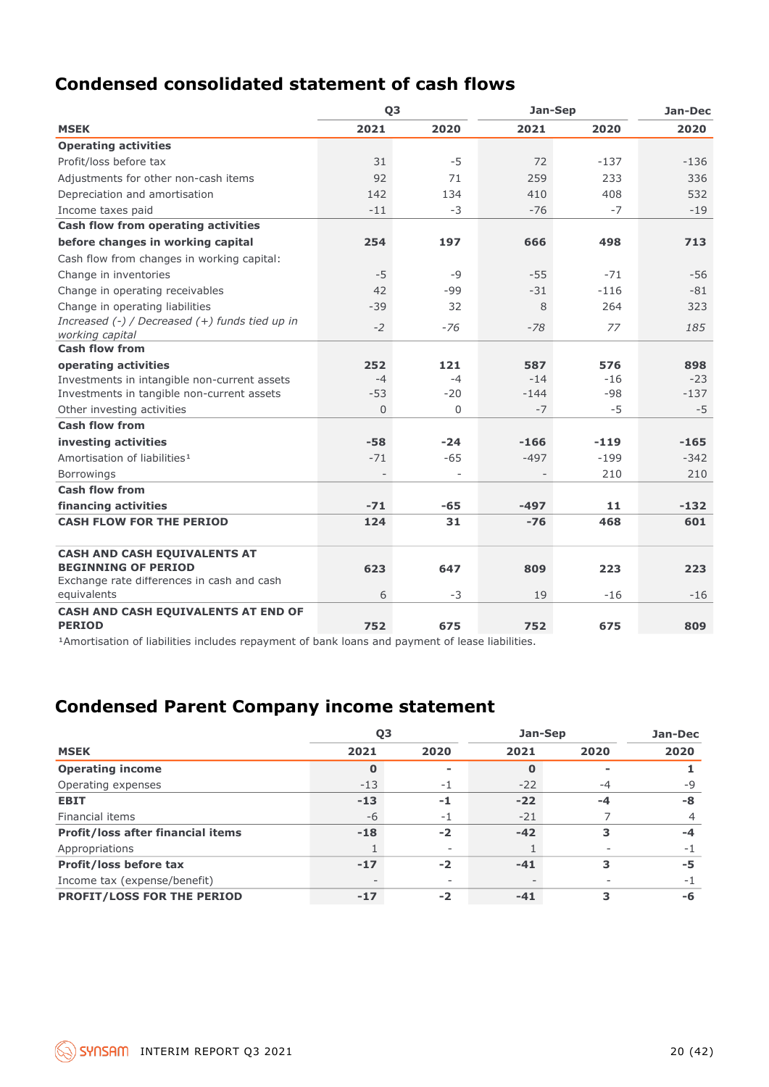## **Condensed consolidated statement of cash flows**

|                                                      | Q <sub>3</sub> |          | Jan-Sep | Jan-Dec |        |
|------------------------------------------------------|----------------|----------|---------|---------|--------|
| <b>MSEK</b>                                          | 2021           | 2020     | 2021    | 2020    | 2020   |
| <b>Operating activities</b>                          |                |          |         |         |        |
| Profit/loss before tax                               | 31             | $-5$     | 72      | $-137$  | $-136$ |
| Adjustments for other non-cash items                 | 92             | 71       | 259     | 233     | 336    |
| Depreciation and amortisation                        | 142            | 134      | 410     | 408     | 532    |
| Income taxes paid                                    | $-11$          | $-3$     | $-76$   | $-7$    | $-19$  |
| Cash flow from operating activities                  |                |          |         |         |        |
| before changes in working capital                    | 254            | 197      | 666     | 498     | 713    |
| Cash flow from changes in working capital:           |                |          |         |         |        |
| Change in inventories                                | $-5$           | $-9$     | $-55$   | $-71$   | $-56$  |
| Change in operating receivables                      | 42             | $-99$    | $-31$   | $-116$  | $-81$  |
| Change in operating liabilities                      | $-39$          | 32       | 8       | 264     | 323    |
| Increased $(-)$ / Decreased $(+)$ funds tied up in   | $-2$           | $-76$    | $-78$   | 77      | 185    |
| working capital                                      |                |          |         |         |        |
| <b>Cash flow from</b>                                |                |          |         |         |        |
| operating activities                                 | 252            | 121      | 587     | 576     | 898    |
| Investments in intangible non-current assets         | $-4$           | $-4$     | $-14$   | $-16$   | $-23$  |
| Investments in tangible non-current assets           | $-53$          | $-20$    | $-144$  | $-98$   | $-137$ |
| Other investing activities                           | $\Omega$       | $\Omega$ | $-7$    | $-5$    | $-5$   |
| <b>Cash flow from</b>                                |                |          |         |         |        |
| investing activities                                 | $-58$          | $-24$    | $-166$  | $-119$  | $-165$ |
| Amortisation of liabilities <sup>1</sup>             | $-71$          | $-65$    | $-497$  | $-199$  | $-342$ |
| <b>Borrowings</b>                                    |                |          |         | 210     | 210    |
| <b>Cash flow from</b>                                |                |          |         |         |        |
| financing activities                                 | $-71$          | -65      | $-497$  | 11      | $-132$ |
| <b>CASH FLOW FOR THE PERIOD</b>                      | 124            | 31       | $-76$   | 468     | 601    |
| <b>CASH AND CASH EQUIVALENTS AT</b>                  |                |          |         |         |        |
| <b>BEGINNING OF PERIOD</b>                           | 623            | 647      | 809     | 223     | 223    |
| Exchange rate differences in cash and cash           |                |          |         |         |        |
| equivalents                                          | 6              | $-3$     | 19      | $-16$   | $-16$  |
| CASH AND CASH EQUIVALENTS AT END OF<br><b>PERIOD</b> | 752            | 675      | 752     | 675     | 809    |

<sup>1</sup>Amortisation of liabilities includes repayment of bank loans and payment of lease liabilities.

## **Condensed Parent Company income statement**

|                                          |       | Q3      | Jan-Sep | Jan-Dec |      |
|------------------------------------------|-------|---------|---------|---------|------|
| <b>MSEK</b>                              | 2021  | 2020    | 2021    | 2020    | 2020 |
| <b>Operating income</b>                  | 0     | -       |         |         |      |
| Operating expenses                       | $-13$ | $^{-1}$ | $-22$   | -4      | $-9$ |
| <b>EBIT</b>                              | $-13$ | -1      | $-22$   | -4      | -8   |
| Financial items                          | -6    | - 1     | $-21$   |         | 4    |
| <b>Profit/loss after financial items</b> | $-18$ | $-2$    | $-42$   | 3       | $-4$ |
| Appropriations                           |       | $\sim$  |         |         | $-1$ |
| Profit/loss before tax                   | $-17$ | $-2$    | $-41$   | 3       | -5   |
| Income tax (expense/benefit)             |       |         |         |         | - 1  |
| <b>PROFIT/LOSS FOR THE PERIOD</b>        | $-17$ | $-2$    | $-41$   |         | -6   |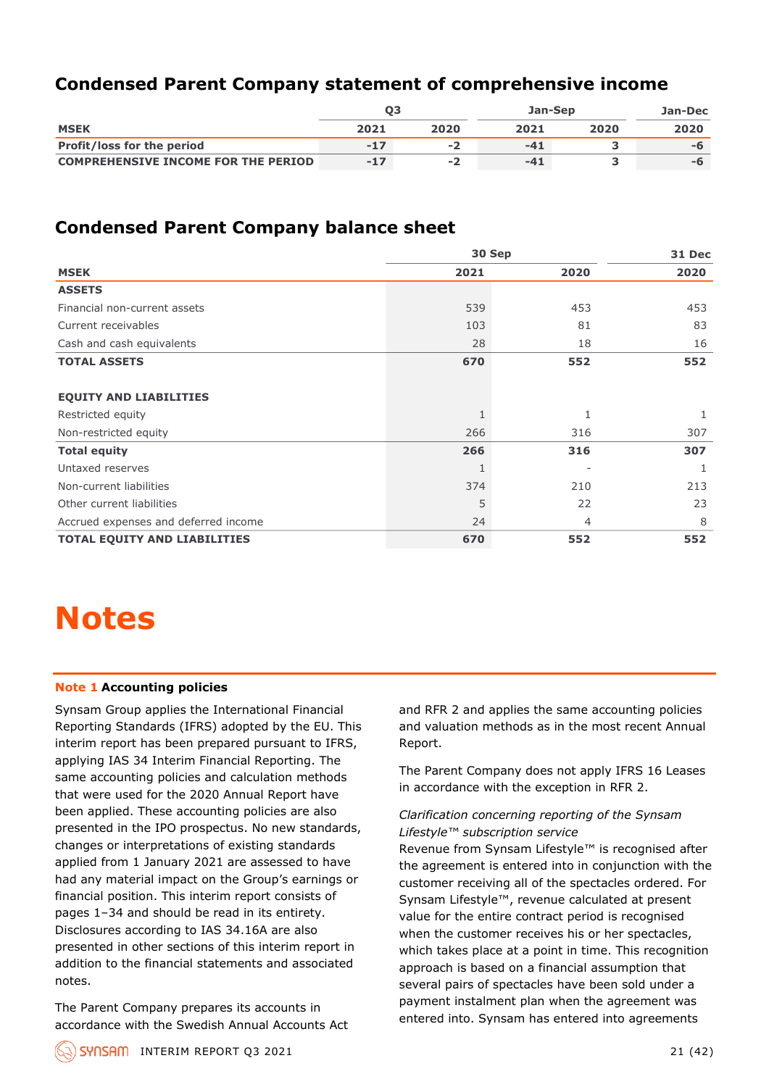## **Condensed Parent Company statement of comprehensive income**

|                                            | Ο3    |      | Jan-Sep | Jan-Dec |      |
|--------------------------------------------|-------|------|---------|---------|------|
| <b>MSEK</b>                                | 2021  | 2020 | 2021    | 2020    | 2020 |
| <b>Profit/loss for the period</b>          | $-17$ | - 7  | -41     |         | -h   |
| <b>COMPREHENSIVE INCOME FOR THE PERIOD</b> | $-17$ | - 7  | -41     |         | -h   |

### **Condensed Parent Company balance sheet**

|                                      | 30 Sep       | 31 Dec |      |
|--------------------------------------|--------------|--------|------|
| <b>MSEK</b>                          | 2021         | 2020   | 2020 |
| <b>ASSETS</b>                        |              |        |      |
| Financial non-current assets         | 539          | 453    | 453  |
| Current receivables                  | 103          | 81     | 83   |
| Cash and cash equivalents            | 28           | 18     | 16   |
| <b>TOTAL ASSETS</b>                  | 670          | 552    | 552  |
| <b>EQUITY AND LIABILITIES</b>        |              |        |      |
| Restricted equity                    | $\mathbf{1}$ | 1      |      |
| Non-restricted equity                | 266          | 316    | 307  |
| <b>Total equity</b>                  | 266          | 316    | 307  |
| Untaxed reserves                     | $\mathbf{1}$ |        |      |
| Non-current liabilities              | 374          | 210    | 213  |
| Other current liabilities            | 5            | 22     | 23   |
| Accrued expenses and deferred income | 24           | 4      | 8    |
| <b>TOTAL EQUITY AND LIABILITIES</b>  | 670          | 552    | 552  |

## **Notes**

#### **Note 1 Accounting policies**

Synsam Group applies the International Financial Reporting Standards (IFRS) adopted by the EU. This interim report has been prepared pursuant to IFRS, applying IAS 34 Interim Financial Reporting. The same accounting policies and calculation methods that were used for the 2020 Annual Report have been applied. These accounting policies are also presented in the IPO prospectus. No new standards, changes or interpretations of existing standards applied from 1 January 2021 are assessed to have had any material impact on the Group's earnings or financial position. This interim report consists of pages 1–34 and should be read in its entirety. Disclosures according to IAS 34.16A are also presented in other sections of this interim report in addition to the financial statements and associated notes.

The Parent Company prepares its accounts in accordance with the Swedish Annual Accounts Act and RFR 2 and applies the same accounting policies and valuation methods as in the most recent Annual Report.

The Parent Company does not apply IFRS 16 Leases in accordance with the exception in RFR 2.

#### *Clarification concerning reporting of the Synsam Lifestyle™ subscription service*

Revenue from Synsam Lifestyle™ is recognised after the agreement is entered into in conjunction with the customer receiving all of the spectacles ordered. For Synsam Lifestyle™, revenue calculated at present value for the entire contract period is recognised when the customer receives his or her spectacles, which takes place at a point in time. This recognition approach is based on a financial assumption that several pairs of spectacles have been sold under a payment instalment plan when the agreement was entered into. Synsam has entered into agreements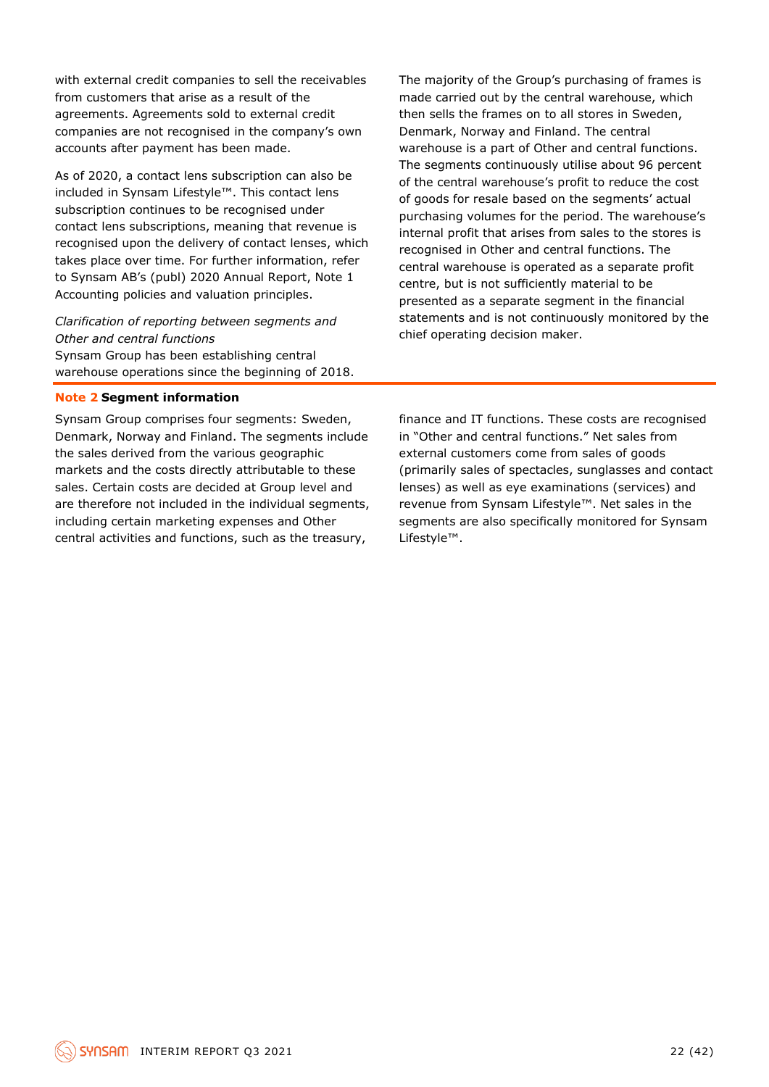with external credit companies to sell the receivables from customers that arise as a result of the agreements. Agreements sold to external credit companies are not recognised in the company's own accounts after payment has been made.

As of 2020, a contact lens subscription can also be included in Synsam Lifestyle™. This contact lens subscription continues to be recognised under contact lens subscriptions, meaning that revenue is recognised upon the delivery of contact lenses, which takes place over time. For further information, refer to Synsam AB's (publ) 2020 Annual Report, Note 1 Accounting policies and valuation principles.

#### *Clarification of reporting between segments and Other and central functions*

Synsam Group has been establishing central warehouse operations since the beginning of 2018.

#### **Note 2 Segment information**

Synsam Group comprises four segments: Sweden, Denmark, Norway and Finland. The segments include the sales derived from the various geographic markets and the costs directly attributable to these sales. Certain costs are decided at Group level and are therefore not included in the individual seaments. including certain marketing expenses and Other central activities and functions, such as the treasury,

The majority of the Group's purchasing of frames is made carried out by the central warehouse, which then sells the frames on to all stores in Sweden, Denmark, Norway and Finland. The central warehouse is a part of Other and central functions. The segments continuously utilise about 96 percent of the central warehouse's profit to reduce the cost of goods for resale based on the segments' actual purchasing volumes for the period. The warehouse's internal profit that arises from sales to the stores is recognised in Other and central functions. The central warehouse is operated as a separate profit centre, but is not sufficiently material to be presented as a separate segment in the financial statements and is not continuously monitored by the chief operating decision maker.

finance and IT functions. These costs are recognised in "Other and central functions." Net sales from external customers come from sales of goods (primarily sales of spectacles, sunglasses and contact lenses) as well as eye examinations (services) and revenue from Synsam Lifestyle™. Net sales in the segments are also specifically monitored for Synsam Lifestyle™.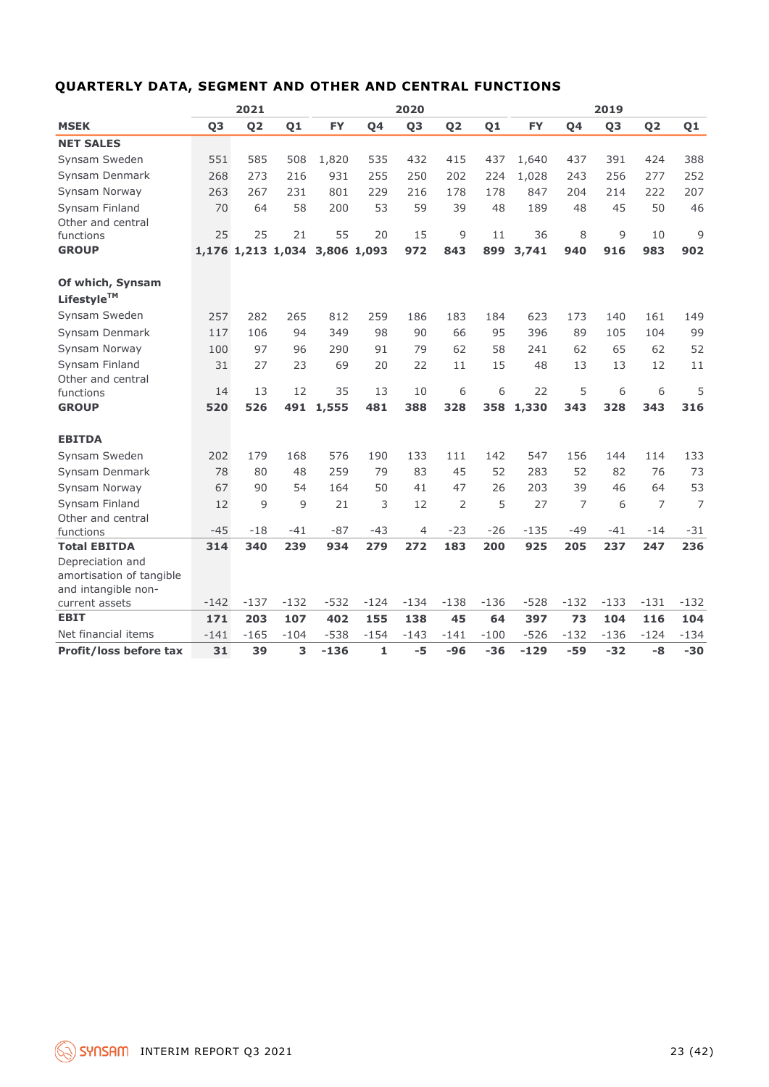| QUARTERLY DATA, SEGMENT AND OTHER AND CENTRAL FUNCTIONS |  |  |  |  |
|---------------------------------------------------------|--|--|--|--|
|---------------------------------------------------------|--|--|--|--|

|                                              | 2021   |                |                   |           | 2020        |                |                |                |           | 2019   |                |                |        |
|----------------------------------------------|--------|----------------|-------------------|-----------|-------------|----------------|----------------|----------------|-----------|--------|----------------|----------------|--------|
| <b>MSEK</b>                                  | Q3     | Q <sub>2</sub> | Q1                | <b>FY</b> | Q4          | Q <sub>3</sub> | Q <sub>2</sub> | Q <sub>1</sub> | <b>FY</b> | Q4     | Q <sub>3</sub> | Q <sub>2</sub> | Q1     |
| <b>NET SALES</b>                             |        |                |                   |           |             |                |                |                |           |        |                |                |        |
| Synsam Sweden                                | 551    | 585            | 508               | 1,820     | 535         | 432            | 415            | 437            | 1,640     | 437    | 391            | 424            | 388    |
| Synsam Denmark                               | 268    | 273            | 216               | 931       | 255         | 250            | 202            | 224            | 1,028     | 243    | 256            | 277            | 252    |
| Synsam Norway                                | 263    | 267            | 231               | 801       | 229         | 216            | 178            | 178            | 847       | 204    | 214            | 222            | 207    |
| Synsam Finland                               | 70     | 64             | 58                | 200       | 53          | 59             | 39             | 48             | 189       | 48     | 45             | 50             | 46     |
| Other and central                            |        |                |                   |           |             |                |                |                |           |        |                |                |        |
| functions                                    | 25     | 25             | 21                | 55        | 20          | 15             | 9              | 11             | 36        | 8      | 9              | 10             | 9      |
| <b>GROUP</b>                                 |        |                | 1,176 1,213 1,034 |           | 3,806 1,093 | 972            | 843            | 899            | 3,741     | 940    | 916            | 983            | 902    |
| Of which, Synsam                             |        |                |                   |           |             |                |                |                |           |        |                |                |        |
| Lifestyle™                                   |        |                |                   |           |             |                |                |                |           |        |                |                |        |
| Synsam Sweden                                | 257    | 282            | 265               | 812       | 259         | 186            | 183            | 184            | 623       | 173    | 140            | 161            | 149    |
| Synsam Denmark                               | 117    | 106            | 94                | 349       | 98          | 90             | 66             | 95             | 396       | 89     | 105            | 104            | 99     |
| Synsam Norway                                | 100    | 97             | 96                | 290       | 91          | 79             | 62             | 58             | 241       | 62     | 65             | 62             | 52     |
| Synsam Finland                               | 31     | 27             | 23                | 69        | 20          | 22             | 11             | 15             | 48        | 13     | 13             | 12             | 11     |
| Other and central                            |        |                |                   |           |             |                |                |                |           |        |                |                |        |
| functions                                    | 14     | 13             | 12                | 35        | 13          | 10             | 6              | 6              | 22        | 5      | 6              | 6              | 5      |
| <b>GROUP</b>                                 | 520    | 526            | 491               | 1,555     | 481         | 388            | 328            | 358            | 1,330     | 343    | 328            | 343            | 316    |
| <b>EBITDA</b>                                |        |                |                   |           |             |                |                |                |           |        |                |                |        |
| Synsam Sweden                                | 202    | 179            | 168               | 576       | 190         | 133            | 111            | 142            | 547       | 156    | 144            | 114            | 133    |
| Synsam Denmark                               | 78     | 80             | 48                | 259       | 79          | 83             | 45             | 52             | 283       | 52     | 82             | 76             | 73     |
| Synsam Norway                                | 67     | 90             | 54                | 164       | 50          | 41             | 47             | 26             | 203       | 39     | 46             | 64             | 53     |
| Synsam Finland                               | 12     | $\mathsf{Q}$   | 9                 | 21        | 3           | 12             | 2              | 5              | 27        | 7      | 6              | 7              | 7      |
| Other and central                            |        |                |                   |           |             |                |                |                |           |        |                |                |        |
| functions                                    | $-45$  | $-18$          | -41               | $-87$     | $-43$       | 4              | $-23$          | $-26$          | $-135$    | $-49$  | $-41$          | $-14$          | $-31$  |
| <b>Total EBITDA</b>                          | 314    | 340            | 239               | 934       | 279         | 272            | 183            | 200            | 925       | 205    | 237            | 247            | 236    |
| Depreciation and<br>amortisation of tangible |        |                |                   |           |             |                |                |                |           |        |                |                |        |
| and intangible non-                          |        |                |                   |           |             |                |                |                |           |        |                |                |        |
| current assets                               | $-142$ | $-137$         | $-132$            | $-532$    | $-124$      | $-134$         | $-138$         | $-136$         | $-528$    | $-132$ | $-133$         | $-131$         | $-132$ |
| <b>EBIT</b>                                  | 171    | 203            | 107               | 402       | 155         | 138            | 45             | 64             | 397       | 73     | 104            | 116            | 104    |
| Net financial items                          | $-141$ | $-165$         | $-104$            | $-538$    | $-154$      | $-143$         | $-141$         | $-100$         | $-526$    | $-132$ | $-136$         | $-124$         | $-134$ |
| <b>Profit/loss before tax</b>                | 31     | 39             | 3                 | $-136$    | 1           | -5             | $-96$          | $-36$          | $-129$    | $-59$  | $-32$          | $-8$           | $-30$  |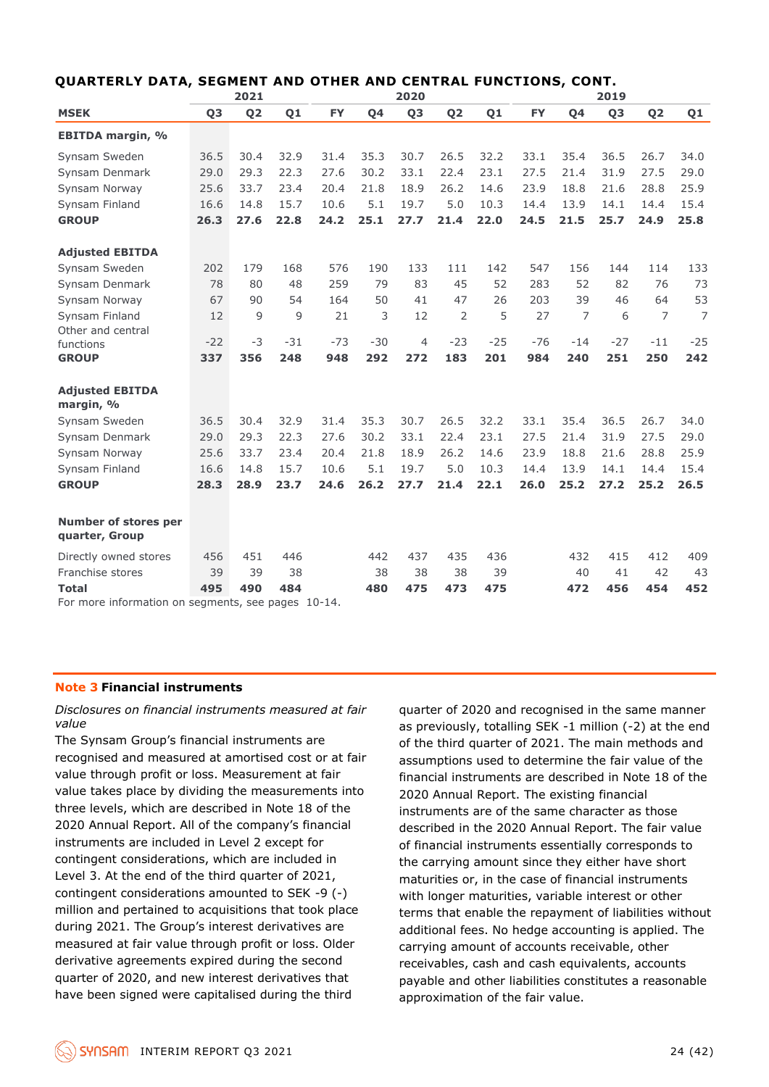|                                                                |                | 2021           |       |           |       | 2020                                                                                                       |                |       |                                            |                | 2019           |                                                                                                           |                |
|----------------------------------------------------------------|----------------|----------------|-------|-----------|-------|------------------------------------------------------------------------------------------------------------|----------------|-------|--------------------------------------------|----------------|----------------|-----------------------------------------------------------------------------------------------------------|----------------|
| <b>MSEK</b>                                                    | Q <sub>3</sub> | Q <sub>2</sub> | Q1    | <b>FY</b> | Q4    | Q <sub>3</sub>                                                                                             | Q <sub>2</sub> | Q1    | <b>FY</b>                                  | Q4             | Q <sub>3</sub> | Q <sub>2</sub>                                                                                            | Q1             |
| <b>EBITDA margin, %</b>                                        |                |                |       |           |       |                                                                                                            |                |       |                                            |                |                |                                                                                                           |                |
| Synsam Sweden                                                  | 36.5           | 30.4           | 32.9  | 31.4      | 35.3  | 30.7                                                                                                       | 26.5           | 32.2  | 33.1                                       | 35.4           | 36.5           | 26.7                                                                                                      | 34.0           |
| Synsam Denmark                                                 | 29.0           | 29.3           | 22.3  | 27.6      | 30.2  | 33.1                                                                                                       | 22.4           | 23.1  | 27.5                                       | 21.4           | 31.9           | 27.5                                                                                                      | 29.0           |
| Synsam Norway                                                  | 25.6           | 33.7           | 23.4  | 20.4      | 21.8  | 18.9                                                                                                       | 26.2           | 14.6  | 23.9                                       | 18.8           | 21.6           | 28.8                                                                                                      | 25.9           |
| Synsam Finland                                                 | 16.6           | 14.8           | 15.7  | 10.6      | 5.1   | 19.7                                                                                                       | 5.0            | 10.3  | 14.4                                       | 13.9           | 14.1           | 14.4                                                                                                      | 15.4           |
| <b>GROUP</b>                                                   | 26.3           | 27.6           | 22.8  | 24.2      | 25.1  | 27.7                                                                                                       | 21.4           | 22.0  | 24.5                                       | 21.5           | 25.7           | 24.9                                                                                                      | 25.8           |
|                                                                |                |                |       |           |       |                                                                                                            |                |       |                                            |                |                |                                                                                                           |                |
| <b>Adjusted EBITDA</b>                                         |                |                |       |           |       |                                                                                                            |                |       |                                            |                |                |                                                                                                           |                |
| Synsam Sweden                                                  | 202            | 179            | 168   | 576       | 190   | 133                                                                                                        | 111            | 142   | 547                                        | 156            | 144            | 114                                                                                                       | 133            |
| Synsam Denmark                                                 | 78             | 80             | 48    | 259       | 79    | 83                                                                                                         | 45             | 52    | 283                                        | 52             | 82             | 76                                                                                                        | 73             |
| Synsam Norway                                                  | 67             | 90             | 54    | 164       | 50    | 41                                                                                                         | 47             | 26    | 203                                        | 39             | 46             | 64                                                                                                        | 53             |
| Synsam Finland                                                 | 12             | 9              | 9     | 21        | 3     | 12                                                                                                         | $\overline{2}$ | 5     | 27                                         | $\overline{7}$ | 6              | $\overline{7}$                                                                                            | $\overline{7}$ |
| Other and central                                              |                |                |       |           |       |                                                                                                            |                |       |                                            |                |                |                                                                                                           |                |
| functions                                                      | $-22$          | $-3$           | $-31$ | $-73$     | $-30$ | 4                                                                                                          | $-23$          | $-25$ | $-76$                                      | $-14$          | $-27$          | $-11$                                                                                                     | $-25$          |
| <b>GROUP</b>                                                   | 337            | 356            | 248   | 948       | 292   | 272                                                                                                        | 183            | 201   | 984                                        | 240            | 251            | 250                                                                                                       | 242            |
| <b>Adjusted EBITDA</b><br>margin, %                            |                |                |       |           |       |                                                                                                            |                |       |                                            |                |                |                                                                                                           |                |
| Synsam Sweden                                                  | 36.5           | 30.4           | 32.9  | 31.4      | 35.3  | 30.7                                                                                                       | 26.5           | 32.2  | 33.1                                       | 35.4           | 36.5           | 26.7                                                                                                      | 34.0           |
| Synsam Denmark                                                 | 29.0           | 29.3           | 22.3  | 27.6      | 30.2  | 33.1                                                                                                       | 22.4           | 23.1  | 27.5                                       | 21.4           | 31.9           | 27.5                                                                                                      | 29.0           |
| Synsam Norway                                                  | 25.6           | 33.7           | 23.4  | 20.4      | 21.8  | 18.9                                                                                                       | 26.2           | 14.6  | 23.9                                       | 18.8           | 21.6           | 28.8                                                                                                      | 25.9           |
| Synsam Finland                                                 | 16.6           | 14.8           | 15.7  | 10.6      | 5.1   | 19.7                                                                                                       | 5.0            | 10.3  | 14.4                                       | 13.9           | 14.1           | 14.4                                                                                                      | 15.4           |
| <b>GROUP</b>                                                   | 28.3           | 28.9           | 23.7  | 24.6      | 26.2  | 27.7                                                                                                       | 21.4           | 22.1  | 26.0                                       | 25.2           | 27.2           | 25.2                                                                                                      | 26.5           |
|                                                                |                |                |       |           |       |                                                                                                            |                |       |                                            |                |                |                                                                                                           |                |
| <b>Number of stores per</b><br>quarter, Group                  |                |                |       |           |       |                                                                                                            |                |       |                                            |                |                |                                                                                                           |                |
| Directly owned stores                                          | 456            | 451            | 446   |           | 442   | 437                                                                                                        | 435            | 436   |                                            | 432            | 415            | 412                                                                                                       | 409            |
| Franchise stores                                               | 39             | 39             | 38    |           | 38    | 38                                                                                                         | 38             | 39    |                                            | 40             | 41             | 42                                                                                                        | 43             |
| <b>Total</b>                                                   | 495            | 490            | 484   |           | 480   | 475                                                                                                        | 473            | 475   |                                            | 472            | 456            | 454                                                                                                       | 452            |
| For more information on segments, see pages 10-14.             |                |                |       |           |       |                                                                                                            |                |       |                                            |                |                |                                                                                                           |                |
|                                                                |                |                |       |           |       |                                                                                                            |                |       |                                            |                |                |                                                                                                           |                |
| <b>Note 3 Financial instruments</b>                            |                |                |       |           |       |                                                                                                            |                |       |                                            |                |                |                                                                                                           |                |
| Disclosures on financial instruments measured at fair<br>value |                |                |       |           |       |                                                                                                            |                |       |                                            |                |                | quarter of 2020 and recognised in the same manner                                                         |                |
| The Synsam Group's financial instruments are                   |                |                |       |           |       |                                                                                                            |                |       |                                            |                |                | as previously, totalling SEK -1 million (-2) at the end                                                   |                |
| recognised and measured at amortised cost or at fair           |                |                |       |           |       |                                                                                                            |                |       |                                            |                |                | of the third quarter of 2021. The main methods and<br>assumptions used to determine the fair value of the |                |
| value through profit or loss. Measurement at fair              |                |                |       |           |       |                                                                                                            |                |       |                                            |                |                |                                                                                                           |                |
| value takes place by dividing the measurements into            |                |                |       |           |       |                                                                                                            |                |       |                                            |                |                | financial instruments are described in Note 18 of the                                                     |                |
| three levels, which are described in Note 18 of the            |                |                |       |           |       |                                                                                                            |                |       | 2020 Annual Report. The existing financial |                |                |                                                                                                           |                |
| 2020 Annual Report. All of the company's financial             |                |                |       |           |       | instruments are of the same character as those                                                             |                |       |                                            |                |                |                                                                                                           |                |
|                                                                |                |                |       |           |       | described in the 2020 Annual Report. The fair value<br>of financial instruments essentially corresponds to |                |       |                                            |                |                |                                                                                                           |                |
| instruments are included in Level 2 except for                 |                |                |       |           |       |                                                                                                            |                |       |                                            |                |                |                                                                                                           |                |
| contingent considerations, which are included in               |                |                |       |           |       |                                                                                                            |                |       |                                            |                |                | the carrying amount since they either have short                                                          |                |
| Level 3. At the end of the third quarter of 2021,              |                |                |       |           |       |                                                                                                            |                |       |                                            |                |                | maturities or, in the case of financial instruments                                                       |                |
| contingent considerations amounted to SEK -9 (-)               |                |                |       |           |       | with longer maturities, variable interest or other                                                         |                |       |                                            |                |                |                                                                                                           |                |
| million and pertained to acquisitions that took place          |                |                |       |           |       | terms that enable the repayment of liabilities without                                                     |                |       |                                            |                |                |                                                                                                           |                |
| during 2021. The Group's interest derivatives are              |                |                |       |           |       | additional fees. No hedge accounting is applied. The                                                       |                |       |                                            |                |                |                                                                                                           |                |
| measured at fair value through profit or loss. Older           |                |                |       |           |       | carrying amount of accounts receivable, other                                                              |                |       |                                            |                |                |                                                                                                           |                |
| derivative agreements expired during the second                |                |                |       |           |       | receivables, cash and cash equivalents, accounts                                                           |                |       |                                            |                |                |                                                                                                           |                |
| quarter of 2020, and new interest derivatives that             |                |                |       |           |       | payable and other liabilities constitutes a reasonable                                                     |                |       |                                            |                |                |                                                                                                           |                |
| have been signed were capitalised during the third             |                |                |       |           |       |                                                                                                            |                |       | approximation of the fair value.           |                |                |                                                                                                           |                |

#### **QUARTERLY DATA, SEGMENT AND OTHER AND CENTRAL FUNCTIONS, CONT.**

#### **Note 3 Financial instruments**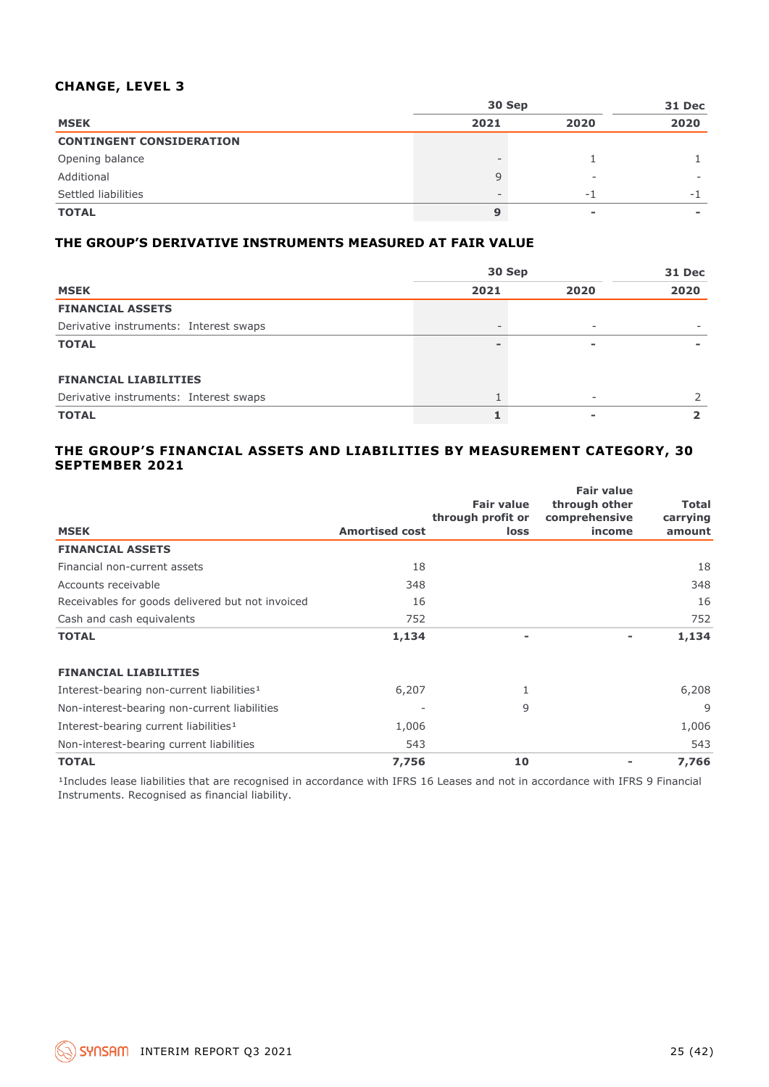#### **CHANGE, LEVEL 3**

|                                 | 30 Sep | 31 Dec |      |
|---------------------------------|--------|--------|------|
| <b>MSEK</b>                     | 2021   | 2020   | 2020 |
| <b>CONTINGENT CONSIDERATION</b> |        |        |      |
| Opening balance                 |        |        |      |
| Additional                      |        | -      |      |
| Settled liabilities             |        | - 1    | $-1$ |
| <b>TOTAL</b>                    | 9      |        |      |

#### **THE GROUP'S DERIVATIVE INSTRUMENTS MEASURED AT FAIR VALUE**

|                                        | 30 Sep | 31 Dec                   |      |
|----------------------------------------|--------|--------------------------|------|
| <b>MSEK</b>                            | 2021   | 2020                     | 2020 |
| <b>FINANCIAL ASSETS</b>                |        |                          |      |
| Derivative instruments: Interest swaps |        | $\sim$                   |      |
| <b>TOTAL</b>                           |        | $\overline{\phantom{a}}$ |      |
| <b>FINANCIAL LIABILITIES</b>           |        |                          |      |
| Derivative instruments: Interest swaps |        |                          |      |
| <b>TOTAL</b>                           |        |                          |      |

#### **THE GROUP'S FINANCIAL ASSETS AND LIABILITIES BY MEASUREMENT CATEGORY, 30 SEPTEMBER 2021**

|                                                       |                       | <b>Fair value</b><br>through profit or | <b>Fair value</b><br>through other<br>comprehensive | Total<br>carrying |
|-------------------------------------------------------|-----------------------|----------------------------------------|-----------------------------------------------------|-------------------|
| <b>MSEK</b>                                           | <b>Amortised cost</b> | <b>loss</b>                            | income                                              | amount            |
| <b>FINANCIAL ASSETS</b>                               |                       |                                        |                                                     |                   |
| Financial non-current assets                          | 18                    |                                        |                                                     | 18                |
| Accounts receivable                                   | 348                   |                                        |                                                     | 348               |
| Receivables for goods delivered but not invoiced      | 16                    |                                        |                                                     | 16                |
| Cash and cash equivalents                             | 752                   |                                        |                                                     | 752               |
| <b>TOTAL</b>                                          | 1,134                 | $\overline{\phantom{0}}$               |                                                     | 1,134             |
| <b>FINANCIAL LIABILITIES</b>                          |                       |                                        |                                                     |                   |
| Interest-bearing non-current liabilities <sup>1</sup> | 6,207                 |                                        |                                                     | 6,208             |
| Non-interest-bearing non-current liabilities          |                       | 9                                      |                                                     | 9                 |
| Interest-bearing current liabilities <sup>1</sup>     | 1,006                 |                                        |                                                     | 1,006             |
| Non-interest-bearing current liabilities              | 543                   |                                        |                                                     | 543               |
| <b>TOTAL</b>                                          | 7,756                 | 10                                     |                                                     | 7,766             |

<sup>1</sup>Includes lease liabilities that are recognised in accordance with IFRS 16 Leases and not in accordance with IFRS 9 Financial Instruments. Recognised as financial liability.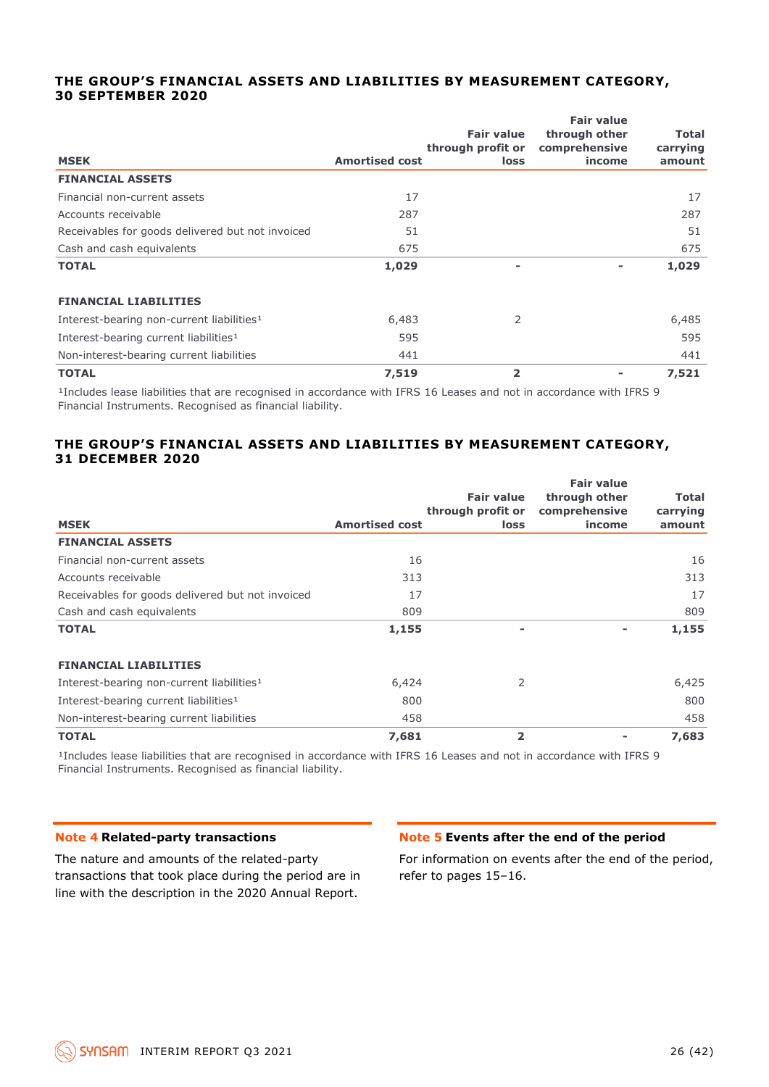#### **THE GROUP'S FINANCIAL ASSETS AND LIABILITIES BY MEASUREMENT CATEGORY, 30 SEPTEMBER 2020**

| <b>MSEK</b>                                           | <b>Amortised cost</b> | <b>Fair value</b><br>through profit or<br>loss | <b>Fair value</b><br>through other<br>comprehensive<br>income | <b>Total</b><br>carrying<br>amount |
|-------------------------------------------------------|-----------------------|------------------------------------------------|---------------------------------------------------------------|------------------------------------|
| <b>FINANCIAL ASSETS</b>                               |                       |                                                |                                                               |                                    |
| Financial non-current assets                          | 17                    |                                                |                                                               | 17                                 |
| Accounts receivable                                   | 287                   |                                                |                                                               | 287                                |
| Receivables for goods delivered but not invoiced      | 51                    |                                                |                                                               | 51                                 |
| Cash and cash equivalents                             | 675                   |                                                |                                                               | 675                                |
| <b>TOTAL</b>                                          | 1,029                 | $\blacksquare$                                 |                                                               | 1,029                              |
| <b>FINANCIAL LIABILITIES</b>                          |                       |                                                |                                                               |                                    |
| Interest-bearing non-current liabilities <sup>1</sup> | 6,483                 | 2                                              |                                                               | 6,485                              |
| Interest-bearing current liabilities <sup>1</sup>     | 595                   |                                                |                                                               | 595                                |
| Non-interest-bearing current liabilities              | 441                   |                                                |                                                               | 441                                |
| <b>TOTAL</b>                                          | 7,519                 | 2                                              |                                                               | 7,521                              |

<sup>1</sup>Includes lease liabilities that are recognised in accordance with IFRS 16 Leases and not in accordance with IFRS 9 Financial Instruments. Recognised as financial liability.

#### **THE GROUP'S FINANCIAL ASSETS AND LIABILITIES BY MEASUREMENT CATEGORY, 31 DECEMBER 2020**

| <b>MSEK</b>                                           | <b>Amortised cost</b> | <b>Fair value</b><br>through profit or<br>loss | <b>Fair value</b><br>through other<br>comprehensive<br>income | <b>Total</b><br>carrying<br>amount |
|-------------------------------------------------------|-----------------------|------------------------------------------------|---------------------------------------------------------------|------------------------------------|
| <b>FINANCIAL ASSETS</b>                               |                       |                                                |                                                               |                                    |
| Financial non-current assets                          | 16                    |                                                |                                                               | 16                                 |
| Accounts receivable                                   | 313                   |                                                |                                                               | 313                                |
| Receivables for goods delivered but not invoiced      | 17                    |                                                |                                                               | 17                                 |
| Cash and cash equivalents                             | 809                   |                                                |                                                               | 809                                |
| <b>TOTAL</b>                                          | 1,155                 | -                                              |                                                               | 1,155                              |
| <b>FINANCIAL LIABILITIES</b>                          |                       |                                                |                                                               |                                    |
| Interest-bearing non-current liabilities <sup>1</sup> | 6,424                 | 2                                              |                                                               | 6,425                              |
| Interest-bearing current liabilities <sup>1</sup>     | 800                   |                                                |                                                               | 800                                |
| Non-interest-bearing current liabilities              | 458                   |                                                |                                                               | 458                                |
| <b>TOTAL</b>                                          | 7,681                 | 2                                              |                                                               | 7,683                              |

<sup>1</sup>Includes lease liabilities that are recognised in accordance with IFRS 16 Leases and not in accordance with IFRS 9 Financial Instruments. Recognised as financial liability.

#### **Note 4 Related-party transactions**

The nature and amounts of the related-party transactions that took place during the period are in line with the description in the 2020 Annual Report.

#### **Note 5 Events after the end of the period**

For information on events after the end of the period, refer to pages 15–16.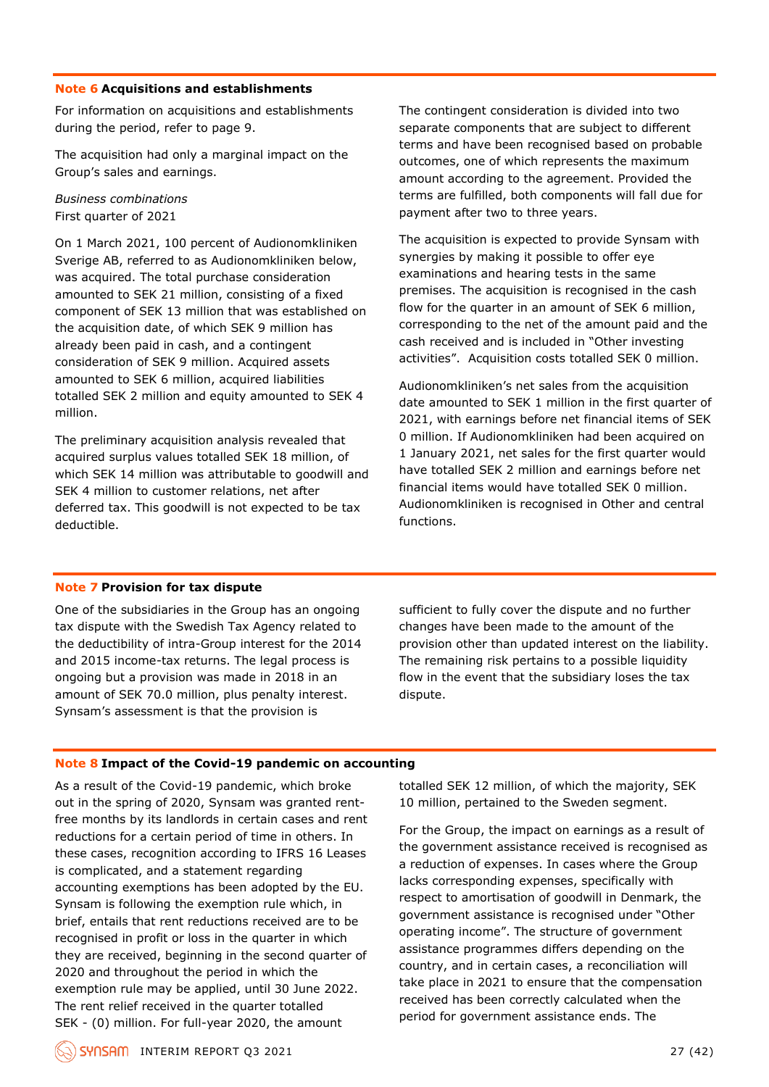#### **Note 6 Acquisitions and establishments**

For information on acquisitions and establishments during the period, refer to page 9.

The acquisition had only a marginal impact on the Group's sales and earnings.

#### *Business combinations* First quarter of 2021

On 1 March 2021, 100 percent of Audionomkliniken Sverige AB, referred to as Audionomkliniken below, was acquired. The total purchase consideration amounted to SEK 21 million, consisting of a fixed component of SEK 13 million that was established on the acquisition date, of which SEK 9 million has already been paid in cash, and a contingent consideration of SEK 9 million. Acquired assets amounted to SEK 6 million, acquired liabilities totalled SEK 2 million and equity amounted to SEK 4 million.

The preliminary acquisition analysis revealed that acquired surplus values totalled SEK 18 million, of which SEK 14 million was attributable to goodwill and SEK 4 million to customer relations, net after deferred tax. This goodwill is not expected to be tax deductible.

The contingent consideration is divided into two separate components that are subject to different terms and have been recognised based on probable outcomes, one of which represents the maximum amount according to the agreement. Provided the terms are fulfilled, both components will fall due for payment after two to three years.

The acquisition is expected to provide Synsam with synergies by making it possible to offer eye examinations and hearing tests in the same premises. The acquisition is recognised in the cash flow for the quarter in an amount of SEK 6 million, corresponding to the net of the amount paid and the cash received and is included in "Other investing activities". Acquisition costs totalled SEK 0 million.

Audionomkliniken's net sales from the acquisition date amounted to SEK 1 million in the first quarter of 2021, with earnings before net financial items of SEK 0 million. If Audionomkliniken had been acquired on 1 January 2021, net sales for the first quarter would have totalled SEK 2 million and earnings before net financial items would have totalled SEK 0 million. Audionomkliniken is recognised in Other and central functions.

#### **Note 7 Provision for tax dispute**

One of the subsidiaries in the Group has an ongoing tax dispute with the Swedish Tax Agency related to the deductibility of intra-Group interest for the 2014 and 2015 income-tax returns. The legal process is ongoing but a provision was made in 2018 in an amount of SEK 70.0 million, plus penalty interest. Synsam's assessment is that the provision is

sufficient to fully cover the dispute and no further changes have been made to the amount of the provision other than updated interest on the liability. The remaining risk pertains to a possible liquidity flow in the event that the subsidiary loses the tax dispute.

#### **Note 8 Impact of the Covid-19 pandemic on accounting**

As a result of the Covid-19 pandemic, which broke out in the spring of 2020, Synsam was granted rentfree months by its landlords in certain cases and rent reductions for a certain period of time in others. In these cases, recognition according to IFRS 16 Leases is complicated, and a statement regarding accounting exemptions has been adopted by the EU. Synsam is following the exemption rule which, in brief, entails that rent reductions received are to be recognised in profit or loss in the quarter in which they are received, beginning in the second quarter of 2020 and throughout the period in which the exemption rule may be applied, until 30 June 2022. The rent relief received in the quarter totalled SEK - (0) million. For full-year 2020, the amount

totalled SEK 12 million, of which the majority, SEK 10 million, pertained to the Sweden segment.

For the Group, the impact on earnings as a result of the government assistance received is recognised as a reduction of expenses. In cases where the Group lacks corresponding expenses, specifically with respect to amortisation of goodwill in Denmark, the government assistance is recognised under "Other operating income". The structure of government assistance programmes differs depending on the country, and in certain cases, a reconciliation will take place in 2021 to ensure that the compensation received has been correctly calculated when the period for government assistance ends. The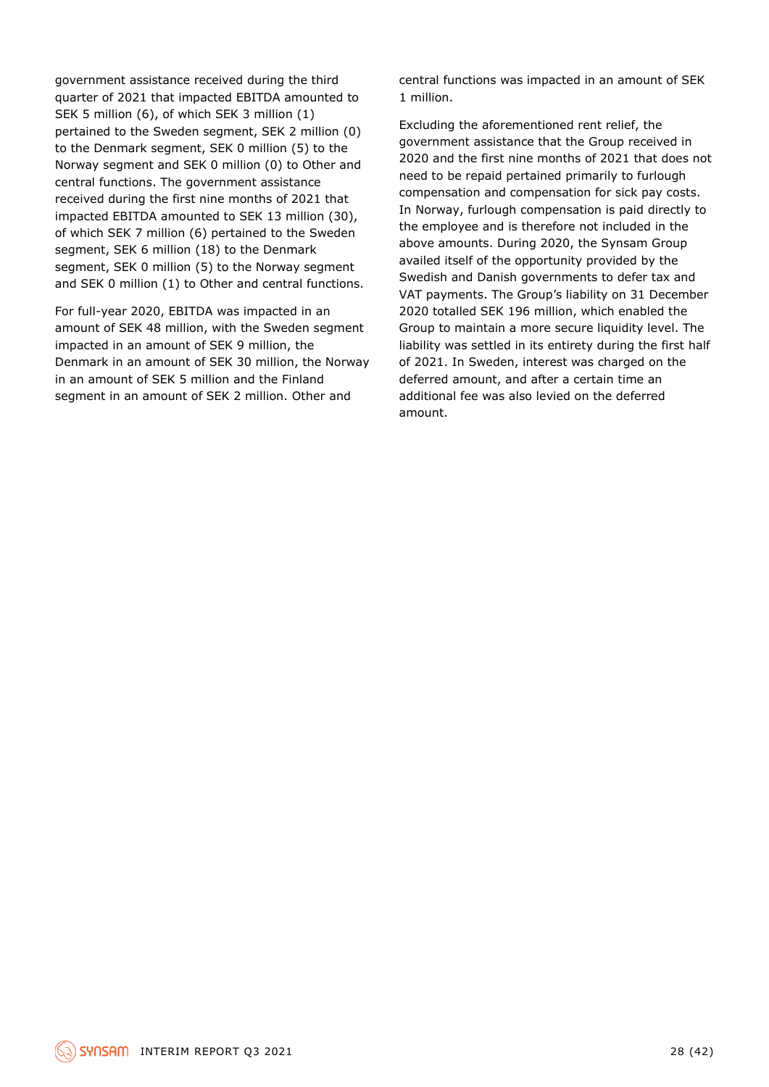government assistance received during the third quarter of 2021 that impacted EBITDA amounted to SEK 5 million (6), of which SEK 3 million (1) pertained to the Sweden segment, SEK 2 million (0) to the Denmark segment, SEK 0 million (5) to the Norway segment and SEK 0 million (0) to Other and central functions. The government assistance received during the first nine months of 2021 that impacted EBITDA amounted to SEK 13 million (30), of which SEK 7 million (6) pertained to the Sweden segment, SEK 6 million (18) to the Denmark segment, SEK 0 million (5) to the Norway segment and SEK 0 million (1) to Other and central functions.

For full-year 2020, EBITDA was impacted in an amount of SEK 48 million, with the Sweden segment impacted in an amount of SEK 9 million, the Denmark in an amount of SEK 30 million, the Norway in an amount of SEK 5 million and the Finland segment in an amount of SEK 2 million. Other and

central functions was impacted in an amount of SEK 1 million.

Excluding the aforementioned rent relief, the government assistance that the Group received in 2020 and the first nine months of 2021 that does not need to be repaid pertained primarily to furlough compensation and compensation for sick pay costs. In Norway, furlough compensation is paid directly to the employee and is therefore not included in the above amounts. During 2020, the Synsam Group availed itself of the opportunity provided by the Swedish and Danish governments to defer tax and VAT payments. The Group's liability on 31 December 2020 totalled SEK 196 million, which enabled the Group to maintain a more secure liquidity level. The liability was settled in its entirety during the first half of 2021. In Sweden, interest was charged on the deferred amount, and after a certain time an additional fee was also levied on the deferred amount.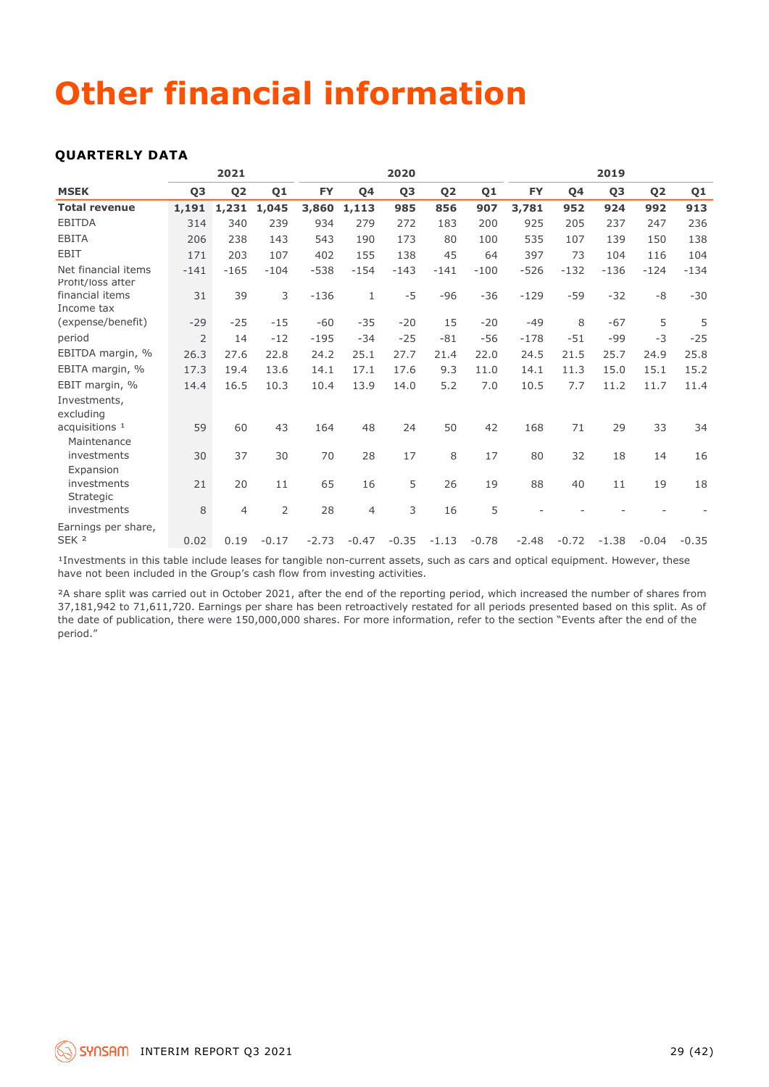## **Other financial information**

#### **QUARTERLY DATA**

|                                          |                | 2021           |                |           |                | 2020           |                |         |           |           | 2019           |                |         |
|------------------------------------------|----------------|----------------|----------------|-----------|----------------|----------------|----------------|---------|-----------|-----------|----------------|----------------|---------|
| <b>MSEK</b>                              | Q <sub>3</sub> | Q <sub>2</sub> | Q1             | <b>FY</b> | <b>04</b>      | Q <sub>3</sub> | Q <sub>2</sub> | Q1      | <b>FY</b> | <b>04</b> | Q <sub>3</sub> | Q <sub>2</sub> | Q1      |
| <b>Total revenue</b>                     | 1,191          | 1,231          | 1,045          | 3,860     | 1,113          | 985            | 856            | 907     | 3,781     | 952       | 924            | 992            | 913     |
| <b>EBITDA</b>                            | 314            | 340            | 239            | 934       | 279            | 272            | 183            | 200     | 925       | 205       | 237            | 247            | 236     |
| <b>EBITA</b>                             | 206            | 238            | 143            | 543       | 190            | 173            | 80             | 100     | 535       | 107       | 139            | 150            | 138     |
| <b>EBIT</b>                              | 171            | 203            | 107            | 402       | 155            | 138            | 45             | 64      | 397       | 73        | 104            | 116            | 104     |
| Net financial items<br>Profit/loss after | $-141$         | $-165$         | $-104$         | $-538$    | $-154$         | $-143$         | $-141$         | $-100$  | $-526$    | $-132$    | $-136$         | $-124$         | $-134$  |
| financial items<br>Income tax            | 31             | 39             | 3              | $-136$    | $\mathbf{1}$   | $-5$           | $-96$          | $-36$   | $-129$    | $-59$     | $-32$          | -8             | $-30$   |
| (expense/benefit)                        | $-29$          | $-25$          | $-15$          | $-60$     | $-35$          | $-20$          | 15             | $-20$   | $-49$     | 8         | $-67$          | 5              | 5       |
| period                                   | $\overline{2}$ | 14             | $-12$          | $-195$    | $-34$          | $-25$          | $-81$          | $-56$   | $-178$    | $-51$     | $-99$          | $-3$           | $-25$   |
| EBITDA margin, %                         | 26.3           | 27.6           | 22.8           | 24.2      | 25.1           | 27.7           | 21.4           | 22.0    | 24.5      | 21.5      | 25.7           | 24.9           | 25.8    |
| EBITA margin, %                          | 17.3           | 19.4           | 13.6           | 14.1      | 17.1           | 17.6           | 9.3            | 11.0    | 14.1      | 11.3      | 15.0           | 15.1           | 15.2    |
| EBIT margin, %                           | 14.4           | 16.5           | 10.3           | 10.4      | 13.9           | 14.0           | 5.2            | 7.0     | 10.5      | 7.7       | 11.2           | 11.7           | 11.4    |
| Investments,<br>excluding                |                |                |                |           |                |                |                |         |           |           |                |                |         |
| acquisitions <sup>1</sup>                | 59             | 60             | 43             | 164       | 48             | 24             | 50             | 42      | 168       | 71        | 29             | 33             | 34      |
| Maintenance<br>investments               | 30             | 37             | 30             | 70        | 28             | 17             | 8              | 17      | 80        | 32        | 18             | 14             | 16      |
| Expansion<br>investments<br>Strategic    | 21             | 20             | 11             | 65        | 16             | 5              | 26             | 19      | 88        | 40        | 11             | 19             | 18      |
| investments                              | 8              | $\overline{4}$ | $\overline{2}$ | 28        | $\overline{4}$ | 3              | 16             | 5       |           |           |                |                |         |
| Earnings per share,<br>SEK <sub>2</sub>  | 0.02           | 0.19           | $-0.17$        | $-2.73$   | $-0.47$        | $-0.35$        | $-1.13$        | $-0.78$ | $-2.48$   | $-0.72$   | $-1.38$        | $-0.04$        | $-0.35$ |

<sup>1</sup>Investments in this table include leases for tangible non-current assets, such as cars and optical equipment. However, these have not been included in the Group's cash flow from investing activities.

²A share split was carried out in October 2021, after the end of the reporting period, which increased the number of shares from 37,181,942 to 71,611,720. Earnings per share has been retroactively restated for all periods presented based on this split. As of the date of publication, there were 150,000,000 shares. For more information, refer to the section "Events after the end of the period."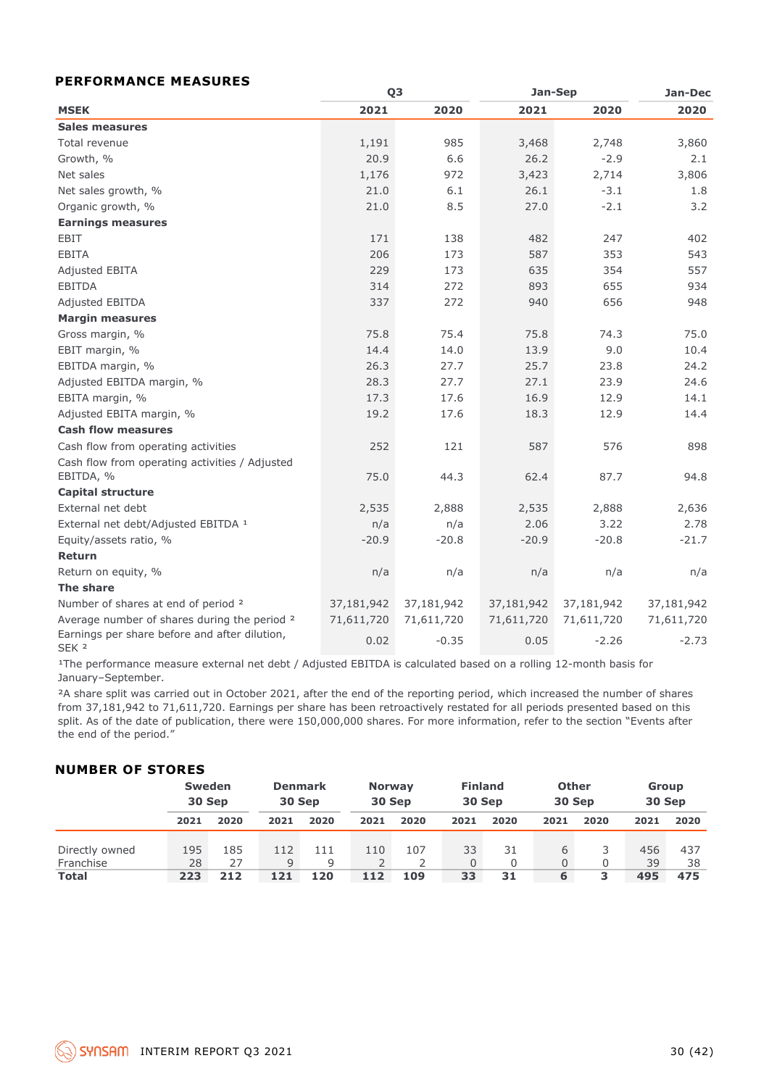#### **PERFORMANCE MEASURES**

|                                                                   |            | Q <sub>3</sub> | Jan-Sep    | Jan-Dec    |            |
|-------------------------------------------------------------------|------------|----------------|------------|------------|------------|
| <b>MSEK</b>                                                       | 2021       | 2020           | 2021       | 2020       | 2020       |
| <b>Sales measures</b>                                             |            |                |            |            |            |
| Total revenue                                                     | 1,191      | 985            | 3,468      | 2,748      | 3,860      |
| Growth, %                                                         | 20.9       | 6.6            | 26.2       | $-2.9$     | 2.1        |
| Net sales                                                         | 1,176      | 972            | 3,423      | 2,714      | 3,806      |
| Net sales growth, %                                               | 21.0       | 6.1            | 26.1       | $-3.1$     | 1.8        |
| Organic growth, %                                                 | 21.0       | 8.5            | 27.0       | $-2.1$     | 3.2        |
| <b>Earnings measures</b>                                          |            |                |            |            |            |
| <b>EBIT</b>                                                       | 171        | 138            | 482        | 247        | 402        |
| <b>EBITA</b>                                                      | 206        | 173            | 587        | 353        | 543        |
| Adjusted EBITA                                                    | 229        | 173            | 635        | 354        | 557        |
| <b>EBITDA</b>                                                     | 314        | 272            | 893        | 655        | 934        |
| Adjusted EBITDA                                                   | 337        | 272            | 940        | 656        | 948        |
| <b>Margin measures</b>                                            |            |                |            |            |            |
| Gross margin, %                                                   | 75.8       | 75.4           | 75.8       | 74.3       | 75.0       |
| EBIT margin, %                                                    | 14.4       | 14.0           | 13.9       | 9.0        | 10.4       |
| EBITDA margin, %                                                  | 26.3       | 27.7           | 25.7       | 23.8       | 24.2       |
| Adjusted EBITDA margin, %                                         | 28.3       | 27.7           | 27.1       | 23.9       | 24.6       |
| EBITA margin, %                                                   | 17.3       | 17.6           | 16.9       | 12.9       | 14.1       |
| Adjusted EBITA margin, %                                          | 19.2       | 17.6           | 18.3       | 12.9       | 14.4       |
| <b>Cash flow measures</b>                                         |            |                |            |            |            |
| Cash flow from operating activities                               | 252        | 121            | 587        | 576        | 898        |
| Cash flow from operating activities / Adjusted<br>EBITDA, %       | 75.0       | 44.3           | 62.4       | 87.7       | 94.8       |
| <b>Capital structure</b>                                          |            |                |            |            |            |
| External net debt                                                 | 2,535      | 2,888          | 2,535      | 2,888      | 2,636      |
| External net debt/Adjusted EBITDA 1                               | n/a        | n/a            | 2.06       | 3.22       | 2.78       |
| Equity/assets ratio, %                                            | $-20.9$    | $-20.8$        | $-20.9$    | $-20.8$    | $-21.7$    |
| Return                                                            |            |                |            |            |            |
| Return on equity, %                                               | n/a        | n/a            | n/a        | n/a        | n/a        |
| <b>The share</b>                                                  |            |                |            |            |            |
| Number of shares at end of period 2                               | 37,181,942 | 37,181,942     | 37,181,942 | 37,181,942 | 37,181,942 |
| Average number of shares during the period <sup>2</sup>           | 71,611,720 | 71,611,720     | 71,611,720 | 71,611,720 | 71,611,720 |
| Earnings per share before and after dilution,<br>SEK <sub>2</sub> | 0.02       | $-0.35$        | 0.05       | $-2.26$    | $-2.73$    |

<sup>1</sup>The performance measure external net debt / Adjusted EBITDA is calculated based on a rolling 12-month basis for January–September.

<sup>2</sup>A share split was carried out in October 2021, after the end of the reporting period, which increased the number of shares from 37,181,942 to 71,611,720. Earnings per share has been retroactively restated for all periods presented based on this split. As of the date of publication, there were 150,000,000 shares. For more information, refer to the section "Events after the end of the period."

#### **NUMBER OF STORES**

|                |      | <b>Sweden</b><br>30 Sep | 30 Sep | <b>Denmark</b> |      | <b>Finland</b><br><b>Other</b><br><b>Norway</b><br>30 Sep<br>30 Sep<br>30 Sep |      |      |      |      | Group<br>30 Sep |      |
|----------------|------|-------------------------|--------|----------------|------|-------------------------------------------------------------------------------|------|------|------|------|-----------------|------|
|                | 2021 | 2020                    | 2021   | 2020           | 2021 | 2020                                                                          | 2021 | 2020 | 2021 | 2020 | 2021            | 2020 |
| Directly owned | 195  | 185                     | 112    | 111            | 110  | 107                                                                           | 33   | 31   | 6    |      | 456             | 437  |
| Franchise      | 28   | 27                      | q      | Q              |      |                                                                               |      |      | 0    |      | 39              | 38   |
| <b>Total</b>   | 223  | 212                     | 121    | 120            | 112  | 109                                                                           | 33   | 31   | 6    |      | 495             | 475  |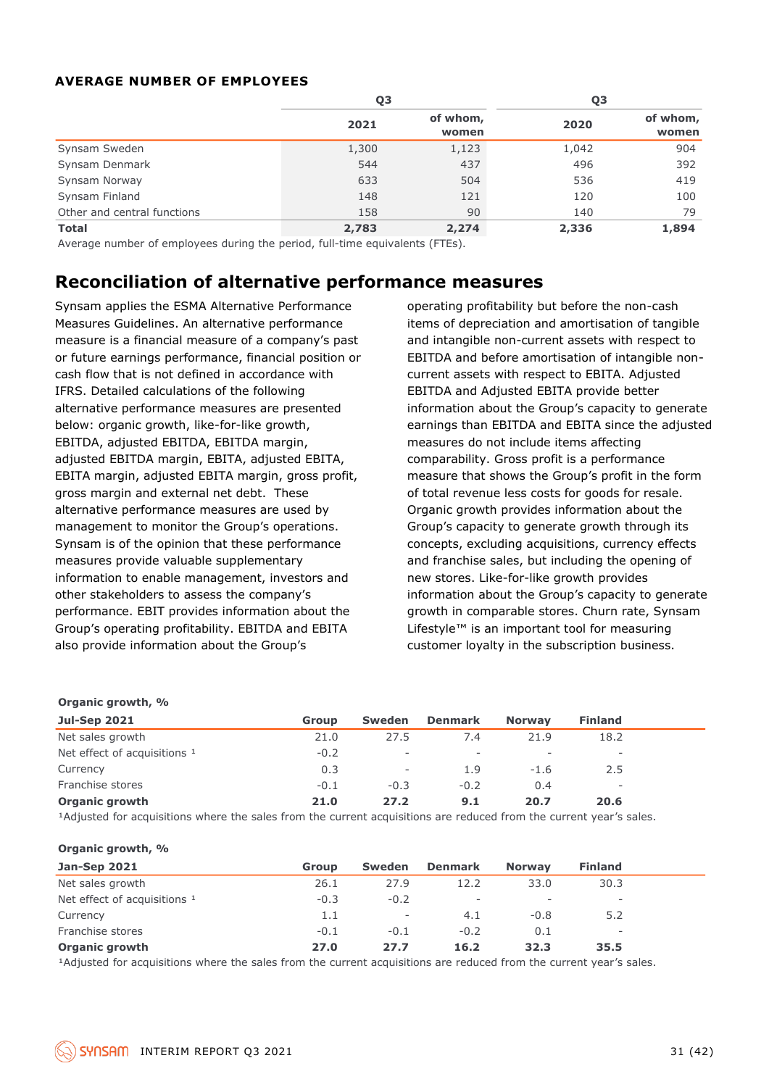#### **AVERAGE NUMBER OF EMPLOYEES**

|                             | Q3    |                   | Q3    |                   |  |
|-----------------------------|-------|-------------------|-------|-------------------|--|
|                             | 2021  | of whom,<br>women | 2020  | of whom,<br>women |  |
| Synsam Sweden               | 1,300 | 1,123             | 1,042 | 904               |  |
| Synsam Denmark              | 544   | 437               | 496   | 392               |  |
| Synsam Norway               | 633   | 504               | 536   | 419               |  |
| Synsam Finland              | 148   | 121               | 120   | 100               |  |
| Other and central functions | 158   | 90                | 140   | 79                |  |
| <b>Total</b>                | 2,783 | 2,274             | 2,336 | 1,894             |  |

Average number of employees during the period, full-time equivalents (FTEs).

## **Reconciliation of alternative performance measures**

Synsam applies the ESMA Alternative Performance Measures Guidelines. An alternative performance measure is a financial measure of a company's past or future earnings performance, financial position or cash flow that is not defined in accordance with IFRS. Detailed calculations of the following alternative performance measures are presented below: organic growth, like-for-like growth, EBITDA, adjusted EBITDA, EBITDA margin, adjusted EBITDA margin, EBITA, adjusted EBITA, EBITA margin, adjusted EBITA margin, gross profit, gross margin and external net debt. These alternative performance measures are used by management to monitor the Group's operations. Synsam is of the opinion that these performance measures provide valuable supplementary information to enable management, investors and other stakeholders to assess the company's performance. EBIT provides information about the Group's operating profitability. EBITDA and EBITA also provide information about the Group's

operating profitability but before the non-cash items of depreciation and amortisation of tangible and intangible non-current assets with respect to EBITDA and before amortisation of intangible noncurrent assets with respect to EBITA. Adjusted EBITDA and Adjusted EBITA provide better information about the Group's capacity to generate earnings than EBITDA and EBITA since the adjusted measures do not include items affecting comparability. Gross profit is a performance measure that shows the Group's profit in the form of total revenue less costs for goods for resale. Organic growth provides information about the Group's capacity to generate growth through its concepts, excluding acquisitions, currency effects and franchise sales, but including the opening of new stores. Like-for-like growth provides information about the Group's capacity to generate growth in comparable stores. Churn rate, Synsam Lifestyle™ is an important tool for measuring customer loyalty in the subscription business.

| Organic growth, %                              |                                                                                                                                                                                                                                       |                          |                          |                          |                          |  |
|------------------------------------------------|---------------------------------------------------------------------------------------------------------------------------------------------------------------------------------------------------------------------------------------|--------------------------|--------------------------|--------------------------|--------------------------|--|
| <b>Jul-Sep 2021</b>                            | <b>Group</b>                                                                                                                                                                                                                          | <b>Sweden</b>            | <b>Denmark</b>           | <b>Norway</b>            | <b>Finland</b>           |  |
| Net sales growth                               | 21.0                                                                                                                                                                                                                                  | 27.5                     | 7.4                      | 21.9                     | 18.2                     |  |
| Net effect of acquisitions 1                   | $-0.2$                                                                                                                                                                                                                                | $\overline{\phantom{a}}$ | $\overline{\phantom{a}}$ | $\overline{\phantom{a}}$ |                          |  |
| Currency                                       | 0.3                                                                                                                                                                                                                                   | $\overline{\phantom{a}}$ | 1.9                      | $-1.6$                   | 2.5                      |  |
| Franchise stores                               | $-0.1$                                                                                                                                                                                                                                | $-0.3$                   | $-0.2$                   | 0.4                      | $\overline{\phantom{a}}$ |  |
| <b>Organic growth</b>                          | 21.0                                                                                                                                                                                                                                  | 27.2                     | 9.1                      | 20.7                     | 20.6                     |  |
| $\sim$ $\sim$ $\sim$ $\sim$ $\sim$ $\sim$<br>. | $\blacksquare$ . The set of the set of the set of the set of the set of the set of the set of the set of the set of the set of the set of the set of the set of the set of the set of the set of the set of the set of the set of the | .                        |                          |                          |                          |  |

<sup>1</sup>Adjusted for acquisitions where the sales from the current acquisitions are reduced from the current year's sales.

#### **Organic growth, %**

| <b>Jan-Sep 2021</b>          | Group  | <b>Sweden</b>            | <b>Denmark</b> | <b>Norway</b> | <b>Finland</b>           |  |
|------------------------------|--------|--------------------------|----------------|---------------|--------------------------|--|
| Net sales growth             | 26.1   | 27.9                     | 12.2           | 33.0          | 30.3                     |  |
| Net effect of acquisitions 1 | $-0.3$ | $-0.2$                   | -              | ۰             | $\overline{\phantom{0}}$ |  |
| Currency                     | 1.1    | $\overline{\phantom{a}}$ | 4.1            | $-0.8$        | 5.2                      |  |
| Franchise stores             | $-0.1$ | $-0.1$                   | $-0.2$         | 0.1           | -                        |  |
| <b>Organic growth</b>        | 27.0   | 27.7                     | 16.2           | 32.3          | 35.5                     |  |

<sup>1</sup>Adjusted for acquisitions where the sales from the current acquisitions are reduced from the current year's sales.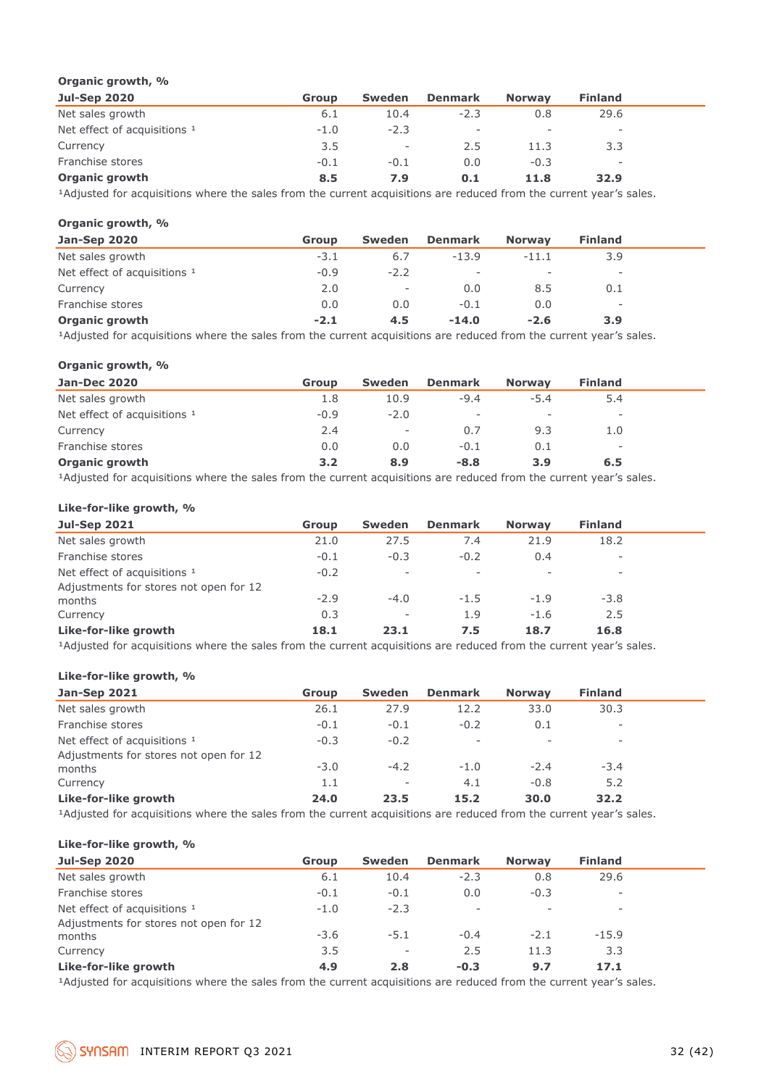#### **Organic growth, %**

| <b>Jul-Sep 2020</b>          | <b>Group</b> | Sweden                   | <b>Denmark</b> | <b>Norway</b> | <b>Finland</b>           |  |
|------------------------------|--------------|--------------------------|----------------|---------------|--------------------------|--|
| Net sales growth             | 6.1          | 10.4                     | $-2.3$         | 0.8           | 29.6                     |  |
| Net effect of acquisitions 1 | $-1.0$       | $-2.3$                   | <b>.</b>       | $\sim$        | $\overline{\phantom{a}}$ |  |
| Currency                     | 3.5          | $\overline{\phantom{a}}$ | 2.5            | 11.3          | 3.3                      |  |
| Franchise stores             | $-0.1$       | $-0.1$                   | 0.0            | $-0.3$        | $\overline{\phantom{a}}$ |  |
| <b>Organic growth</b>        | 8.5          | 7.9                      | 0.1            | 11.8          | 32.9                     |  |

<sup>1</sup>Adjusted for acquisitions where the sales from the current acquisitions are reduced from the current year's sales.

#### **Organic growth, %**

| Jan-Sep 2020                 | <b>Group</b> | Sweden                   | <b>Denmark</b>           | <b>Norway</b> | <b>Finland</b>           |  |
|------------------------------|--------------|--------------------------|--------------------------|---------------|--------------------------|--|
| Net sales growth             | $-3.1$       | 6.7                      | $-13.9$                  | $-11.1$       | 3.9                      |  |
| Net effect of acquisitions 1 | $-0.9$       | $-2.2$                   | $\overline{\phantom{a}}$ | -             | $\overline{\phantom{0}}$ |  |
| Currency                     | 2.0          | $\overline{\phantom{a}}$ | 0.0                      | 8.5           | 0.1                      |  |
| Franchise stores             | 0.0          | 0.0                      | $-0.1$                   | 0.0           | $\qquad \qquad -$        |  |
| <b>Organic growth</b>        | $-2.1$       | 4.5                      | $-14.0$                  | $-2.6$        | 3.9                      |  |

<sup>1</sup>Adjusted for acquisitions where the sales from the current acquisitions are reduced from the current year's sales.

#### **Organic growth, %**

| <b>Jan-Dec 2020</b>                     | Group  | <b>Sweden</b>            | <b>Denmark</b>           | <b>Norway</b>            | <b>Finland</b>           |  |
|-----------------------------------------|--------|--------------------------|--------------------------|--------------------------|--------------------------|--|
| Net sales growth                        | 1.8    | 10.9                     | $-9.4$                   | $-5.4$                   | 5.4                      |  |
| Net effect of acquisitions <sup>1</sup> | $-0.9$ | $-2.0$                   | $\overline{\phantom{a}}$ | $\overline{\phantom{0}}$ | $\overline{\phantom{0}}$ |  |
| Currency                                | 2.4    | $\overline{\phantom{a}}$ | 0.7                      | 9.3                      | 1.0                      |  |
| Franchise stores                        | 0.0    | 0.0                      | $-0.1$                   | 0.1                      | -                        |  |
| <b>Organic growth</b>                   | 3.2    | 8.9                      | $-8.8$                   | 3.9                      | 6.5                      |  |
|                                         |        |                          |                          |                          |                          |  |

<sup>1</sup>Adjusted for acquisitions where the sales from the current acquisitions are reduced from the current year's sales.

#### **Like-for-like growth, %**

| <b>Jul-Sep 2021</b>                              | <b>Group</b> | Sweden                   | <b>Denmark</b>           | <b>Norway</b> | <b>Finland</b>           |  |
|--------------------------------------------------|--------------|--------------------------|--------------------------|---------------|--------------------------|--|
| Net sales growth                                 | 21.0         | 27.5                     | 7.4                      | 21.9          | 18.2                     |  |
| Franchise stores                                 | $-0.1$       | $-0.3$                   | $-0.2$                   | 0.4           | $\overline{\phantom{a}}$ |  |
| Net effect of acquisitions 1                     | $-0.2$       | $\overline{\phantom{a}}$ | $\overline{\phantom{a}}$ | $\sim$        | $\overline{\phantom{a}}$ |  |
| Adjustments for stores not open for 12<br>months | $-2.9$       | $-4.0$                   | $-1.5$                   | $-1.9$        | $-3.8$                   |  |
| Currency                                         | 0.3          | $\overline{\phantom{a}}$ | 1.9                      | $-1.6$        | 2.5                      |  |
| Like-for-like growth                             | 18.1         | 23.1                     | 7.5                      | 18.7          | 16.8                     |  |

<sup>1</sup>Adjusted for acquisitions where the sales from the current acquisitions are reduced from the current year's sales.

#### **Like-for-like growth, %**

| <b>Jan-Sep 2021</b>                    | Group  | Sweden                   | <b>Denmark</b>           | <b>Norway</b> | <b>Finland</b>           |  |
|----------------------------------------|--------|--------------------------|--------------------------|---------------|--------------------------|--|
| Net sales growth                       | 26.1   | 27.9                     | 12.2                     | 33.0          | 30.3                     |  |
| Franchise stores                       | $-0.1$ | $-0.1$                   | $-0.2$                   | 0.1           | -                        |  |
| Net effect of acquisitions 1           | $-0.3$ | $-0.2$                   | $\overline{\phantom{a}}$ |               | $\overline{\phantom{0}}$ |  |
| Adjustments for stores not open for 12 |        |                          |                          |               |                          |  |
| months                                 | $-3.0$ | $-4.2$                   | $-1.0$                   | $-2.4$        | $-3.4$                   |  |
| Currency                               | 1.1    | $\overline{\phantom{a}}$ | 4.1                      | $-0.8$        | 5.2                      |  |
| Like-for-like growth                   | 24.0   | 23.5                     | 15.2                     | 30.0          | 32.2                     |  |
|                                        |        |                          |                          |               |                          |  |

<sup>1</sup>Adjusted for acquisitions where the sales from the current acquisitions are reduced from the current year's sales.

#### **Like-for-like growth, %**

| <b>Jul-Sep 2020</b>                                                                                             | <b>Group</b> | <b>Sweden</b>            | <b>Denmark</b>           | <b>Norway</b> | <b>Finland</b> |  |
|-----------------------------------------------------------------------------------------------------------------|--------------|--------------------------|--------------------------|---------------|----------------|--|
| Net sales growth                                                                                                | 6.1          | 10.4                     | $-2.3$                   | 0.8           | 29.6           |  |
| Franchise stores                                                                                                | $-0.1$       | $-0.1$                   | 0.0                      | $-0.3$        | ۰              |  |
| Net effect of acquisitions 1                                                                                    | $-1.0$       | $-2.3$                   | $\overline{\phantom{a}}$ |               | ۰              |  |
| Adjustments for stores not open for 12                                                                          |              |                          |                          |               |                |  |
| months                                                                                                          | $-3.6$       | $-5.1$                   | $-0.4$                   | $-2.1$        | $-15.9$        |  |
| Currency                                                                                                        | 3.5          | $\overline{\phantom{a}}$ | 2.5                      | 11.3          | 3.3            |  |
| Like-for-like growth                                                                                            | 4.9          | 2.8                      | $-0.3$                   | 9.7           | 17.1           |  |
| the contract of the contract of the contract of the contract of the contract of the contract of the contract of |              |                          |                          |               |                |  |

<sup>1</sup>Adjusted for acquisitions where the sales from the current acquisitions are reduced from the current year's sales.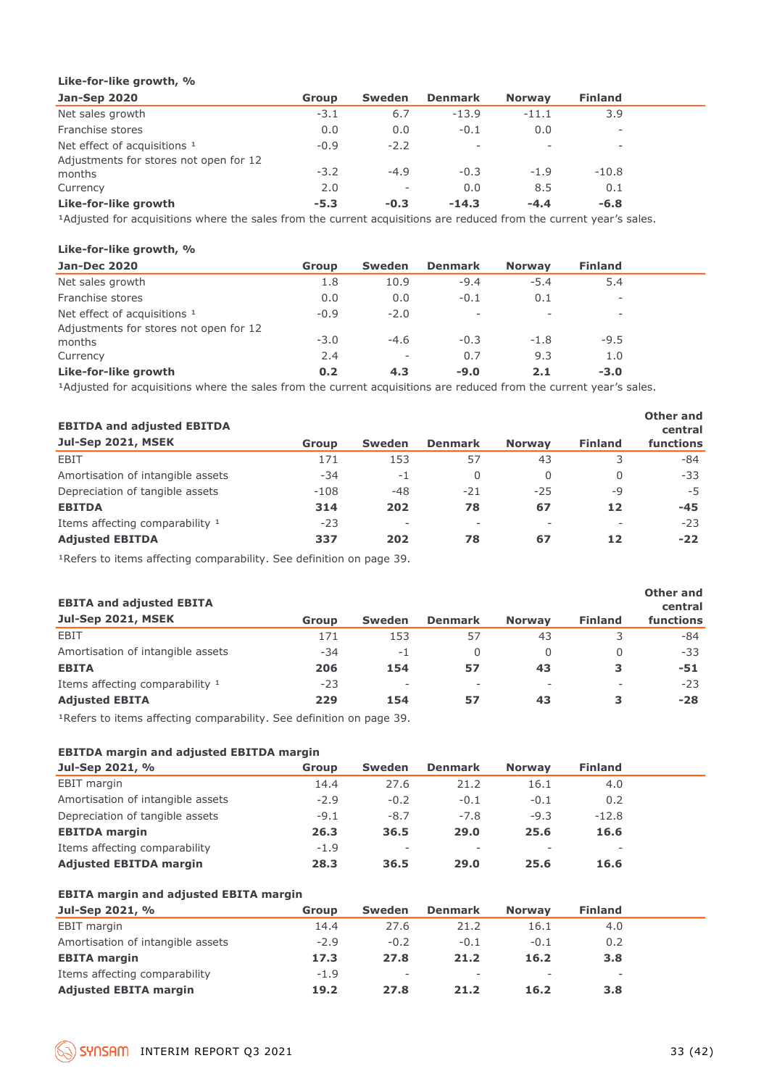#### **Like-for-like growth, %**

| <b>Jan-Sep 2020</b>                    | <b>Group</b> | <b>Sweden</b>            | <b>Denmark</b>           | <b>Norway</b> | <b>Finland</b> |  |
|----------------------------------------|--------------|--------------------------|--------------------------|---------------|----------------|--|
| Net sales growth                       | $-3.1$       | 6.7                      | $-13.9$                  | $-11.1$       | 3.9            |  |
| Franchise stores                       | 0.0          | 0.0                      | $-0.1$                   | 0.0           | -              |  |
| Net effect of acquisitions 1           | $-0.9$       | $-2.2$                   | $\overline{\phantom{a}}$ | $\sim$        | ۰.             |  |
| Adjustments for stores not open for 12 |              |                          |                          |               |                |  |
| months                                 | $-3.2$       | $-4.9$                   | $-0.3$                   | $-1.9$        | $-10.8$        |  |
| Currency                               | 2.0          | $\overline{\phantom{a}}$ | 0.0                      | 8.5           | 0.1            |  |
| Like-for-like growth                   | $-5.3$       | $-0.3$                   | $-14.3$                  | $-4.4$        | $-6.8$         |  |

<sup>1</sup>Adjusted for acquisitions where the sales from the current acquisitions are reduced from the current year's sales.

#### **Like-for-like growth, %**

| <b>Jan-Dec 2020</b>                              | <b>Group</b> | <b>Sweden</b>            | <b>Denmark</b>           | <b>Norway</b> | <b>Finland</b> |  |
|--------------------------------------------------|--------------|--------------------------|--------------------------|---------------|----------------|--|
| Net sales growth                                 | 1.8          | 10.9                     | $-9.4$                   | $-5.4$        | 5.4            |  |
| Franchise stores                                 | 0.0          | 0.0                      | $-0.1$                   | 0.1           | ۰              |  |
| Net effect of acquisitions <sup>1</sup>          | $-0.9$       | $-2.0$                   | $\overline{\phantom{a}}$ |               | -              |  |
| Adjustments for stores not open for 12<br>months | $-3.0$       | $-4.6$                   | $-0.3$                   | $-1.8$        | $-9.5$         |  |
| Currency                                         | 2.4          | $\overline{\phantom{a}}$ | 0.7                      | 9.3           | 1.0            |  |
| Like-for-like growth                             | 0.2          | 4.3                      | $-9.0$                   | 2.1           | $-3.0$         |  |
|                                                  |              |                          |                          |               |                |  |

<sup>1</sup>Adjusted for acquisitions where the sales from the current acquisitions are reduced from the current year's sales.

| <b>EBITDA and adjusted EBITDA</b> |        |                          |                |               |                | Other and<br>central |
|-----------------------------------|--------|--------------------------|----------------|---------------|----------------|----------------------|
| Jul-Sep 2021, MSEK                | Group  | <b>Sweden</b>            | <b>Denmark</b> | <b>Norway</b> | <b>Finland</b> | functions            |
| EBIT                              | 171    | 153                      | 57             | 43            |                | -84                  |
| Amortisation of intangible assets | $-34$  | $-1$                     | $\Omega$       | $\Omega$      | $\Omega$       | $-33$                |
| Depreciation of tangible assets   | $-108$ | -48                      | $-21$          | $-25$         | $-9$           | $-5$                 |
| <b>EBITDA</b>                     | 314    | 202                      | 78             | 67            | 12             | $-45$                |
| Items affecting comparability 1   | $-23$  | $\overline{\phantom{a}}$ | $\sim$         |               | -              | $-23$                |
| <b>Adjusted EBITDA</b>            | 337    | 202                      | 78             | 67            | 12             | $-22$                |

<sup>1</sup>Refers to items affecting comparability. See definition on page 39.

#### **EBITA and adjusted EBITA**

| <b>EDITA dilu dujusteu EDITA</b>  |       |                          |                          |                          |                          | central   |
|-----------------------------------|-------|--------------------------|--------------------------|--------------------------|--------------------------|-----------|
| <b>Jul-Sep 2021, MSEK</b>         | Group | <b>Sweden</b>            | <b>Denmark</b>           | <b>Norway</b>            | <b>Finland</b>           | functions |
| EBIT                              | 171   | 153                      | 57                       | 43                       |                          | -84       |
| Amortisation of intangible assets | $-34$ | -1                       | 0                        |                          |                          | $-33$     |
| <b>EBITA</b>                      | 206   | 154                      | 57                       | 43                       | з                        | -51       |
| Items affecting comparability 1   | $-23$ | $\overline{\phantom{0}}$ | $\overline{\phantom{a}}$ | $\overline{\phantom{a}}$ | $\overline{\phantom{a}}$ | $-23$     |
| <b>Adjusted EBITA</b>             | 229   | 154                      | 57                       | 43                       |                          | $-28$     |
|                                   |       |                          |                          |                          |                          |           |

1Refers to items affecting comparability. See definition on page 39.

#### **EBITDA margin and adjusted EBITDA margin**

| Jul-Sep 2021, %                   | <b>Group</b> | Sweden                   | <b>Denmark</b>           | <b>Norway</b> | <b>Finland</b> |  |
|-----------------------------------|--------------|--------------------------|--------------------------|---------------|----------------|--|
| EBIT margin                       | 14.4         | 27.6                     | 21.2                     | 16.1          | 4.0            |  |
| Amortisation of intangible assets | $-2.9$       | $-0.2$                   | $-0.1$                   | $-0.1$        | 0.2            |  |
| Depreciation of tangible assets   | $-9.1$       | $-8.7$                   | $-7.8$                   | $-9.3$        | $-12.8$        |  |
| <b>EBITDA</b> margin              | 26.3         | 36.5                     | 29.0                     | 25.6          | 16.6           |  |
| Items affecting comparability     | $-1.9$       | $\overline{\phantom{0}}$ | $\overline{\phantom{0}}$ | $\sim$        | $\sim$         |  |
| <b>Adjusted EBITDA margin</b>     | 28.3         | 36.5                     | 29.0                     | 25.6          | 16.6           |  |

#### **EBITA margin and adjusted EBITA margin**

| Jul-Sep 2021, %                   | Group  | Sweden                   | <b>Denmark</b>           | <b>Norway</b>            | <b>Finland</b>           |
|-----------------------------------|--------|--------------------------|--------------------------|--------------------------|--------------------------|
| EBIT margin                       | 14.4   | 27.6                     | 21.2                     | 16.1                     | 4.0                      |
| Amortisation of intangible assets | $-2.9$ | $-0.2$                   | $-0.1$                   | $-0.1$                   | 0.2                      |
| <b>EBITA margin</b>               | 17.3   | 27.8                     | 21.2                     | 16.2                     | 3.8                      |
| Items affecting comparability     | $-1.9$ | $\overline{\phantom{a}}$ | $\overline{\phantom{a}}$ | $\overline{\phantom{a}}$ | $\overline{\phantom{0}}$ |
| <b>Adjusted EBITA margin</b>      | 19.2   | 27.8                     | 21.2                     | 16.2                     | 3.8                      |

**Other and**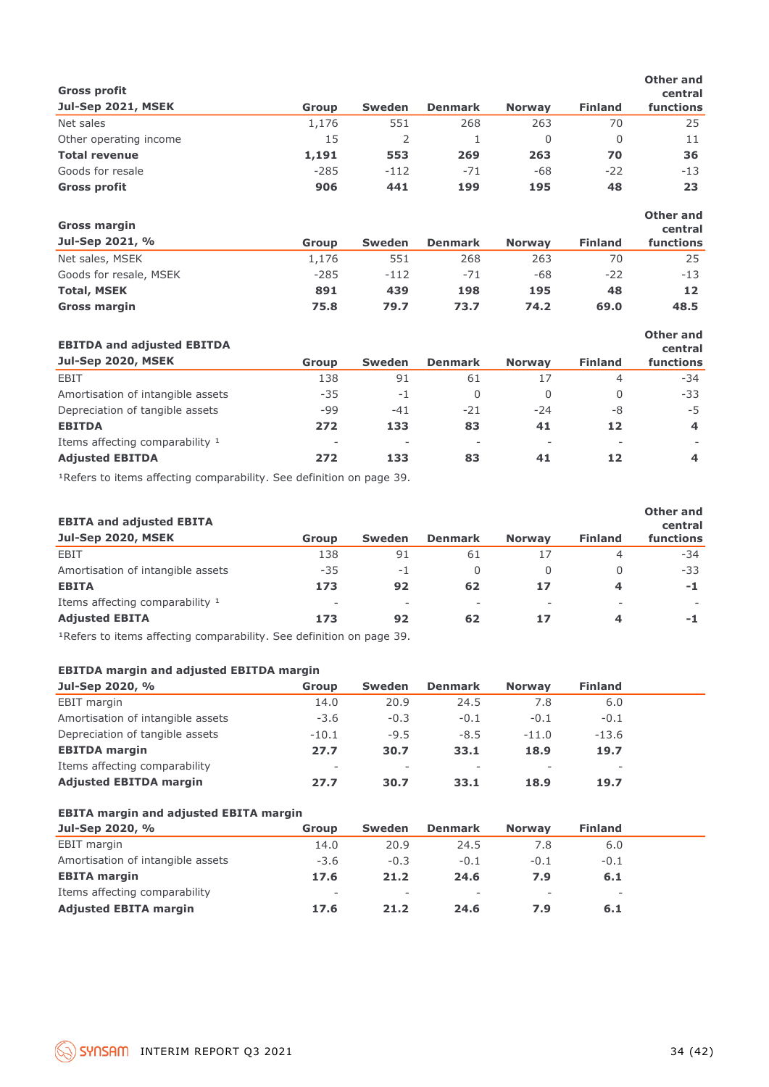| <b>Gross profit</b>               |              |               |                |               |                | <b>Other and</b><br>central |
|-----------------------------------|--------------|---------------|----------------|---------------|----------------|-----------------------------|
| <b>Jul-Sep 2021, MSEK</b>         | <b>Group</b> | <b>Sweden</b> | <b>Denmark</b> | <b>Norway</b> | <b>Finland</b> | functions                   |
| Net sales                         | 1,176        | 551           | 268            | 263           | 70             | 25                          |
| Other operating income            | 15           | 2             | 1              | 0             | $\Omega$       | 11                          |
| <b>Total revenue</b>              | 1,191        | 553           | 269            | 263           | 70             | 36                          |
| Goods for resale                  | $-285$       | $-112$        | $-71$          | $-68$         | $-22$          | $-13$                       |
| <b>Gross profit</b>               | 906          | 441           | 199            | 195           | 48             | 23                          |
| <b>Gross margin</b>               |              |               |                |               |                | Other and<br>central        |
| Jul-Sep 2021, %                   | <b>Group</b> | <b>Sweden</b> | <b>Denmark</b> | <b>Norway</b> | <b>Finland</b> | functions                   |
| Net sales, MSEK                   | 1,176        | 551           | 268            | 263           | 70             | 25                          |
| Goods for resale, MSEK            | $-285$       | $-112$        | $-71$          | $-68$         | $-22$          | $-13$                       |
| <b>Total, MSEK</b>                | 891          | 439           | 198            | 195           | 48             | $12 \overline{ }$           |
| <b>Gross margin</b>               | 75.8         | 79.7          | 73.7           | 74.2          | 69.0           | 48.5                        |
| <b>EBITDA and adjusted EBITDA</b> |              |               |                |               |                | <b>Other and</b><br>central |
| Jul-Sen 2020 MSFK                 | CHAILE       | C             | <b>Donmark</b> | <b>Norman</b> | Einland        | functions                   |

| Jul-Sep 2020, MSEK                | Group | <b>Sweden</b>            | <b>Denmark</b>           | <b>Norway</b> | <b>Finland</b> | <b>functions</b> |
|-----------------------------------|-------|--------------------------|--------------------------|---------------|----------------|------------------|
| EBIT                              | 138   | 91                       | 61                       |               | 4              | -34              |
| Amortisation of intangible assets | $-35$ | $-1$                     | 0                        |               |                | -33              |
| Depreciation of tangible assets   | -99   | $-41$                    | $-21$                    | $-24$         | -8             | -5               |
| <b>EBITDA</b>                     | 272   | 133                      | 83                       | 41            | 12             | 4                |
| Items affecting comparability 1   | -     | $\overline{\phantom{a}}$ | $\overline{\phantom{a}}$ |               |                |                  |
| <b>Adjusted EBITDA</b>            | 272   | 133                      | 83                       | 41            | 12             | 4                |

<sup>1</sup>Refers to items affecting comparability. See definition on page 39.

| <b>EBITA and adjusted EBITA</b>   |              |                          |                |               |                | Other and<br>central |
|-----------------------------------|--------------|--------------------------|----------------|---------------|----------------|----------------------|
| <b>Jul-Sep 2020, MSEK</b>         | <b>Group</b> | Sweden                   | <b>Denmark</b> | <b>Norway</b> | <b>Finland</b> | functions            |
| EBIT                              | 138          | 91                       | 61             | 17            | 4              | $-34$                |
| Amortisation of intangible assets | $-35$        | $-1$                     | 0              | 0             | 0              | -33                  |
| <b>EBITA</b>                      | 173          | 92                       | 62             | 17            | 4              | $-1$                 |
| Items affecting comparability 1   | $\sim$       | $\overline{\phantom{a}}$ | ۰              |               | -              |                      |
| <b>Adjusted EBITA</b>             | 173          | 92                       | 62             | 17            | 4              | -1                   |

1Refers to items affecting comparability. See definition on page 39.

#### **EBITDA margin and adjusted EBITDA margin**

| Jul-Sep 2020, %                   | Group   | Sweden                   | <b>Denmark</b> | <b>Norway</b> | <b>Finland</b> |  |
|-----------------------------------|---------|--------------------------|----------------|---------------|----------------|--|
| EBIT margin                       | 14.0    | 20.9                     | 24.5           | 7.8           | 6.0            |  |
| Amortisation of intangible assets | $-3.6$  | $-0.3$                   | $-0.1$         | $-0.1$        | $-0.1$         |  |
| Depreciation of tangible assets   | $-10.1$ | $-9.5$                   | $-8.5$         | $-11.0$       | $-13.6$        |  |
| <b>EBITDA</b> margin              | 27.7    | 30.7                     | 33.1           | 18.9          | 19.7           |  |
| Items affecting comparability     | -       | $\overline{\phantom{0}}$ | ۰              |               | -              |  |
| <b>Adjusted EBITDA margin</b>     | 27.7    | 30.7                     | 33.1           | 18.9          | 19.7           |  |

| Jul-Sep 2020, %                   | Group  | <b>Sweden</b>            | <b>Denmark</b>           | <b>Norway</b>            | <b>Finland</b>           |  |
|-----------------------------------|--------|--------------------------|--------------------------|--------------------------|--------------------------|--|
| EBIT margin                       | 14.0   | 20.9                     | 24.5                     | 7.8                      | 6.0                      |  |
| Amortisation of intangible assets | $-3.6$ | $-0.3$                   | $-0.1$                   | $-0.1$                   | $-0.1$                   |  |
| <b>EBITA margin</b>               | 17.6   | 21.2                     | 24.6                     | 7.9                      | 6.1                      |  |
| Items affecting comparability     | -      | $\overline{\phantom{a}}$ | $\overline{\phantom{a}}$ | $\overline{\phantom{a}}$ | $\overline{\phantom{a}}$ |  |
| <b>Adjusted EBITA margin</b>      | 17.6   | 21.2                     | 24.6                     | 7.9                      | 6.1                      |  |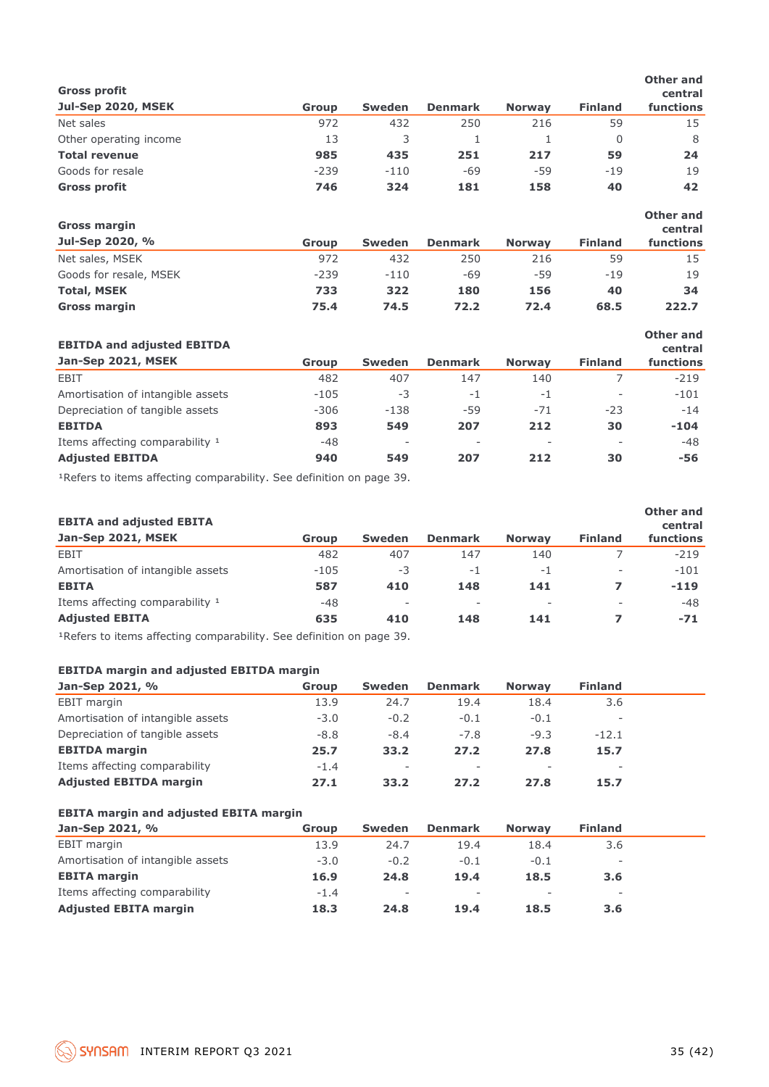| <b>Gross profit</b>    |        |               |                |               |                | <b>Other and</b><br>central |
|------------------------|--------|---------------|----------------|---------------|----------------|-----------------------------|
| Jul-Sep 2020, MSEK     | Group  | <b>Sweden</b> | <b>Denmark</b> | <b>Norway</b> | <b>Finland</b> | functions                   |
| Net sales              | 972    | 432           | 250            | 216           | 59             | 15                          |
| Other operating income | 13     | 3             | 1              | 1             | $\Omega$       | 8                           |
| <b>Total revenue</b>   | 985    | 435           | 251            | 217           | 59             | 24                          |
| Goods for resale       | $-239$ | $-110$        | $-69$          | $-59$         | $-19$          | 19                          |
| <b>Gross profit</b>    | 746    | 324           | 181            | 158           | 40             | 42                          |
| <b>Gross margin</b>    |        |               |                |               |                | <b>Other and</b><br>central |
| Jul-Sep 2020, %        | Group  | <b>Sweden</b> | <b>Denmark</b> | <b>Norway</b> | <b>Finland</b> | functions                   |
| Net sales, MSEK        | 972    | 432           | 250            | 216           | 59             | 15                          |
| Goods for resale, MSEK | $-239$ | $-110$        | $-69$          | -59           | $-19$          | 19                          |
| <b>Total, MSEK</b>     | 733    | 322           | 180            | 156           | 40             | 34                          |
| <b>Gross margin</b>    | 75.4   | 74.5          | 72.2           | 72.4          | 68.5           | 222.7                       |
|                        |        |               |                |               |                |                             |

| <b>EBITDA and adjusted EBITDA</b> |              |                          |                |               |                | Other and<br>central |
|-----------------------------------|--------------|--------------------------|----------------|---------------|----------------|----------------------|
| Jan-Sep 2021, MSEK                | <b>Group</b> | <b>Sweden</b>            | <b>Denmark</b> | <b>Norway</b> | <b>Finland</b> | functions            |
| EBIT                              | 482          | 407                      | 147            | 140           |                | $-219$               |
| Amortisation of intangible assets | $-105$       | $-3$                     | $-1$           | $-1$          | ۰              | $-101$               |
| Depreciation of tangible assets   | $-306$       | $-138$                   | $-59$          | $-71$         | $-23$          | $-14$                |
| <b>EBITDA</b>                     | 893          | 549                      | 207            | 212           | 30             | $-104$               |
| Items affecting comparability 1   | -48          | $\overline{\phantom{a}}$ |                |               |                | $-48$                |
| <b>Adjusted EBITDA</b>            | 940          | 549                      | 207            | 212           | 30             | -56                  |

<sup>1</sup>Refers to items affecting comparability. See definition on page 39.

| <b>EBITA and adjusted EBITA</b>   |              |                          |                |               |                          | Other and<br>central |
|-----------------------------------|--------------|--------------------------|----------------|---------------|--------------------------|----------------------|
| Jan-Sep 2021, MSEK                | <b>Group</b> | <b>Sweden</b>            | <b>Denmark</b> | <b>Norway</b> | <b>Finland</b>           | functions            |
| EBIT                              | 482          | 407                      | 147            | 140           |                          | $-219$               |
| Amortisation of intangible assets | $-105$       | $-3$                     | -1             | -1            | $\overline{\phantom{0}}$ | $-101$               |
| <b>EBITA</b>                      | 587          | 410                      | 148            | 141           |                          | $-119$               |
| Items affecting comparability 1   | $-48$        | $\overline{\phantom{m}}$ | ٠              |               |                          | $-48$                |
| <b>Adjusted EBITA</b>             | 635          | 410                      | 148            | 141           |                          | $-71$                |

<sup>1</sup>Refers to items affecting comparability. See definition on page 39.

#### **EBITDA margin and adjusted EBITDA margin**

| Jan-Sep 2021, %                   | Group  | <b>Sweden</b>            | <b>Denmark</b>           | <b>Norway</b> | <b>Finland</b> |  |
|-----------------------------------|--------|--------------------------|--------------------------|---------------|----------------|--|
| EBIT margin                       | 13.9   | 24.7                     | 19.4                     | 18.4          | 3.6            |  |
| Amortisation of intangible assets | $-3.0$ | $-0.2$                   | $-0.1$                   | $-0.1$        | ۰              |  |
| Depreciation of tangible assets   | $-8.8$ | $-8.4$                   | $-7.8$                   | $-9.3$        | $-12.1$        |  |
| <b>EBITDA</b> margin              | 25.7   | 33.2                     | 27.2                     | 27.8          | 15.7           |  |
| Items affecting comparability     | $-1.4$ | $\overline{\phantom{a}}$ | $\overline{\phantom{a}}$ | $\sim$        |                |  |
| <b>Adjusted EBITDA margin</b>     | 27.1   | 33.2                     | 27.2                     | 27.8          | 15.7           |  |

| Jan-Sep 2021, %                   | Group  | Sweden                   | <b>Denmark</b>           | <b>Norway</b>            | <b>Finland</b>           |  |
|-----------------------------------|--------|--------------------------|--------------------------|--------------------------|--------------------------|--|
| EBIT margin                       | 13.9   | 24.7                     | 19.4                     | 18.4                     | 3.6                      |  |
| Amortisation of intangible assets | $-3.0$ | $-0.2$                   | $-0.1$                   | $-0.1$                   | $\overline{\phantom{0}}$ |  |
| <b>EBITA margin</b>               | 16.9   | 24.8                     | 19.4                     | 18.5                     | 3.6                      |  |
| Items affecting comparability     | $-1.4$ | $\overline{\phantom{a}}$ | $\overline{\phantom{a}}$ | $\overline{\phantom{a}}$ | $\overline{\phantom{0}}$ |  |
| <b>Adjusted EBITA margin</b>      | 18.3   | 24.8                     | 19.4                     | 18.5                     | 3.6                      |  |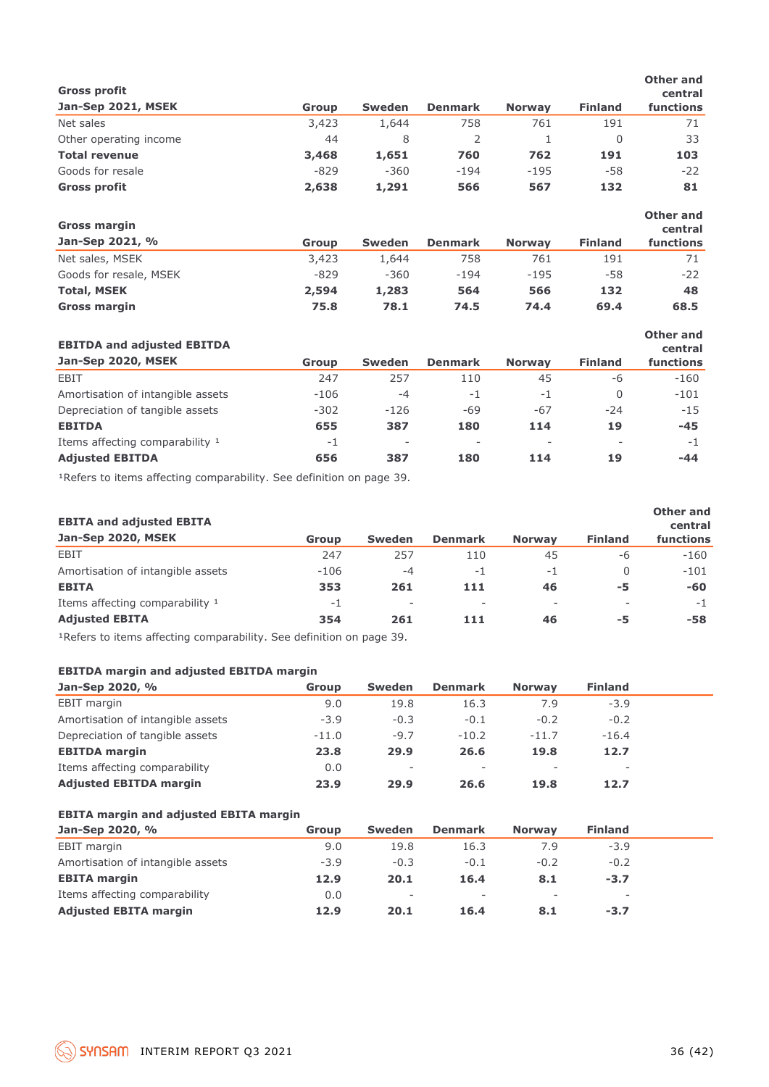| <b>Gross profit</b>               |              |               |                |               |                | <b>Other and</b><br>central |
|-----------------------------------|--------------|---------------|----------------|---------------|----------------|-----------------------------|
| Jan-Sep 2021, MSEK                | <b>Group</b> | <b>Sweden</b> | <b>Denmark</b> | <b>Norway</b> | <b>Finland</b> | functions                   |
| Net sales                         | 3,423        | 1,644         | 758            | 761           | 191            | 71                          |
| Other operating income            | 44           | 8             | 2              | 1             | $\Omega$       | 33                          |
| <b>Total revenue</b>              | 3,468        | 1,651         | 760            | 762           | 191            | 103                         |
| Goods for resale                  | $-829$       | $-360$        | $-194$         | $-195$        | -58            | $-22$                       |
| <b>Gross profit</b>               | 2,638        | 1,291         | 566            | 567           | 132            | 81                          |
| <b>Gross margin</b>               |              |               |                |               |                | <b>Other and</b><br>central |
| Jan-Sep 2021, %                   | <b>Group</b> | <b>Sweden</b> | <b>Denmark</b> | <b>Norway</b> | <b>Finland</b> | functions                   |
| Net sales, MSEK                   | 3,423        | 1,644         | 758            | 761           | 191            | 71                          |
| Goods for resale, MSEK            | $-829$       | $-360$        | $-194$         | $-195$        | -58            | $-22$                       |
| <b>Total, MSEK</b>                | 2,594        | 1,283         | 564            | 566           | 132            | 48                          |
| <b>Gross margin</b>               | 75.8         | 78.1          | 74.5           | 74.4          | 69.4           | 68.5                        |
| <b>EBITDA and adjusted EBITDA</b> |              |               |                |               |                | <b>Other and</b><br>central |
| Jan-Sep 2020, MSEK                | <b>Group</b> | <b>Sweden</b> | <b>Denmark</b> | <b>Norway</b> | <b>Finland</b> | functions                   |
| EBIT                              | 247          | 257           | 110            | 45            | -6             | $-160$                      |
| Amortisation of intangible assets | $-106$       | $-4$          | $-1$           | $-1$          | $\mathbf 0$    | $-101$                      |

| <b>Adjusted EBITDA</b>            | 656    | 387                      | 180 | 114 | 19                       | $-44$  |
|-----------------------------------|--------|--------------------------|-----|-----|--------------------------|--------|
| Items affecting comparability 1   | - 1    | $\overline{\phantom{a}}$ | -   | . . | $\overline{\phantom{a}}$ | $-1$   |
| <b>EBITDA</b>                     | 655    | 387                      | 180 | 114 | 19                       | $-45$  |
| Depreciation of tangible assets   | $-302$ | $-126$                   | -69 | -67 | -24                      | $-15$  |
| Amortisation of intangible assets | $-106$ | -4                       | - 1 | - 1 |                          | $-101$ |

<sup>1</sup>Refers to items affecting comparability. See definition on page 39.

| <b>EBITA and adjusted EBITA</b>                                                                                                                                                                                                                                                               |        |                          |                          |                          |                | Other and<br>central |
|-----------------------------------------------------------------------------------------------------------------------------------------------------------------------------------------------------------------------------------------------------------------------------------------------|--------|--------------------------|--------------------------|--------------------------|----------------|----------------------|
| Jan-Sep 2020, MSEK                                                                                                                                                                                                                                                                            | Group  | <b>Sweden</b>            | <b>Denmark</b>           | <b>Norway</b>            | <b>Finland</b> | functions            |
| EBIT                                                                                                                                                                                                                                                                                          | 247    | 257                      | 110                      | 45                       | -6             | $-160$               |
| Amortisation of intangible assets                                                                                                                                                                                                                                                             | $-106$ | $-4$                     | $-1$                     | $-1$                     | 0              | $-101$               |
| <b>EBITA</b>                                                                                                                                                                                                                                                                                  | 353    | 261                      | 111                      | 46                       | -5             | -60                  |
| Items affecting comparability 1                                                                                                                                                                                                                                                               | $-1$   | $\overline{\phantom{a}}$ | $\overline{\phantom{a}}$ | $\overline{\phantom{a}}$ | ۰              | $-1$                 |
| <b>Adjusted EBITA</b>                                                                                                                                                                                                                                                                         | 354    | 261                      | 111                      | 46                       | -5             | -58                  |
| $\sim$ 2 $\sim$ 3 $\sim$ 3 $\sim$ 3 $\sim$ 3 $\sim$ 3 $\sim$ 3 $\sim$ 3 $\sim$ 3 $\sim$ 3 $\sim$ 3 $\sim$ 3 $\sim$ 3 $\sim$ 3 $\sim$ 3 $\sim$ 3 $\sim$ 3 $\sim$ 3 $\sim$ 3 $\sim$ 3 $\sim$ 3 $\sim$ 3 $\sim$ 3 $\sim$ 3 $\sim$ 3 $\sim$ 3 $\sim$ 3 $\sim$ 3 $\sim$ 3 $\sim$ 3 $\sim$ 3 $\sim$ |        |                          |                          |                          |                |                      |

<sup>1</sup>Refers to items affecting comparability. See definition on page 39.

#### **EBITDA margin and adjusted EBITDA margin**

| Jan-Sep 2020, %                   | <b>Group</b> | <b>Sweden</b>            | <b>Denmark</b>           | <b>Norway</b> | <b>Finland</b> |  |
|-----------------------------------|--------------|--------------------------|--------------------------|---------------|----------------|--|
| <b>EBIT</b> margin                | 9.0          | 19.8                     | 16.3                     | 7.9           | $-3.9$         |  |
| Amortisation of intangible assets | $-3.9$       | $-0.3$                   | $-0.1$                   | $-0.2$        | $-0.2$         |  |
| Depreciation of tangible assets   | $-11.0$      | $-9.7$                   | $-10.2$                  | $-11.7$       | $-16.4$        |  |
| <b>EBITDA</b> margin              | 23.8         | 29.9                     | 26.6                     | 19.8          | 12.7           |  |
| Items affecting comparability     | 0.0          | $\overline{\phantom{a}}$ | $\overline{\phantom{a}}$ | $\sim$        |                |  |
| <b>Adjusted EBITDA margin</b>     | 23.9         | 29.9                     | 26.6                     | 19.8          | 12.7           |  |

| Jan-Sep 2020, %                   | Group  | <b>Sweden</b>            | <b>Denmark</b>           | <b>Norway</b>            | <b>Finland</b>           |  |
|-----------------------------------|--------|--------------------------|--------------------------|--------------------------|--------------------------|--|
| EBIT margin                       | 9.0    | 19.8                     | 16.3                     | 7.9                      | $-3.9$                   |  |
| Amortisation of intangible assets | $-3.9$ | $-0.3$                   | $-0.1$                   | $-0.2$                   | $-0.2$                   |  |
| <b>EBITA margin</b>               | 12.9   | 20.1                     | 16.4                     | 8.1                      | $-3.7$                   |  |
| Items affecting comparability     | 0.0    | $\overline{\phantom{a}}$ | $\overline{\phantom{a}}$ | $\overline{\phantom{a}}$ | $\overline{\phantom{0}}$ |  |
| <b>Adjusted EBITA margin</b>      | 12.9   | 20.1                     | 16.4                     | 8.1                      | $-3.7$                   |  |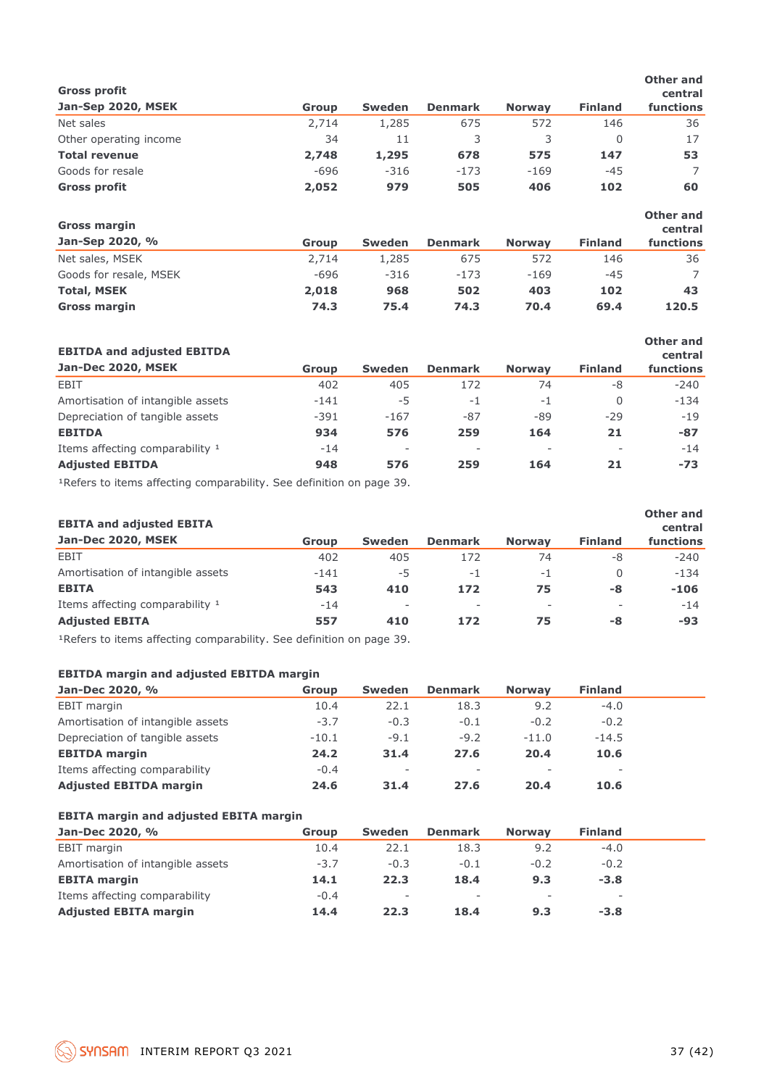| <b>Gross profit</b>    |              |               |                |               |                | Other and<br>central        |
|------------------------|--------------|---------------|----------------|---------------|----------------|-----------------------------|
| Jan-Sep 2020, MSEK     | <b>Group</b> | <b>Sweden</b> | <b>Denmark</b> | <b>Norway</b> | <b>Finland</b> | functions                   |
| Net sales              | 2,714        | 1,285         | 675            | 572           | 146            | 36                          |
| Other operating income | 34           | 11            | 3              | 3             | $\Omega$       | 17                          |
| <b>Total revenue</b>   | 2,748        | 1,295         | 678            | 575           | 147            | 53                          |
| Goods for resale       | $-696$       | $-316$        | $-173$         | $-169$        | $-45$          | 7                           |
| <b>Gross profit</b>    | 2,052        | 979           | 505            | 406           | 102            | 60                          |
| <b>Gross margin</b>    |              |               |                |               |                | <b>Other and</b><br>central |
| Jan-Sep 2020, %        | Group        | <b>Sweden</b> | <b>Denmark</b> | <b>Norway</b> | <b>Finland</b> | functions                   |
| Net sales, MSEK        | 2,714        | 1,285         | 675            | 572           | 146            | 36                          |
| Goods for resale, MSEK | $-696$       | $-316$        | $-173$         | $-169$        | $-45$          |                             |
| <b>Total, MSEK</b>     | 2,018        | 968           | 502            | 403           | 102            | 43                          |
| <b>Gross margin</b>    | 74.3         | 75.4          | 74.3           | 70.4          | 69.4           | 120.5                       |

| <b>EBITDA and adjusted EBITDA</b> |        |                          |                          |               |                | Other and<br>central |
|-----------------------------------|--------|--------------------------|--------------------------|---------------|----------------|----------------------|
| Jan-Dec 2020, MSEK                | Group  | <b>Sweden</b>            | <b>Denmark</b>           | <b>Norway</b> | <b>Finland</b> | functions            |
| EBIT                              | 402    | 405                      | 172                      | 74            | -8             | $-240$               |
| Amortisation of intangible assets | $-141$ | $-5$                     | $-1$                     | -1            | $\Omega$       | $-134$               |
| Depreciation of tangible assets   | $-391$ | $-167$                   | $-87$                    | -89           | $-29$          | $-19$                |
| <b>EBITDA</b>                     | 934    | 576                      | 259                      | 164           | 21             | $-87$                |
| Items affecting comparability 1   | $-14$  | $\overline{\phantom{a}}$ | $\overline{\phantom{a}}$ | -             |                | $-14$                |
| <b>Adjusted EBITDA</b>            | 948    | 576                      | 259                      | 164           | 21             | $-73$                |

1Refers to items affecting comparability. See definition on page 39.

| <b>EBITA and adjusted EBITA</b>   |        |                          |                |                          |                | Other and<br>central |
|-----------------------------------|--------|--------------------------|----------------|--------------------------|----------------|----------------------|
| Jan-Dec 2020, MSEK                | Group  | <b>Sweden</b>            | <b>Denmark</b> | <b>Norway</b>            | <b>Finland</b> | functions            |
| EBIT                              | 402    | 405                      | 172            | 74                       | -8             | $-240$               |
| Amortisation of intangible assets | $-141$ | -5                       | $-1$           | $-1$                     | 0              | $-134$               |
| <b>EBITA</b>                      | 543    | 410                      | 172            | 75                       | -8             | $-106$               |
| Items affecting comparability 1   | $-14$  | $\overline{\phantom{a}}$ | ٠              | $\overline{\phantom{a}}$ |                | $-14$                |
| <b>Adjusted EBITA</b>             | 557    | 410                      | 172            | 75                       | -8             | -93                  |

1Refers to items affecting comparability. See definition on page 39.

#### **EBITDA margin and adjusted EBITDA margin**

| Jan-Dec 2020, %                   | Group   | <b>Sweden</b>            | <b>Denmark</b>           | <b>Norway</b> | <b>Finland</b>           |  |
|-----------------------------------|---------|--------------------------|--------------------------|---------------|--------------------------|--|
| EBIT margin                       | 10.4    | 22.1                     | 18.3                     | 9.2           | $-4.0$                   |  |
| Amortisation of intangible assets | $-3.7$  | $-0.3$                   | $-0.1$                   | $-0.2$        | $-0.2$                   |  |
| Depreciation of tangible assets   | $-10.1$ | $-9.1$                   | $-9.2$                   | $-11.0$       | $-14.5$                  |  |
| <b>EBITDA</b> margin              | 24.2    | 31.4                     | 27.6                     | 20.4          | 10.6                     |  |
| Items affecting comparability     | $-0.4$  | $\overline{\phantom{a}}$ | $\overline{\phantom{a}}$ |               | $\overline{\phantom{a}}$ |  |
| <b>Adjusted EBITDA margin</b>     | 24.6    | 31.4                     | 27.6                     | 20.4          | 10.6                     |  |

| Jan-Dec 2020, %                   | Group  | Sweden                   | <b>Denmark</b>           | <b>Norway</b>            | <b>Finland</b> |  |
|-----------------------------------|--------|--------------------------|--------------------------|--------------------------|----------------|--|
| <b>EBIT</b> margin                | 10.4   | 22.1                     | 18.3                     | 9.2                      | $-4.0$         |  |
| Amortisation of intangible assets | $-3.7$ | $-0.3$                   | $-0.1$                   | $-0.2$                   | $-0.2$         |  |
| <b>EBITA margin</b>               | 14.1   | 22.3                     | 18.4                     | 9.3                      | $-3.8$         |  |
| Items affecting comparability     | $-0.4$ | $\overline{\phantom{a}}$ | $\overline{\phantom{a}}$ | $\overline{\phantom{a}}$ | ۰              |  |
| <b>Adjusted EBITA margin</b>      | 14.4   | 22.3                     | 18.4                     | 9.3                      | $-3.8$         |  |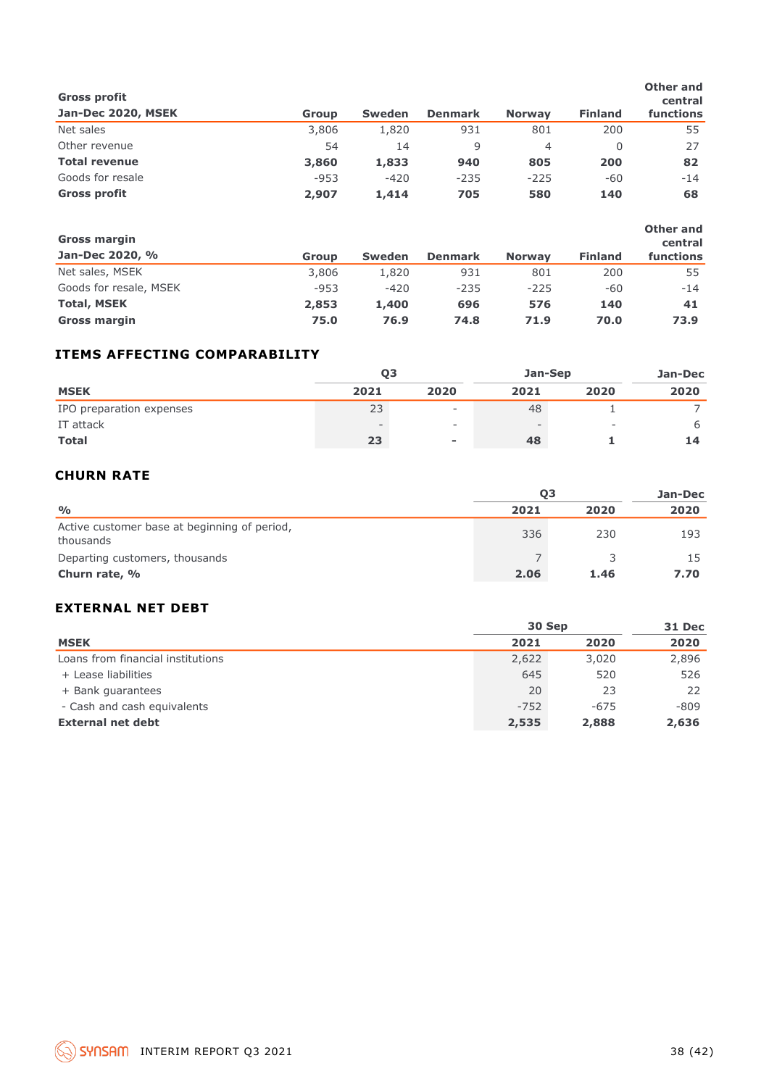| <b>Gross profit</b>  |        |               |                |               |                | Other and<br>central |
|----------------------|--------|---------------|----------------|---------------|----------------|----------------------|
| Jan-Dec 2020, MSEK   | Group  | <b>Sweden</b> | <b>Denmark</b> | <b>Norway</b> | <b>Finland</b> | functions            |
| Net sales            | 3,806  | 1,820         | 931            | 801           | 200            | 55                   |
| Other revenue        | 54     | 14            | 9              | 4             | 0              | 27                   |
| <b>Total revenue</b> | 3,860  | 1,833         | 940            | 805           | 200            | 82                   |
| Goods for resale     | $-953$ | $-420$        | $-235$         | $-225$        | -60            | $-14$                |
| <b>Gross profit</b>  | 2,907  | 1,414         | 705            | 580           | 140            | 68                   |

| <b>Gross margin</b>    |        |               |                |               |                | Other and<br>central |
|------------------------|--------|---------------|----------------|---------------|----------------|----------------------|
| Jan-Dec 2020, %        | Group  | <b>Sweden</b> | <b>Denmark</b> | <b>Norway</b> | <b>Finland</b> | functions            |
| Net sales, MSEK        | 3,806  | 1,820         | 931            | 801           | 200            | 55                   |
| Goods for resale, MSEK | $-953$ | $-420$        | $-235$         | $-225$        | -60            | $-14$                |
| <b>Total, MSEK</b>     | 2,853  | 1,400         | 696            | 576           | 140            | 41                   |
| <b>Gross margin</b>    | 75.0   | 76.9          | 74.8           | 71.9          | 70.0           | 73.9                 |

#### **ITEMS AFFECTING COMPARABILITY**

|                          | Q <sub>3</sub> |                          | Jan-Sep | Jan-Dec |         |
|--------------------------|----------------|--------------------------|---------|---------|---------|
| <b>MSEK</b>              | 2021           | 2020                     | 2021    | 2020    | 2020    |
| IPO preparation expenses | 23             | $\overline{\phantom{0}}$ | 48      |         |         |
| IT attack                |                | -                        |         |         | 6       |
| <b>Total</b>             | 23             | $\overline{\phantom{a}}$ | 48      |         | 14      |
| <b>CHURN RATE</b>        |                |                          |         |         |         |
|                          |                |                          | 03      |         | Jan-Dec |

#### **CHURN RATE**

|                                                           | 03   | Jan-Dec |      |
|-----------------------------------------------------------|------|---------|------|
| $\frac{0}{0}$                                             | 2021 | 2020    | 2020 |
| Active customer base at beginning of period,<br>thousands | 336  | 230     | 193  |
| Departing customers, thousands                            |      |         |      |
| Churn rate, %                                             | 2.06 | 1.46    | 7.70 |

#### **EXTERNAL NET DEBT**

|                                   | 30 Sep | 31 Dec |        |
|-----------------------------------|--------|--------|--------|
| <b>MSEK</b>                       | 2021   | 2020   | 2020   |
| Loans from financial institutions | 2,622  | 3,020  | 2,896  |
| + Lease liabilities               | 645    | 520    | 526    |
| + Bank guarantees                 | 20     | 23     | 22     |
| - Cash and cash equivalents       | $-752$ | $-675$ | $-809$ |
| <b>External net debt</b>          | 2,535  | 2,888  | 2,636  |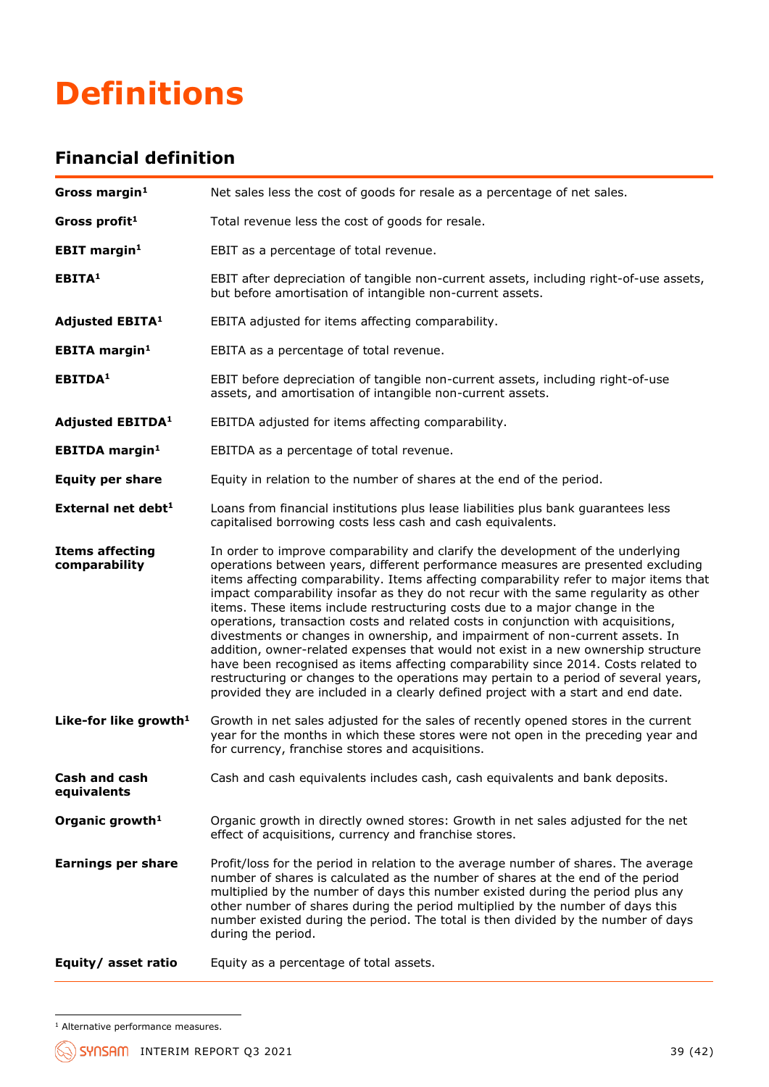## **Definitions**

## **Financial definition**

| Gross margin <sup>1</sup>               | Net sales less the cost of goods for resale as a percentage of net sales.                                                                                                                                                                                                                                                                                                                                                                                                                                                                                                                                                                                                                                                                                                                                                                                                                                                                                           |  |  |
|-----------------------------------------|---------------------------------------------------------------------------------------------------------------------------------------------------------------------------------------------------------------------------------------------------------------------------------------------------------------------------------------------------------------------------------------------------------------------------------------------------------------------------------------------------------------------------------------------------------------------------------------------------------------------------------------------------------------------------------------------------------------------------------------------------------------------------------------------------------------------------------------------------------------------------------------------------------------------------------------------------------------------|--|--|
| Gross profit <sup>1</sup>               | Total revenue less the cost of goods for resale.                                                                                                                                                                                                                                                                                                                                                                                                                                                                                                                                                                                                                                                                                                                                                                                                                                                                                                                    |  |  |
| <b>EBIT margin<sup>1</sup></b>          | EBIT as a percentage of total revenue.                                                                                                                                                                                                                                                                                                                                                                                                                                                                                                                                                                                                                                                                                                                                                                                                                                                                                                                              |  |  |
| EBITA <sup>1</sup>                      | EBIT after depreciation of tangible non-current assets, including right-of-use assets,<br>but before amortisation of intangible non-current assets.                                                                                                                                                                                                                                                                                                                                                                                                                                                                                                                                                                                                                                                                                                                                                                                                                 |  |  |
| <b>Adjusted EBITA1</b>                  | EBITA adjusted for items affecting comparability.                                                                                                                                                                                                                                                                                                                                                                                                                                                                                                                                                                                                                                                                                                                                                                                                                                                                                                                   |  |  |
| <b>EBITA</b> margin <sup>1</sup>        | EBITA as a percentage of total revenue.                                                                                                                                                                                                                                                                                                                                                                                                                                                                                                                                                                                                                                                                                                                                                                                                                                                                                                                             |  |  |
| EBITDA <sup>1</sup>                     | EBIT before depreciation of tangible non-current assets, including right-of-use<br>assets, and amortisation of intangible non-current assets.                                                                                                                                                                                                                                                                                                                                                                                                                                                                                                                                                                                                                                                                                                                                                                                                                       |  |  |
| <b>Adjusted EBITDA1</b>                 | EBITDA adjusted for items affecting comparability.                                                                                                                                                                                                                                                                                                                                                                                                                                                                                                                                                                                                                                                                                                                                                                                                                                                                                                                  |  |  |
| <b>EBITDA</b> margin <sup>1</sup>       | EBITDA as a percentage of total revenue.                                                                                                                                                                                                                                                                                                                                                                                                                                                                                                                                                                                                                                                                                                                                                                                                                                                                                                                            |  |  |
| <b>Equity per share</b>                 | Equity in relation to the number of shares at the end of the period.                                                                                                                                                                                                                                                                                                                                                                                                                                                                                                                                                                                                                                                                                                                                                                                                                                                                                                |  |  |
| External net debt $1$                   | Loans from financial institutions plus lease liabilities plus bank quarantees less<br>capitalised borrowing costs less cash and cash equivalents.                                                                                                                                                                                                                                                                                                                                                                                                                                                                                                                                                                                                                                                                                                                                                                                                                   |  |  |
| <b>Items affecting</b><br>comparability | In order to improve comparability and clarify the development of the underlying<br>operations between years, different performance measures are presented excluding<br>items affecting comparability. Items affecting comparability refer to major items that<br>impact comparability insofar as they do not recur with the same regularity as other<br>items. These items include restructuring costs due to a major change in the<br>operations, transaction costs and related costs in conjunction with acquisitions,<br>divestments or changes in ownership, and impairment of non-current assets. In<br>addition, owner-related expenses that would not exist in a new ownership structure<br>have been recognised as items affecting comparability since 2014. Costs related to<br>restructuring or changes to the operations may pertain to a period of several years,<br>provided they are included in a clearly defined project with a start and end date. |  |  |
| Like-for like growth <sup>1</sup>       | Growth in net sales adjusted for the sales of recently opened stores in the current<br>year for the months in which these stores were not open in the preceding year and<br>for currency, franchise stores and acquisitions.                                                                                                                                                                                                                                                                                                                                                                                                                                                                                                                                                                                                                                                                                                                                        |  |  |
| Cash and cash<br>equivalents            | Cash and cash equivalents includes cash, cash equivalents and bank deposits.                                                                                                                                                                                                                                                                                                                                                                                                                                                                                                                                                                                                                                                                                                                                                                                                                                                                                        |  |  |
| Organic growth <sup>1</sup>             | Organic growth in directly owned stores: Growth in net sales adjusted for the net<br>effect of acquisitions, currency and franchise stores.                                                                                                                                                                                                                                                                                                                                                                                                                                                                                                                                                                                                                                                                                                                                                                                                                         |  |  |
| <b>Earnings per share</b>               | Profit/loss for the period in relation to the average number of shares. The average<br>number of shares is calculated as the number of shares at the end of the period<br>multiplied by the number of days this number existed during the period plus any<br>other number of shares during the period multiplied by the number of days this<br>number existed during the period. The total is then divided by the number of days<br>during the period.                                                                                                                                                                                                                                                                                                                                                                                                                                                                                                              |  |  |
| Equity/ asset ratio                     | Equity as a percentage of total assets.                                                                                                                                                                                                                                                                                                                                                                                                                                                                                                                                                                                                                                                                                                                                                                                                                                                                                                                             |  |  |

<sup>&</sup>lt;sup>1</sup> Alternative performance measures.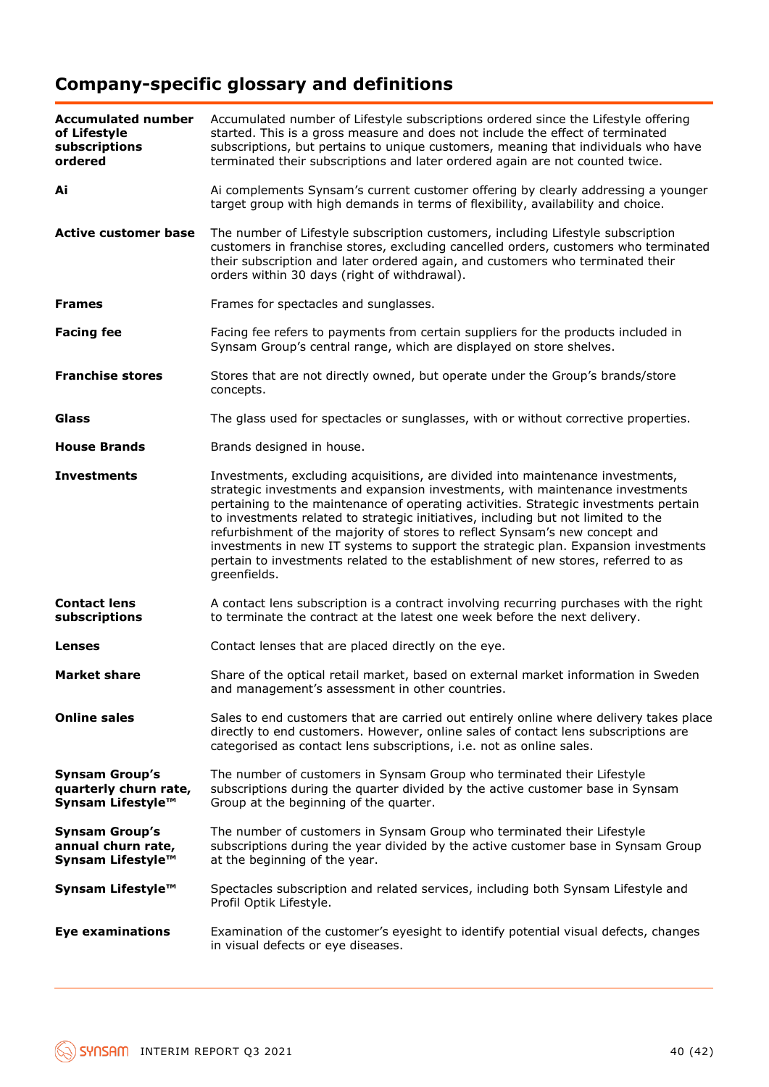## **Company-specific glossary and definitions**

| <b>Accumulated number</b><br>of Lifestyle<br>subscriptions<br>ordered | Accumulated number of Lifestyle subscriptions ordered since the Lifestyle offering<br>started. This is a gross measure and does not include the effect of terminated<br>subscriptions, but pertains to unique customers, meaning that individuals who have<br>terminated their subscriptions and later ordered again are not counted twice.                                                                                                                                                                                                                                                                            |  |
|-----------------------------------------------------------------------|------------------------------------------------------------------------------------------------------------------------------------------------------------------------------------------------------------------------------------------------------------------------------------------------------------------------------------------------------------------------------------------------------------------------------------------------------------------------------------------------------------------------------------------------------------------------------------------------------------------------|--|
| Ai                                                                    | Ai complements Synsam's current customer offering by clearly addressing a younger<br>target group with high demands in terms of flexibility, availability and choice.                                                                                                                                                                                                                                                                                                                                                                                                                                                  |  |
| <b>Active customer base</b>                                           | The number of Lifestyle subscription customers, including Lifestyle subscription<br>customers in franchise stores, excluding cancelled orders, customers who terminated<br>their subscription and later ordered again, and customers who terminated their<br>orders within 30 days (right of withdrawal).                                                                                                                                                                                                                                                                                                              |  |
| <b>Frames</b>                                                         | Frames for spectacles and sunglasses.                                                                                                                                                                                                                                                                                                                                                                                                                                                                                                                                                                                  |  |
| <b>Facing fee</b>                                                     | Facing fee refers to payments from certain suppliers for the products included in<br>Synsam Group's central range, which are displayed on store shelves.                                                                                                                                                                                                                                                                                                                                                                                                                                                               |  |
| <b>Franchise stores</b>                                               | Stores that are not directly owned, but operate under the Group's brands/store<br>concepts.                                                                                                                                                                                                                                                                                                                                                                                                                                                                                                                            |  |
| <b>Glass</b>                                                          | The glass used for spectacles or sunglasses, with or without corrective properties.                                                                                                                                                                                                                                                                                                                                                                                                                                                                                                                                    |  |
| <b>House Brands</b>                                                   | Brands designed in house.                                                                                                                                                                                                                                                                                                                                                                                                                                                                                                                                                                                              |  |
| <b>Investments</b>                                                    | Investments, excluding acquisitions, are divided into maintenance investments,<br>strategic investments and expansion investments, with maintenance investments<br>pertaining to the maintenance of operating activities. Strategic investments pertain<br>to investments related to strategic initiatives, including but not limited to the<br>refurbishment of the majority of stores to reflect Synsam's new concept and<br>investments in new IT systems to support the strategic plan. Expansion investments<br>pertain to investments related to the establishment of new stores, referred to as<br>greenfields. |  |
| <b>Contact lens</b><br>subscriptions                                  | A contact lens subscription is a contract involving recurring purchases with the right<br>to terminate the contract at the latest one week before the next delivery.                                                                                                                                                                                                                                                                                                                                                                                                                                                   |  |
| Lenses                                                                | Contact lenses that are placed directly on the eye.                                                                                                                                                                                                                                                                                                                                                                                                                                                                                                                                                                    |  |
| <b>Market share</b>                                                   | Share of the optical retail market, based on external market information in Sweden<br>and management's assessment in other countries.                                                                                                                                                                                                                                                                                                                                                                                                                                                                                  |  |
| <b>Online sales</b>                                                   | Sales to end customers that are carried out entirely online where delivery takes place<br>directly to end customers. However, online sales of contact lens subscriptions are<br>categorised as contact lens subscriptions, i.e. not as online sales.                                                                                                                                                                                                                                                                                                                                                                   |  |
| <b>Synsam Group's</b><br>quarterly churn rate,<br>Synsam Lifestyle™   | The number of customers in Synsam Group who terminated their Lifestyle<br>subscriptions during the quarter divided by the active customer base in Synsam<br>Group at the beginning of the quarter.                                                                                                                                                                                                                                                                                                                                                                                                                     |  |
| <b>Synsam Group's</b><br>annual churn rate,<br>Synsam Lifestyle™      | The number of customers in Synsam Group who terminated their Lifestyle<br>subscriptions during the year divided by the active customer base in Synsam Group<br>at the beginning of the year.                                                                                                                                                                                                                                                                                                                                                                                                                           |  |
| Synsam Lifestyle™                                                     | Spectacles subscription and related services, including both Synsam Lifestyle and<br>Profil Optik Lifestyle.                                                                                                                                                                                                                                                                                                                                                                                                                                                                                                           |  |
| <b>Eye examinations</b>                                               | Examination of the customer's eyesight to identify potential visual defects, changes<br>in visual defects or eye diseases.                                                                                                                                                                                                                                                                                                                                                                                                                                                                                             |  |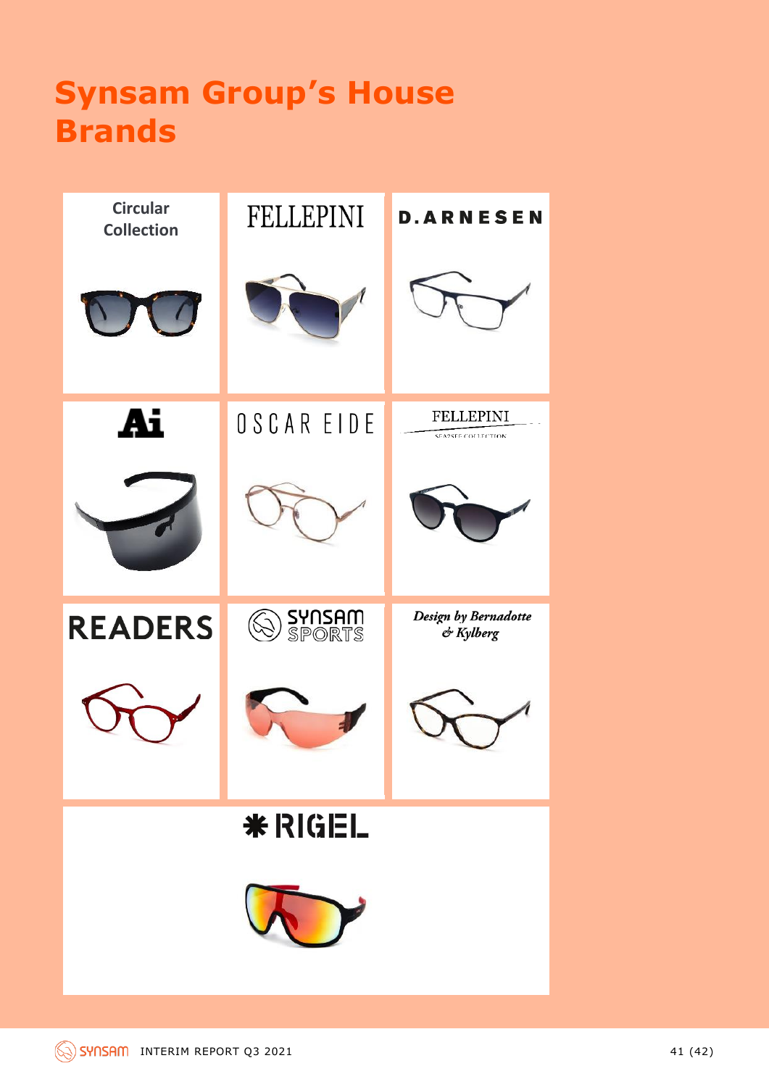## **Synsam Group's House Brands**